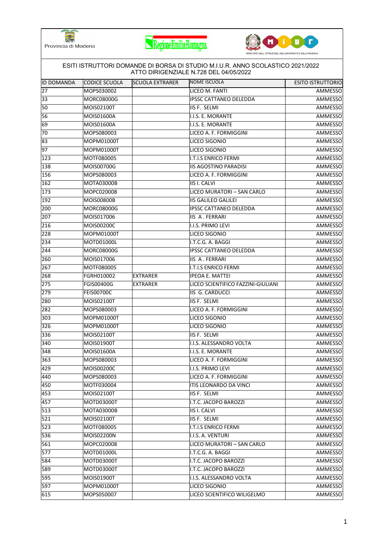





|                   |                   |                        | ATTO DIRIGENZIALE N.728 DEL 04/05/2022 |                          |
|-------------------|-------------------|------------------------|----------------------------------------|--------------------------|
| <b>ID DOMANDA</b> | CODICE SCUOLA     | <b>SCUOLA EXTRARER</b> | NOME ISCUOLA                           | <b>ESITO ISTRUTTORIO</b> |
| 27                | MOPS030002        |                        | LICEO M. FANTI                         | AMMESSO                  |
| 33                | <b>MORC08000G</b> |                        | <b>IPSSC CATTANEO DELEDDA</b>          | AMMESSO                  |
| 50                | MOIS02100T        |                        | IIS F. SELMI                           | AMMESSO                  |
| 56                | MOIS01600A        |                        | I.I.S. E. MORANTE                      | AMMESSO                  |
| 69                | MOIS01600A        |                        | I.I.S. E. MORANTE                      | AMMESSO                  |
| 70                | MOPS080003        |                        | LICEO A. F. FORMIGGINI                 | AMMESSO                  |
| 83                | MOPM01000T        |                        | LICEO SIGONIO                          | AMMESSO                  |
| 97                | MOPM01000T        |                        | LICEO SIGONIO                          | AMMESSO                  |
| 123               | MOTF080005        |                        | I.T.I.S ENRICO FERMI                   | AMMESSO                  |
| 138               | MOIS00700G        |                        | <b>IIS AGOSTINO PARADISI</b>           | AMMESSO                  |
| 156               | MOPS080003        |                        | LICEO A. F. FORMIGGINI                 | AMMESSO                  |
| 162               | MOTA03000B        |                        | <b>IIS I. CALVI</b>                    | <b>AMMESSO</b>           |
| 173               | MOPC020008        |                        | LICEO MURATORI - SAN CARLO             | AMMESSO                  |
| 192               | MOIS00800B        |                        | <b>IIS GALILEO GALILEI</b>             | AMMESSO                  |
| 200               | MORC08000G        |                        | <b>IPSSC CATTANEO DELEDDA</b>          | AMMESSO                  |
| 207               | MOIS017006        |                        | <b>IIS A. FERRARI</b>                  | AMMESSO                  |
| 216               | MOIS00200C        |                        | I.I.S. PRIMO LEVI                      | AMMESSO                  |
| 228               | MOPM01000T        |                        | LICEO SIGONIO                          | <b>AMMESSO</b>           |
| 234               | MOTD01000L        |                        | I.T.C.G. A. BAGGI                      | AMMESSO                  |
| 244               | <b>MORC08000G</b> |                        | <b>IPSSC CATTANEO DELEDDA</b>          | AMMESSO                  |
| 260               | MOIS017006        |                        | IIS A. FERRARI                         | AMMESSO                  |
| 267               | MOTF080005        |                        | I.T.I.S ENRICO FERMI                   | AMMESSO                  |
| 268               | FGRH010002        | <b>EXTRARER</b>        | <b>IPEOA E. MATTEI</b>                 | AMMESSO                  |
| 275               | FGIS00400G        | <b>EXTRARER</b>        | LICEO SCIENTIFICO FAZZINI-GIULIANI     | AMMESSO                  |
| 279               | <b>FEIS00700C</b> |                        | <b>IIS G. CARDUCCI</b>                 | AMMESSO                  |
| 280               | MOIS02100T        |                        | IIS F. SELMI                           | AMMESSO                  |
| 282               | MOPS080003        |                        | LICEO A. F. FORMIGGINI                 | AMMESSO                  |
| 303               | MOPM01000T        |                        | LICEO SIGONIO                          | AMMESSO                  |
| 326               | MOPM01000T        |                        | LICEO SIGONIO                          | AMMESSO                  |
| 336               | MOIS02100T        |                        | <b>IIS F. SELMI</b>                    | AMMESSO                  |
| 340               | MOIS01900T        |                        | I.I.S. ALESSANDRO VOLTA                | <b>AMMESSO</b>           |
| 348               | <b>MOIS01600A</b> |                        | I.I.S. E. MORANTE                      | <b>AMMESSO</b>           |
| 363               | MOPS080003        |                        | LICEO A. F. FORMIGGINI                 | AMMESSO                  |
| 429               | MOIS00200C        |                        | I.I.S. PRIMO LEVI                      | AMMESSO                  |
| 440               | MOPS080003        |                        | LICEO A. F. FORMIGGINI                 | AMMESSO                  |
| 450               | MOTF030004        |                        | ITIS LEONARDO DA VINCI                 | AMMESSO                  |
| 453               | MOIS02100T        |                        | IIS F. SELMI                           | AMMESSO                  |
| 457               | MOTD03000T        |                        | I.T.C. JACOPO BAROZZI                  | AMMESSO                  |
| 513               | MOTA03000B        |                        | <b>IIS I. CALVI</b>                    | AMMESSO                  |
| 521               | MOIS02100T        |                        | <b>IIS F. SELMI</b>                    | AMMESSO                  |
| $\overline{523}$  | MOTF080005        |                        | <b>I.T.I.S ENRICO FERMI</b>            | AMMESSO                  |
| 536               | MOIS02200N        |                        | I.I.S. A. VENTURI                      | AMMESSO                  |
| 561               | MOPC020008        |                        | LICEO MURATORI - SAN CARLO             | AMMESSO                  |
| 577               | MOTD01000L        |                        | I.T.C.G. A. BAGGI                      | AMMESSO                  |
| 584               | MOTD03000T        |                        | I.T.C. JACOPO BAROZZI                  | AMMESSO                  |
| 589               | MOTD03000T        |                        | I.T.C. JACOPO BAROZZI                  | AMMESSO                  |
| 595               | MOIS01900T        |                        | I.I.S. ALESSANDRO VOLTA                | AMMESSO                  |
| 597               | MOPM01000T        |                        | LICEO SIGONIO                          | AMMESSO                  |
| 615               | MOPS050007        |                        | LICEO SCIENTIFICO WILIGELMO            | AMMESSO                  |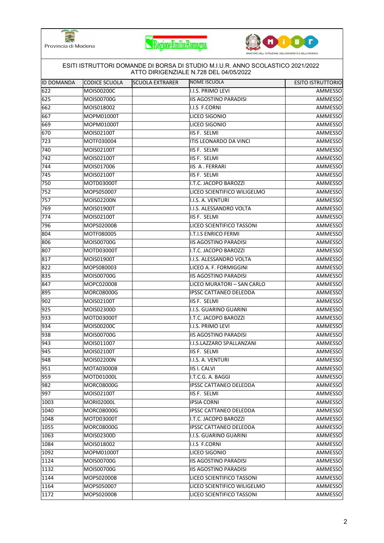





|                   | ESITI ISTRUTTORI DOMANDE DI BORSA DI STUDIO M.I.U.R. ANNO SCOLASTICO 2021/2022<br>ATTO DIRIGENZIALE N.728 DEL 04/05/2022 |                        |                               |                          |  |
|-------------------|--------------------------------------------------------------------------------------------------------------------------|------------------------|-------------------------------|--------------------------|--|
| <b>ID DOMANDA</b> | <b>CODICE SCUOLA</b>                                                                                                     | <b>SCUOLA EXTRARER</b> | <b>NOME ISCUOLA</b>           | <b>ESITO ISTRUTTORIO</b> |  |
| 622               | MOIS00200C                                                                                                               |                        | I.I.S. PRIMO LEVI             | AMMESSO                  |  |
| 625               | MOIS00700G                                                                                                               |                        | <b>IIS AGOSTINO PARADISI</b>  | AMMESSO                  |  |
| 662               | MOIS018002                                                                                                               |                        | <b>I.I.S F.CORNI</b>          | AMMESSO                  |  |
| 667               | MOPM01000T                                                                                                               |                        | LICEO SIGONIO                 | AMMESSO                  |  |
| 669               | MOPM01000T                                                                                                               |                        | LICEO SIGONIO                 | AMMESSO                  |  |
| 670               | MOIS02100T                                                                                                               |                        | IIS F. SELMI                  | AMMESSO                  |  |
| 723               | MOTF030004                                                                                                               |                        | ITIS LEONARDO DA VINCI        | AMMESSO                  |  |
| 740               | MOIS02100T                                                                                                               |                        | <b>IIS F. SELMI</b>           | AMMESSO                  |  |
| 742               | MOIS02100T                                                                                                               |                        | IIS F. SELMI                  | AMMESSO                  |  |
| 744               | MOIS017006                                                                                                               |                        | <b>IIS A. FERRARI</b>         | AMMESSO                  |  |
| 745               | MOIS02100T                                                                                                               |                        | IIS F. SELMI                  | AMMESSO                  |  |
| 750               | MOTD03000T                                                                                                               |                        | I.T.C. JACOPO BAROZZI         | AMMESSO                  |  |
| 752               | MOPS050007                                                                                                               |                        | LICEO SCIENTIFICO WILIGELMO   | AMMESSO                  |  |
| 757               | MOIS02200N                                                                                                               |                        | I.I.S. A. VENTURI             | AMMESSO                  |  |
| 769               | MOIS01900T                                                                                                               |                        | I.I.S. ALESSANDRO VOLTA       | AMMESSO                  |  |
| 774               | MOIS02100T                                                                                                               |                        | IIS F. SELMI                  | AMMESSO                  |  |
| 796               | MOPS02000B                                                                                                               |                        | LICEO SCIENTIFICO TASSONI     | AMMESSO                  |  |
| 804               | MOTF080005                                                                                                               |                        | I.T.I.S ENRICO FERMI          | AMMESSO                  |  |
| 806               | MOIS00700G                                                                                                               |                        | <b>IIS AGOSTINO PARADISI</b>  | AMMESSO                  |  |
| 807               | MOTD03000T                                                                                                               |                        | I.T.C. JACOPO BAROZZI         | AMMESSO                  |  |
| 817               | MOIS01900T                                                                                                               |                        | I.I.S. ALESSANDRO VOLTA       | AMMESSO                  |  |
| 822               | MOPS080003                                                                                                               |                        | LICEO A. F. FORMIGGINI        | AMMESSO                  |  |
| 835               | MOIS00700G                                                                                                               |                        | <b>IIS AGOSTINO PARADISI</b>  | AMMESSO                  |  |
| 847               | MOPC020008                                                                                                               |                        | LICEO MURATORI - SAN CARLO    | AMMESSO                  |  |
| 895               | <b>MORC08000G</b>                                                                                                        |                        | <b>IPSSC CATTANEO DELEDDA</b> | AMMESSO                  |  |
| 902               | MOIS02100T                                                                                                               |                        | IIS F. SELMI                  | AMMESSO                  |  |
| 925               | MOIS02300D                                                                                                               |                        | I.I.S. GUARINO GUARINI        | AMMESSO                  |  |
| 933               | MOTD03000T                                                                                                               |                        | I.T.C. JACOPO BAROZZI         | AMMESSO                  |  |
| 934               | MOIS00200C                                                                                                               |                        | I.I.S. PRIMO LEVI             | AMMESSO                  |  |
| 938               | MOIS00700G                                                                                                               |                        | <b>IIS AGOSTINO PARADISI</b>  | AMMESSO                  |  |
| 943               | MOIS011007                                                                                                               |                        | I.I.S.LAZZARO SPALLANZANI     | AMMESSO                  |  |
| 945               | MOIS02100T                                                                                                               |                        | IIS F. SELMI                  | AMMESSO                  |  |
| 948               | MOIS02200N                                                                                                               |                        | I.I.S. A. VENTURI             | AMMESSO                  |  |
| 951               | <b>MOTA03000B</b>                                                                                                        |                        | <b>IIS I. CALVI</b>           | AMMESSO                  |  |
| 959               | MOTD01000L                                                                                                               |                        | I.T.C.G. A. BAGGI             | AMMESSO                  |  |
| 982               | <b>MORC08000G</b>                                                                                                        |                        | <b>IPSSC CATTANEO DELEDDA</b> | AMMESSO                  |  |
| 997               | MOIS02100T                                                                                                               |                        | <b>IIS F. SELMI</b>           | AMMESSO                  |  |
| 1003              | MORI02000L                                                                                                               |                        | <b>IPSIA CORNI</b>            | AMMESSO                  |  |
| 1040              | MORC08000G                                                                                                               |                        | <b>IPSSC CATTANEO DELEDDA</b> | AMMESSO                  |  |
| 1048              | MOTD03000T                                                                                                               |                        | I.T.C. JACOPO BAROZZI         | AMMESSO                  |  |
| 1055              | <b>MORC08000G</b>                                                                                                        |                        | <b>IPSSC CATTANEO DELEDDA</b> | AMMESSO                  |  |
| 1063              | MOIS02300D                                                                                                               |                        | I.I.S. GUARINO GUARINI        | AMMESSO                  |  |
| 1084              | MOIS018002                                                                                                               |                        | I.I.S F.CORNI                 | AMMESSO                  |  |
| 1092              | MOPM01000T                                                                                                               |                        | LICEO SIGONIO                 | AMMESSO                  |  |
| 1124              | MOIS00700G                                                                                                               |                        | <b>IIS AGOSTINO PARADISI</b>  | AMMESSO                  |  |
| 1132              | MOIS00700G                                                                                                               |                        | <b>IIS AGOSTINO PARADISI</b>  | AMMESSO                  |  |
| 1144              | MOPS02000B                                                                                                               |                        | LICEO SCIENTIFICO TASSONI     | AMMESSO                  |  |
| 1164              | MOPS050007                                                                                                               |                        | LICEO SCIENTIFICO WILIGELMO   | AMMESSO                  |  |
| 1172              | MOPS02000B                                                                                                               |                        | LICEO SCIENTIFICO TASSONI     | AMMESSO                  |  |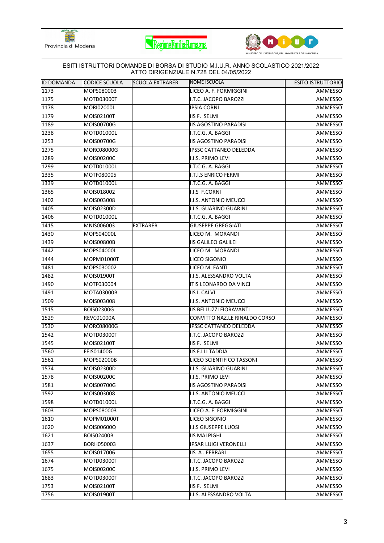





| <b>ID DOMANDA</b> | CODICE SCUOLA     | <b>SCUOLA EXTRARER</b> | NOME ISCUOLA                   | <b>ESITO ISTRUTTORIO</b> |
|-------------------|-------------------|------------------------|--------------------------------|--------------------------|
| 1173              | MOPS080003        |                        | LICEO A. F. FORMIGGINI         | AMMESSO                  |
| 1175              | MOTD03000T        |                        | I.T.C. JACOPO BAROZZI          | AMMESSO                  |
| 1178              | MORI02000L        |                        | <b>IPSIA CORNI</b>             | AMMESSO                  |
| 1179              | MOIS02100T        |                        | IIS F. SELMI                   | AMMESSO                  |
| 1189              | MOIS00700G        |                        | <b>IIS AGOSTINO PARADISI</b>   | AMMESSO                  |
| 1238              | MOTD01000L        |                        | I.T.C.G. A. BAGGI              | AMMESSO                  |
| 1253              | MOIS00700G        |                        | <b>IIS AGOSTINO PARADISI</b>   | AMMESSO                  |
| 1275              | <b>MORC08000G</b> |                        | IPSSC CATTANEO DELEDDA         | AMMESSO                  |
| 1289              | MOIS00200C        |                        | I.I.S. PRIMO LEVI              | AMMESSO                  |
| 1299              | MOTD01000L        |                        | I.T.C.G. A. BAGGI              | AMMESSO                  |
| 1335              | MOTF080005        |                        | <b>I.T.I.S ENRICO FERMI</b>    | AMMESSO                  |
| 1339              | MOTD01000L        |                        | I.T.C.G. A. BAGGI              | AMMESSO                  |
| 1365              | MOIS018002        |                        | I.I.S F.CORNI                  | AMMESSO                  |
| 1402              | MOIS003008        |                        | I.I.S. ANTONIO MEUCCI          | AMMESSO                  |
| 1405              | MOIS02300D        |                        | I.I.S. GUARINO GUARINI         | AMMESSO                  |
| 1406              | MOTD01000L        |                        | I.T.C.G. A. BAGGI              | AMMESSO                  |
| 1415              | MNIS006003        | <b>EXTRARER</b>        | <b>GIUSEPPE GREGGIATI</b>      | AMMESSO                  |
| 1430              | MOPS04000L        |                        | LICEO M. MORANDI               | AMMESSO                  |
| 1439              | <b>MOIS00800B</b> |                        | <b>IIS GALILEO GALILEI</b>     | AMMESSO                  |
| 1442              | MOPS04000L        |                        | LICEO M. MORANDI               | AMMESSO                  |
| 1444              | MOPM01000T        |                        | LICEO SIGONIO                  | AMMESSO                  |
| 1481              | MOPS030002        |                        | LICEO M. FANTI                 | AMMESSO                  |
| 1482              | MOIS01900T        |                        | I.I.S. ALESSANDRO VOLTA        | AMMESSO                  |
| 1490              | MOTF030004        |                        | ITIS LEONARDO DA VINCI         | AMMESSO                  |
| 1491              | <b>MOTA03000B</b> |                        | <b>IIS I. CALVI</b>            | AMMESSO                  |
| 1509              | MOIS003008        |                        | I.I.S. ANTONIO MEUCCI          | AMMESSO                  |
| 1515              | <b>BOIS02300G</b> |                        | <b>IIS BELLUZZI FIORAVANTI</b> | AMMESSO                  |
| 1529              | REVC01000A        |                        | CONVITTO NAZ.LE RINALDO CORSO  | AMMESSO                  |
| 1530              | MORC08000G        |                        | IPSSC CATTANEO DELEDDA         | AMMESSO                  |
| 1542              | MOTD03000T        |                        | I.T.C. JACOPO BAROZZI          | AMMESSO                  |
| 1545              | MOIS02100T        |                        | IIS F. SELMI                   | AMMESSO                  |
| 1560              | FEIS01400G        |                        | <b>IIS F.LLI TADDIA</b>        | <b>AMMESSO</b>           |
| 1561              | MOPS02000B        |                        | LICEO SCIENTIFICO TASSONI      | AMMESSO                  |
| 1574              | MOIS02300D        |                        | I.I.S. GUARINO GUARINI         | AMMESSO                  |
| 1578              | MOIS00200C        |                        | I.I.S. PRIMO LEVI              | AMMESSO                  |
| 1581              | MOIS00700G        |                        | <b>IIS AGOSTINO PARADISI</b>   | AMMESSO                  |
| 1592              | MOIS003008        |                        | I.I.S. ANTONIO MEUCCI          | AMMESSO                  |
| 1598              | MOTD01000L        |                        | I.T.C.G. A. BAGGI              | AMMESSO                  |
| 1603              | MOPS080003        |                        | LICEO A. F. FORMIGGINI         | AMMESSO                  |
| 1610              | MOPM01000T        |                        | LICEO SIGONIO                  | AMMESSO                  |
| 1620              | MOIS00600Q        |                        | I.I.S GIUSEPPE LUOSI           | AMMESSO                  |
| 1621              | <b>BOIS02400B</b> |                        | <b>IIS MALPIGHI</b>            | AMMESSO                  |
| 1637              | BORH050003        |                        | <b>IPSAR LUIGI VERONELLI</b>   | AMMESSO                  |
| 1655              | MOIS017006        |                        | <b>IIS A. FERRARI</b>          | AMMESSO                  |
| 1674              | MOTD03000T        |                        | I.T.C. JACOPO BAROZZI          | AMMESSO                  |
| 1675              | MOIS00200C        |                        | I.I.S. PRIMO LEVI              | AMMESSO                  |
| 1683              | MOTD03000T        |                        | I.T.C. JACOPO BAROZZI          | AMMESSO                  |
| 1753              | MOIS02100T        |                        | IIS F. SELMI                   | AMMESSO                  |
| 1756              | MOIS01900T        |                        | I.I.S. ALESSANDRO VOLTA        | AMMESSO                  |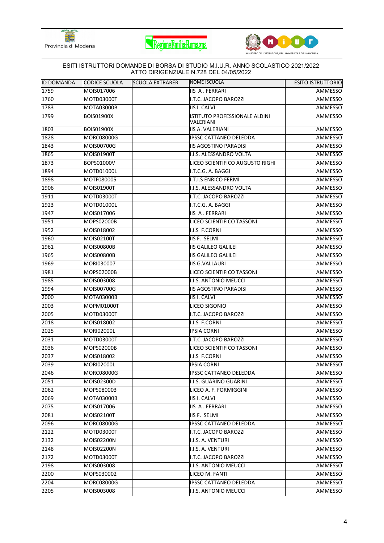





| IID DOMANDA | CODICE SCUOLA     | <b>SCUOLA EXTRARER</b> | NOME ISCUOLA                               | <b>ESITO ISTRUTTORIO</b> |
|-------------|-------------------|------------------------|--------------------------------------------|--------------------------|
| 1759        | MOIS017006        |                        | <b>IIS A. FERRARI</b>                      | AMMESSO                  |
| 1760        | MOTD03000T        |                        | I.T.C. JACOPO BAROZZI                      | AMMESSO                  |
| 1783        | MOTA03000B        |                        | <b>IIS I. CALVI</b>                        | AMMESSO                  |
| 1799        | <b>BOIS01900X</b> |                        | ISTITUTO PROFESSIONALE ALDINI<br>VALERIANI | AMMESSO                  |
| 1803        | <b>BOIS01900X</b> |                        | <b>IIS A. VALERIANI</b>                    | AMMESSO                  |
| 1828        | <b>MORC08000G</b> |                        | <b>IPSSC CATTANEO DELEDDA</b>              | AMMESSO                  |
| 1843        | MOIS00700G        |                        | <b>IIS AGOSTINO PARADISI</b>               | AMMESSO                  |
| 1865        | MOIS01900T        |                        | I.I.S. ALESSANDRO VOLTA                    | AMMESSO                  |
| 1873        | BOPS01000V        |                        | LICEO SCIENTIFICO AUGUSTO RIGHI            | AMMESSO                  |
| 1894        | MOTD01000L        |                        | I.T.C.G. A. BAGGI                          | AMMESSO                  |
| 1898        | MOTF080005        |                        | <b>I.T.I.S ENRICO FERMI</b>                | AMMESSO                  |
| 1906        | MOIS01900T        |                        | I.I.S. ALESSANDRO VOLTA                    | AMMESSO                  |
| 1911        | MOTD03000T        |                        | I.T.C. JACOPO BAROZZI                      | AMMESSO                  |
| 1923        | MOTD01000L        |                        | I.T.C.G. A. BAGGI                          | AMMESSO                  |
| 1947        | MOIS017006        |                        | <b>IIS A. FERRARI</b>                      | AMMESSO                  |
| 1951        | MOPS02000B        |                        | LICEO SCIENTIFICO TASSONI                  | AMMESSO                  |
| 1952        | MOIS018002        |                        | I.I.S F.CORNI                              | AMMESSO                  |
| 1960        | MOIS02100T        |                        | IIS F. SELMI                               | AMMESSO                  |
| 1961        | <b>MOIS00800B</b> |                        | <b>IIS GALILEO GALILEI</b>                 | <b>AMMESSO</b>           |
| 1965        | <b>MOIS00800B</b> |                        | <b>IIS GALILEO GALILEI</b>                 | AMMESSO                  |
| 1969        | MORI030007        |                        | <b>IIS G.VALLAURI</b>                      | AMMESSO                  |
| 1981        | MOPS02000B        |                        | LICEO SCIENTIFICO TASSONI                  | AMMESSO                  |
| 1985        | MOIS003008        |                        | I.I.S. ANTONIO MEUCCI                      | AMMESSO                  |
| 1994        | MOIS00700G        |                        | <b>IIS AGOSTINO PARADISI</b>               | AMMESSO                  |
| 2000        | MOTA03000B        |                        | <b>IIS I. CALVI</b>                        | AMMESSO                  |
| 2003        | MOPM01000T        |                        | LICEO SIGONIO                              | AMMESSO                  |
| 2005        | MOTD03000T        |                        | I.T.C. JACOPO BAROZZI                      | AMMESSO                  |
| 2018        | MOIS018002        |                        | I.I.S F.CORNI                              | AMMESSO                  |
| 2025        | <b>MORI02000L</b> |                        | <b>IPSIA CORNI</b>                         | AMMESSO                  |
| 2031        | MOTD03000T        |                        | I.T.C. JACOPO BAROZZI                      | AMMESSO                  |
| 2036        | MOPS02000B        |                        | LICEO SCIENTIFICO TASSONI                  | AMMESSO                  |
| 2037        | MOIS018002        |                        | I.I.S F.CORNI                              | AMMESSO                  |
| 2039        | MORI02000L        |                        | <b>IPSIA CORNI</b>                         | AMMESSO                  |
| 2046        | MORC08000G        |                        | <b>IPSSC CATTANEO DELEDDA</b>              | AMMESSO                  |
| 2051        | MOIS02300D        |                        | <b>I.I.S. GUARINO GUARINI</b>              | AMMESSO                  |
| 2062        | MOPS080003        |                        | LICEO A. F. FORMIGGINI                     | AMMESSO                  |
| 2069        | <b>MOTA03000B</b> |                        | <b>IIS I. CALVI</b>                        | AMMESSO                  |
| 2075        | MOIS017006        |                        | IIS A. FERRARI                             | AMMESSO                  |
| 2081        | MOIS02100T        |                        | IIS F. SELMI                               | AMMESSO                  |
| 2096        | <b>MORC08000G</b> |                        | <b>IPSSC CATTANEO DELEDDA</b>              | AMMESSO                  |
| 2122        | MOTD03000T        |                        | I.T.C. JACOPO BAROZZI                      | AMMESSO                  |
| 2132        | MOIS02200N        |                        | I.I.S. A. VENTURI                          | AMMESSO                  |
| 2148        | MOIS02200N        |                        | I.I.S. A. VENTURI                          | AMMESSO                  |
| 2172        | MOTD03000T        |                        | I.T.C. JACOPO BAROZZI                      | AMMESSO                  |
| 2198        | MOIS003008        |                        | I.I.S. ANTONIO MEUCCI                      | AMMESSO                  |
| 2200        | MOPS030002        |                        | LICEO M. FANTI                             | AMMESSO                  |
| 2204        | <b>MORC08000G</b> |                        | <b>IPSSC CATTANEO DELEDDA</b>              | AMMESSO                  |
| 2205        | MOIS003008        |                        | I.I.S. ANTONIO MEUCCI                      | <b>AMMESSO</b>           |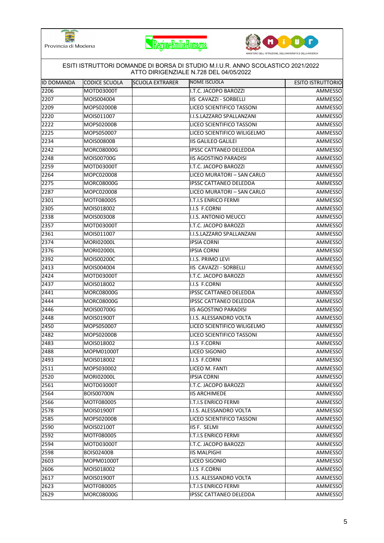





|            | ESITI ISTRUTTORI DOMANDE DI BORSA DI STUDIO M.I.U.R. ANNO SCOLASTICO 2021/2022<br>ATTO DIRIGENZIALE N.728 DEL 04/05/2022 |                        |                               |                          |  |
|------------|--------------------------------------------------------------------------------------------------------------------------|------------------------|-------------------------------|--------------------------|--|
| ID DOMANDA | CODICE SCUOLA                                                                                                            | <b>SCUOLA EXTRARER</b> | NOME ISCUOLA                  | <b>ESITO ISTRUTTORIO</b> |  |
| 2206       | MOTD03000T                                                                                                               |                        | I.T.C. JACOPO BAROZZI         | <b>AMMESSO</b>           |  |
| 2207       | MOIS004004                                                                                                               |                        | IIS CAVAZZI - SORBELLI        | AMMESSO                  |  |
| 2209       | MOPS02000B                                                                                                               |                        | LICEO SCIENTIFICO TASSONI     | AMMESSO                  |  |
| 2220       | MOIS011007                                                                                                               |                        | I.I.S.LAZZARO SPALLANZANI     | AMMESSO                  |  |
| 2222       | MOPS02000B                                                                                                               |                        | LICEO SCIENTIFICO TASSONI     | AMMESSO                  |  |
| 2225       | MOPS050007                                                                                                               |                        | LICEO SCIENTIFICO WILIGELMO   | AMMESSO                  |  |
| 2234       | MOIS00800B                                                                                                               |                        | <b>IIS GALILEO GALILEI</b>    | AMMESSO                  |  |
| 2242       | MORC08000G                                                                                                               |                        | <b>IPSSC CATTANEO DELEDDA</b> | AMMESSO                  |  |
| 2248       | MOIS00700G                                                                                                               |                        | <b>IIS AGOSTINO PARADISI</b>  | AMMESSO                  |  |
| 2259       | MOTD03000T                                                                                                               |                        | I.T.C. JACOPO BAROZZI         | AMMESSO                  |  |
| 2264       | MOPC020008                                                                                                               |                        | LICEO MURATORI - SAN CARLO    | AMMESSO                  |  |
| 2275       | MORC08000G                                                                                                               |                        | IPSSC CATTANEO DELEDDA        | <b>AMMESSO</b>           |  |
| 2287       | MOPC020008                                                                                                               |                        | LICEO MURATORI - SAN CARLO    | AMMESSO                  |  |
| 2301       | MOTF080005                                                                                                               |                        | <b>I.T.I.S ENRICO FERMI</b>   | AMMESSO                  |  |
| 2305       | MOIS018002                                                                                                               |                        | I.I.S F.CORNI                 | AMMESSO                  |  |
| 2338       | MOIS003008                                                                                                               |                        | I.I.S. ANTONIO MEUCCI         | AMMESSO                  |  |
| 2357       | MOTD03000T                                                                                                               |                        | I.T.C. JACOPO BAROZZI         | AMMESSO                  |  |
| 2361       | MOIS011007                                                                                                               |                        | I.I.S.LAZZARO SPALLANZANI     | <b>AMMESSO</b>           |  |
| 2374       | <b>MORI02000L</b>                                                                                                        |                        | <b>IPSIA CORNI</b>            | AMMESSO                  |  |
| 2376       | MORI02000L                                                                                                               |                        | <b>IPSIA CORNI</b>            | AMMESSO                  |  |
| 2392       | MOIS00200C                                                                                                               |                        | I.I.S. PRIMO LEVI             | AMMESSO                  |  |
| 2413       | MOIS004004                                                                                                               |                        | IIS CAVAZZI - SORBELLI        | <b>AMMESSO</b>           |  |
| 2424       | MOTD03000T                                                                                                               |                        | I.T.C. JACOPO BAROZZI         | AMMESSO                  |  |
| 2437       | MOIS018002                                                                                                               |                        | I.I.S F.CORNI                 | AMMESSO                  |  |
| 2441       | MORC08000G                                                                                                               |                        | <b>IPSSC CATTANEO DELEDDA</b> | AMMESSO                  |  |
| 2444       | MORC08000G                                                                                                               |                        | <b>IPSSC CATTANEO DELEDDA</b> | AMMESSO                  |  |
| 2446       | MOIS00700G                                                                                                               |                        | <b>IIS AGOSTINO PARADISI</b>  | AMMESSO                  |  |
| 2448       | MOIS01900T                                                                                                               |                        | I.I.S. ALESSANDRO VOLTA       | AMMESSO                  |  |
| 2450       | MOPS050007                                                                                                               |                        | LICEO SCIENTIFICO WILIGELMO   | AMMESSO                  |  |
| 2482       | MOPS02000B                                                                                                               |                        | LICEO SCIENTIFICO TASSONI     | AMMESSO                  |  |
| 2483       | MOIS018002                                                                                                               |                        | I.I.S F.CORNI                 | AMMESSO                  |  |
| 2488       | <b>MOPM01000T</b>                                                                                                        |                        | LICEO SIGONIO                 | <b>AMMESSO</b>           |  |
| 2493       | MOIS018002                                                                                                               |                        | I.I.S F.CORNI                 | AMMESSO                  |  |
| 2511       | MOPS030002                                                                                                               |                        | LICEO M. FANTI                | AMMESSO                  |  |
| 2520       | MORI02000L                                                                                                               |                        | <b>IPSIA CORNI</b>            | AMMESSO                  |  |
| 2561       | MOTD03000T                                                                                                               |                        | I.T.C. JACOPO BAROZZI         | <b>AMMESSO</b>           |  |
| 2564       | <b>BOIS00700N</b>                                                                                                        |                        | <b>IIS ARCHIMEDE</b>          | AMMESSO                  |  |
| 2566       | MOTF080005                                                                                                               |                        | <b>I.T.I.S ENRICO FERMI</b>   | AMMESSO                  |  |
| 2578       | MOIS01900T                                                                                                               |                        | I.I.S. ALESSANDRO VOLTA       | AMMESSO                  |  |
| 2585       | MOPS02000B                                                                                                               |                        | LICEO SCIENTIFICO TASSONI     | AMMESSO                  |  |
| 2590       | MOIS02100T                                                                                                               |                        | IIS F. SELMI                  | <b>AMMESSO</b>           |  |
| 2592       | MOTF080005                                                                                                               |                        | <b>I.T.I.S ENRICO FERMI</b>   | AMMESSO                  |  |
| 2594       | MOTD03000T                                                                                                               |                        | I.T.C. JACOPO BAROZZI         | AMMESSO                  |  |
| 2598       | <b>BOIS02400B</b>                                                                                                        |                        | <b>IIS MALPIGHI</b>           | AMMESSO                  |  |
| 2603       | MOPM01000T                                                                                                               |                        | LICEO SIGONIO                 | <b>AMMESSO</b>           |  |
| 2606       | MOIS018002                                                                                                               |                        | I.I.S F.CORNI                 | AMMESSO                  |  |
| 2617       | MOIS01900T                                                                                                               |                        | I.I.S. ALESSANDRO VOLTA       | AMMESSO                  |  |
| 2623       | MOTF080005                                                                                                               |                        | I.T.I.S ENRICO FERMI          | AMMESSO                  |  |
| 2629       | MORC08000G                                                                                                               |                        | IPSSC CATTANEO DELEDDA        | AMMESSO                  |  |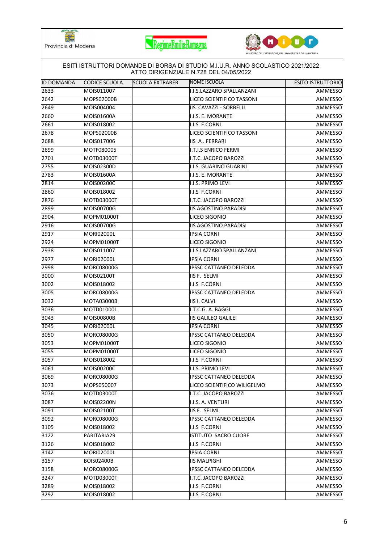





| <b>ID DOMANDA</b> | CODICE SCUOLA     | <b>SCUOLA EXTRARER</b> | NOME ISCUOLA                  | <b>ESITO ISTRUTTORIO</b> |
|-------------------|-------------------|------------------------|-------------------------------|--------------------------|
| 2633              | MOIS011007        |                        | I.I.S.LAZZARO SPALLANZANI     | AMMESSO                  |
| 2642              | MOPS02000B        |                        | LICEO SCIENTIFICO TASSONI     | AMMESSO                  |
| 2649              | MOIS004004        |                        | IIS CAVAZZI - SORBELLI        | AMMESSO                  |
| 2660              | MOIS01600A        |                        | I.I.S. E. MORANTE             | AMMESSO                  |
| 2661              | MOIS018002        |                        | I.I.S F.CORNI                 | AMMESSO                  |
| 2678              | MOPS02000B        |                        | LICEO SCIENTIFICO TASSONI     | AMMESSO                  |
| 2688              | MOIS017006        |                        | <b>IIS A. FERRARI</b>         | AMMESSO                  |
| 2699              | MOTF080005        |                        | <b>I.T.I.S ENRICO FERMI</b>   | <b>AMMESSO</b>           |
| 2701              | MOTD03000T        |                        | I.T.C. JACOPO BAROZZI         | AMMESSO                  |
| 2755              | MOIS02300D        |                        | I.I.S. GUARINO GUARINI        | AMMESSO                  |
| 2783              | MOIS01600A        |                        | I.I.S. E. MORANTE             | AMMESSO                  |
| 2814              | MOIS00200C        |                        | I.I.S. PRIMO LEVI             | AMMESSO                  |
| 2860              | MOIS018002        |                        | I.I.S F.CORNI                 | AMMESSO                  |
| 2876              | MOTD03000T        |                        | I.T.C. JACOPO BAROZZI         | AMMESSO                  |
| 2899              | MOIS00700G        |                        | <b>IIS AGOSTINO PARADISI</b>  | AMMESSO                  |
| 2904              | MOPM01000T        |                        | LICEO SIGONIO                 | AMMESSO                  |
| 2916              | MOIS00700G        |                        | <b>IIS AGOSTINO PARADISI</b>  | AMMESSO                  |
| 2917              | MORI02000L        |                        | <b>IPSIA CORNI</b>            | AMMESSO                  |
| 2924              | MOPM01000T        |                        | LICEO SIGONIO                 | AMMESSO                  |
| 2938              | MOIS011007        |                        | I.I.S.LAZZARO SPALLANZANI     | AMMESSO                  |
| 2977              | MORI02000L        |                        | <b>IPSIA CORNI</b>            | AMMESSO                  |
| 2998              | MORC08000G        |                        | IPSSC CATTANEO DELEDDA        | AMMESSO                  |
| 3000              | MOIS02100T        |                        | IIS F. SELMI                  | AMMESSO                  |
| 3002              | MOIS018002        |                        | I.I.S F.CORNI                 | AMMESSO                  |
| 3005              | MORC08000G        |                        | <b>IPSSC CATTANEO DELEDDA</b> | AMMESSO                  |
| 3032              | MOTA03000B        |                        | <b>IIS I. CALVI</b>           | AMMESSO                  |
| 3036              | MOTD01000L        |                        | I.T.C.G. A. BAGGI             | AMMESSO                  |
| 3043              | MOIS00800B        |                        | <b>IIS GALILEO GALILEI</b>    | AMMESSO                  |
| 3045              | MORI02000L        |                        | <b>IPSIA CORNI</b>            | AMMESSO                  |
| 3050              | MORC08000G        |                        | <b>IPSSC CATTANEO DELEDDA</b> | AMMESSO                  |
| 3053              | MOPM01000T        |                        | LICEO SIGONIO                 | AMMESSO                  |
| 3055              | MOPM01000T        |                        | LICEO SIGONIO                 | AMMESSO                  |
| 3057              | MOIS018002        |                        | I.I.S F.CORNI                 | AMMESSO                  |
| 3061              | MOIS00200C        |                        | I.I.S. PRIMO LEVI             | AMMESSO                  |
| 3069              | MORC08000G        |                        | IPSSC CATTANEO DELEDDA        | AMMESSO                  |
| 3073              | MOPS050007        |                        | LICEO SCIENTIFICO WILIGELMO   | AMMESSO                  |
| 3076              | MOTD03000T        |                        | I.T.C. JACOPO BAROZZI         | AMMESSO                  |
| 3087              | MOIS02200N        |                        | I.I.S. A. VENTURI             | AMMESSO                  |
| 3091              | MOIS02100T        |                        | IIS F. SELMI                  | AMMESSO                  |
| 3092              | MORC08000G        |                        | IPSSC CATTANEO DELEDDA        | AMMESSO                  |
| 3105              | MOIS018002        |                        | I.I.S F.CORNI                 | AMMESSO                  |
| 3122              | PARITARIA29       |                        | ISTITUTO SACRO CUORE          | AMMESSO                  |
| 3126              | MOIS018002        |                        | I.I.S F.CORNI                 | AMMESSO                  |
| 3142              | <b>MORI02000L</b> |                        | <b>IPSIA CORNI</b>            | AMMESSO                  |
| 3157              | <b>BOIS02400B</b> |                        | <b>IIS MALPIGHI</b>           | AMMESSO                  |
| 3158              | MORC08000G        |                        | <b>IPSSC CATTANEO DELEDDA</b> | AMMESSO                  |
| 3247              | MOTD03000T        |                        | I.T.C. JACOPO BAROZZI         | AMMESSO                  |
| 3289              | MOIS018002        |                        | I.I.S F.CORNI                 | AMMESSO                  |
| 3292              | MOIS018002        |                        | I.I.S F.CORNI                 | AMMESSO                  |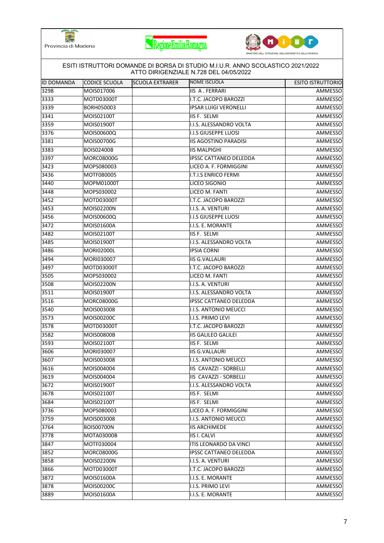





## ID DOMANDA CODICE SCUOLA SCUOLA EXTRARER NOME ISCUOLA ESITO ISTRUTTORIO ESITI ISTRUTTORI DOMANDE DI BORSA DI STUDIO M.I.U.R. ANNO SCOLASTICO 2021/2022 ATTO DIRIGENZIALE N.728 DEL 04/05/2022 MOIS017006 IIS A . FERRARI AMMESSO MOTD03000T I.T.C. JACOPO BAROZZI AMMESSO BORH050003 IPSAR LUIGI VERONELLI AMMESSO MOIS02100T IIS F. SELMI AMMESSO MOIS01900T I.I.S. ALESSANDRO VOLTA AMMESSO MOIS00600Q I.I.S GIUSEPPE LUOSI AMMESSO MOIS00700G IIS AGOSTINO PARADISI AMMESSO BOIS02400B IIS MALPIGHI AMMESSO MORC08000G IPSSC CATTANEO DELEDDA AMMESSO MOPS080003 LICEO A. F. FORMIGGINI AMMESSO MOTF080005 I.T.I.S ENRICO FERMI AMMESSO MOPM01000T LICEO SIGONIO AMMESSO MOPS030002 LICEO M. FANTI AMMESSO MOTD03000T I.T.C. JACOPO BAROZZI AMMESSO MOIS02200N I.I.S. A. VENTURI AMMESSO MOIS00600Q I.I.S GIUSEPPE LUOSI AMMESSO MOIS01600A I.I.S. E. MORANTE AMMESSO MOIS02100T IIS F. SELMI AMMESSO MOIS01900T I.I.S. ALESSANDRO VOLTA AMMESSO MORI02000L IPSIA CORNI AMMESSO MORI030007 IIS G.VALLAURI AMMESSO MOTD03000T I.T.C. JACOPO BAROZZI AMMESSO MOPS030002 LICEO M. FANTI AMMESSO MOIS02200N I.I.S. A. VENTURI AMMESSO MOIS01900T I.I.S. ALESSANDRO VOLTA AMMESSO MORC08000G IPSSC CATTANEO DELEDDA AMMESSO MOIS003008 I.I.S. ANTONIO MEUCCI AMMESSO MOIS00200C I.I.S. PRIMO LEVI AMMESSO MOTD03000T I.T.C. JACOPO BAROZZI AMMESSO MOIS00800B IIS GALILEO GALILEI AMMESSO 3593 |MOIS02100T | |IIS F. SELMI AMMESSO 3606 |MORI030007 | |IIS G.VALLAURI AMMESSO MOIS003008 I.I.S. ANTONIO MEUCCI AMMESSO MOIS004004 IIS CAVAZZI - SORBELLI AMMESSO MOIS004004 IIS CAVAZZI - SORBELLI AMMESSO MOIS01900T I.I.S. ALESSANDRO VOLTA AMMESSO MOIS02100T IIS F. SELMI AMMESSO MOIS02100T IIS F. SELMI AMMESSO MOPS080003 LICEO A. F. FORMIGGINI AMMESSO MOIS003008 I.I.S. ANTONIO MEUCCI AMMESSO BOIS00700N IIS ARCHIMEDE AMMESSO MOTA03000B IIS I. CALVI AMMESSO MOTF030004 ITIS LEONARDO DA VINCI AMMESSO MORC08000G IPSSC CATTANEO DELEDDA AMMESSO MOIS02200N I.I.S. A. VENTURI AMMESSO MOTD03000T I.T.C. JACOPO BAROZZI AMMESSO MOIS01600A I.I.S. E. MORANTE AMMESSO MOIS00200C I.I.S. PRIMO LEVI AMMESSO MOIS01600A I.I.S. E. MORANTE AMMESSO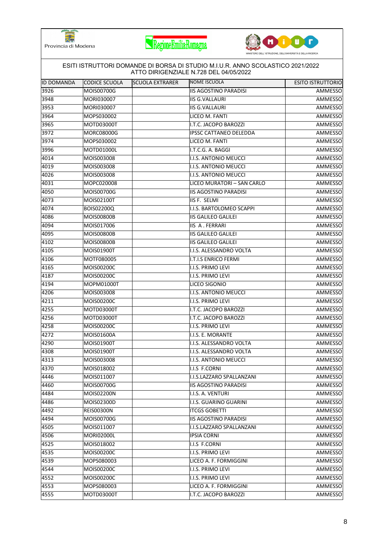





| <b>ID DOMANDA</b> | CODICE SCUOLA     | <b>SCUOLA EXTRARER</b> | NOME ISCUOLA                 | <b>ESITO ISTRUTTORIO</b> |
|-------------------|-------------------|------------------------|------------------------------|--------------------------|
| 3926              | MOIS00700G        |                        | <b>IIS AGOSTINO PARADISI</b> | AMMESSO                  |
| 3948              | MORI030007        |                        | <b>IIS G.VALLAURI</b>        | AMMESSO                  |
| 3953              | MORI030007        |                        | <b>IIS G.VALLAURI</b>        | AMMESSO                  |
| 3964              | MOPS030002        |                        | LICEO M. FANTI               | AMMESSO                  |
| 3965              | MOTD03000T        |                        | I.T.C. JACOPO BAROZZI        | AMMESSO                  |
| 3972              | MORC08000G        |                        | IPSSC CATTANEO DELEDDA       | AMMESSO                  |
| 3974              | MOPS030002        |                        | LICEO M. FANTI               | AMMESSO                  |
| 3996              | <b>MOTD01000L</b> |                        | I.T.C.G. A. BAGGI            | AMMESSO                  |
| 4014              | MOIS003008        |                        | I.I.S. ANTONIO MEUCCI        | AMMESSO                  |
| 4019              | MOIS003008        |                        | I.I.S. ANTONIO MEUCCI        | AMMESSO                  |
| 4026              | MOIS003008        |                        | I.I.S. ANTONIO MEUCCI        | AMMESSO                  |
| 4031              | MOPC020008        |                        | LICEO MURATORI - SAN CARLO   | <b>AMMESSO</b>           |
| 4050              | MOIS00700G        |                        | <b>IIS AGOSTINO PARADISI</b> | <b>AMMESSO</b>           |
| 4073              | MOIS02100T        |                        | IIS F. SELMI                 | AMMESSO                  |
| 4074              | BOIS02200Q        |                        | I.I.S. BARTOLOMEO SCAPPI     | AMMESSO                  |
| 4086              | MOIS00800B        |                        | <b>IIS GALILEO GALILEI</b>   | AMMESSO                  |
| 4094              | MOIS017006        |                        | <b>IIS A. FERRARI</b>        | AMMESSO                  |
| 4095              | MOIS00800B        |                        | <b>IIS GALILEO GALILEI</b>   | AMMESSO                  |
| 4102              | MOIS00800B        |                        | <b>IIS GALILEO GALILEI</b>   | AMMESSO                  |
| 4105              | MOIS01900T        |                        | I.I.S. ALESSANDRO VOLTA      | AMMESSO                  |
| 4106              | MOTF080005        |                        | I.T.I.S ENRICO FERMI         | AMMESSO                  |
| 4165              | MOIS00200C        |                        | I.I.S. PRIMO LEVI            | AMMESSO                  |
| 4187              | MOIS00200C        |                        | I.I.S. PRIMO LEVI            | AMMESSO                  |
| 4194              | MOPM01000T        |                        | LICEO SIGONIO                | AMMESSO                  |
| 4206              | MOIS003008        |                        | I.I.S. ANTONIO MEUCCI        | AMMESSO                  |
| 4211              | MOIS00200C        |                        | I.I.S. PRIMO LEVI            | AMMESSO                  |
| 4255              | MOTD03000T        |                        | I.T.C. JACOPO BAROZZI        | AMMESSO                  |
| 4256              | MOTD03000T        |                        | I.T.C. JACOPO BAROZZI        | AMMESSO                  |
| 4258              | <b>MOIS00200C</b> |                        | I.I.S. PRIMO LEVI            | AMMESSO                  |
| 4272              | MOIS01600A        |                        | I.I.S. E. MORANTE            | AMMESSO                  |
| 4290              | MOIS01900T        |                        | I.I.S. ALESSANDRO VOLTA      | AMMESSO                  |
| 4308              | MOIS01900T        |                        | I.I.S. ALESSANDRO VOLTA      | <b>AMMESSO</b>           |
| 4313              | MOIS003008        |                        | I.I.S. ANTONIO MEUCCI        | AMMESSO                  |
| 4370              | MOIS018002        |                        | I.I.S F.CORNI                | AMMESSO                  |
| 4446              | MOIS011007        |                        | I.I.S.LAZZARO SPALLANZANI    | AMMESSO                  |
| 4460              | MOIS00700G        |                        | <b>IIS AGOSTINO PARADISI</b> | AMMESSO                  |
| 4484              | MOIS02200N        |                        | I.I.S. A. VENTURI            | AMMESSO                  |
| 4486              | MOIS02300D        |                        | I.I.S. GUARINO GUARINI       | AMMESSO                  |
| 4492              | <b>REIS00300N</b> |                        | <b>ITCGS GOBETTI</b>         | AMMESSO                  |
| 4494              | MOIS00700G        |                        | <b>IIS AGOSTINO PARADISI</b> | AMMESSO                  |
| 4505              | MOIS011007        |                        | I.I.S.LAZZARO SPALLANZANI    | AMMESSO                  |
| 4506              | <b>MORI02000L</b> |                        | <b>IPSIA CORNI</b>           | AMMESSO                  |
| 4525              | MOIS018002        |                        | I.I.S F.CORNI                | AMMESSO                  |
| 4535              | MOIS00200C        |                        | I.I.S. PRIMO LEVI            | AMMESSO                  |
| 4539              | MOPS080003        |                        | LICEO A. F. FORMIGGINI       | AMMESSO                  |
| 4544              | MOIS00200C        |                        | I.I.S. PRIMO LEVI            | AMMESSO                  |
| 4552              | MOIS00200C        |                        | I.I.S. PRIMO LEVI            | AMMESSO                  |
| 4553              | MOPS080003        |                        | LICEO A. F. FORMIGGINI       | AMMESSO                  |
| 4555              | MOTD03000T        |                        | I.T.C. JACOPO BAROZZI        | AMMESSO                  |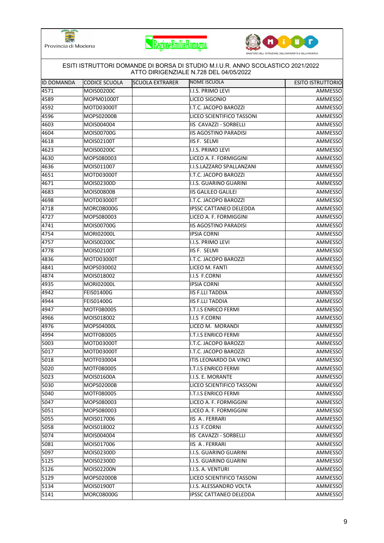





| <b>ID DOMANDA</b> | <b>CODICE SCUOLA</b> | <b>SCUOLA EXTRARER</b> | NOME ISCUOLA                  | <b>ESITO ISTRUTTORIO</b> |
|-------------------|----------------------|------------------------|-------------------------------|--------------------------|
| 4571              | MOIS00200C           |                        | I.I.S. PRIMO LEVI             | AMMESSO                  |
| 4589              | MOPM01000T           |                        | LICEO SIGONIO                 | AMMESSO                  |
| 4592              | MOTD03000T           |                        | I.T.C. JACOPO BAROZZI         | AMMESSO                  |
| 4596              | MOPS02000B           |                        | LICEO SCIENTIFICO TASSONI     | AMMESSO                  |
| 4603              | MOIS004004           |                        | IIS CAVAZZI - SORBELLI        | AMMESSO                  |
| 4604              | MOIS00700G           |                        | <b>IIS AGOSTINO PARADISI</b>  | AMMESSO                  |
| 4618              | MOIS02100T           |                        | IIS F. SELMI                  | AMMESSO                  |
| 4623              | MOIS00200C           |                        | I.I.S. PRIMO LEVI             | AMMESSO                  |
| 4630              | MOPS080003           |                        | LICEO A. F. FORMIGGINI        | AMMESSO                  |
| 4636              | MOIS011007           |                        | I.I.S.LAZZARO SPALLANZANI     | AMMESSO                  |
| 4651              | MOTD03000T           |                        | I.T.C. JACOPO BAROZZI         | AMMESSO                  |
| 4671              | MOIS02300D           |                        | I.I.S. GUARINO GUARINI        | AMMESSO                  |
| 4683              | <b>MOIS00800B</b>    |                        | IIS GALILEO GALILEI           | AMMESSO                  |
| 4698              | MOTD03000T           |                        | I.T.C. JACOPO BAROZZI         | AMMESSO                  |
| 4718              | <b>MORC08000G</b>    |                        | <b>IPSSC CATTANEO DELEDDA</b> | AMMESSO                  |
| 4727              | MOPS080003           |                        | LICEO A. F. FORMIGGINI        | AMMESSO                  |
| 4741              | MOIS00700G           |                        | <b>IIS AGOSTINO PARADISI</b>  | AMMESSO                  |
| 4754              | <b>MORI02000L</b>    |                        | <b>IPSIA CORNI</b>            | AMMESSO                  |
| 4757              | MOIS00200C           |                        | I.I.S. PRIMO LEVI             | AMMESSO                  |
| 4778              | MOIS02100T           |                        | IIS F. SELMI                  | AMMESSO                  |
| 4836              | MOTD03000T           |                        | I.T.C. JACOPO BAROZZI         | AMMESSO                  |
| 4841              | MOPS030002           |                        | LICEO M. FANTI                | AMMESSO                  |
| 4874              | MOIS018002           |                        | I.I.S F.CORNI                 | AMMESSO                  |
| 4935              | MORI02000L           |                        | <b>IPSIA CORNI</b>            | AMMESSO                  |
| 4942              | <b>FEIS01400G</b>    |                        | <b>IIS F.LLI TADDIA</b>       | AMMESSO                  |
| 4944              | <b>FEIS01400G</b>    |                        | <b>IIS F.LLI TADDIA</b>       | AMMESSO                  |
| 4947              | MOTF080005           |                        | I.T.I.S ENRICO FERMI          | AMMESSO                  |
| 4966              | MOIS018002           |                        | I.I.S F.CORNI                 | AMMESSO                  |
| 4976              | MOPS04000L           |                        | LICEO M. MORANDI              | AMMESSO                  |
| 4994              | MOTF080005           |                        | I.T.I.S ENRICO FERMI          | AMMESSO                  |
| 5003              | MOTD03000T           |                        | I.T.C. JACOPO BAROZZI         | AMMESSO                  |
| 5017              | MOTD03000T           |                        | I.T.C. JACOPO BAROZZI         | <b>AMMESSO</b>           |
| 5018              | MOTF030004           |                        | <b>ITIS LEONARDO DA VINCI</b> | AMMESSO                  |
| 5020              | MOTF080005           |                        | I.T.I.S ENRICO FERMI          | AMMESSO                  |
| 5023              | MOIS01600A           |                        | II.I.S. E. MORANTE            | AMMESSO                  |
| 5030              | MOPS02000B           |                        | LICEO SCIENTIFICO TASSONI     | AMMESSO                  |
| 5040              | MOTF080005           |                        | I.T.I.S ENRICO FERMI          | AMMESSO                  |
| 5047              | MOPS080003           |                        | LICEO A. F. FORMIGGINI        | AMMESSO                  |
| 5051              | MOPS080003           |                        | LICEO A. F. FORMIGGINI        | AMMESSO                  |
| 5055              | MOIS017006           |                        | IIS A. FERRARI                | AMMESSO                  |
| 5058              | MOIS018002           |                        | I.I.S F.CORNI                 | AMMESSO                  |
| 5074              | MOIS004004           |                        | IIS CAVAZZI - SORBELLI        | AMMESSO                  |
| 5081              | MOIS017006           |                        | IIS A. FERRARI                | AMMESSO                  |
| 5097              | MOIS02300D           |                        | I.I.S. GUARINO GUARINI        | AMMESSO                  |
| 5125              | MOIS02300D           |                        | I.I.S. GUARINO GUARINI        | AMMESSO                  |
| 5126              | MOIS02200N           |                        | I.I.S. A. VENTURI             | AMMESSO                  |
| 5129              | MOPS02000B           |                        | LICEO SCIENTIFICO TASSONI     | AMMESSO                  |
| 5134              | MOIS01900T           |                        | I.I.S. ALESSANDRO VOLTA       | AMMESSO                  |
|                   |                      |                        |                               |                          |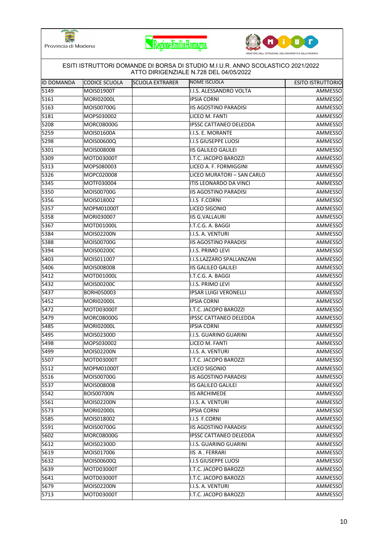





|                   |                      |                 | ESITI ISTRUTTORI DOMANDE DI BORSA DI STUDIO M.I.U.R. ANNO SCOLASTICO 2021/2022<br>ATTO DIRIGENZIALE N.728 DEL 04/05/2022 |                          |
|-------------------|----------------------|-----------------|--------------------------------------------------------------------------------------------------------------------------|--------------------------|
| <b>ID DOMANDA</b> | <b>CODICE SCUOLA</b> | SCUOLA EXTRARER | NOME ISCUOLA                                                                                                             | <b>ESITO ISTRUTTORIO</b> |
| 5149              | MOIS01900T           |                 | I.I.S. ALESSANDRO VOLTA                                                                                                  | AMMESSO                  |
| 5161              | <b>MORI02000L</b>    |                 | <b>IPSIA CORNI</b>                                                                                                       | AMMESSO                  |
| 5163              | MOIS00700G           |                 | <b>IIS AGOSTINO PARADISI</b>                                                                                             | AMMESSO                  |
| 5181              | MOPS030002           |                 | LICEO M. FANTI                                                                                                           | AMMESSO                  |
| 5208              | MORC08000G           |                 | <b>IPSSC CATTANEO DELEDDA</b>                                                                                            | AMMESSO                  |
| 5259              | MOIS01600A           |                 | I.I.S. E. MORANTE                                                                                                        | AMMESSO                  |
| 5298              | MOIS00600Q           |                 | II.S GIUSEPPE LUOSI                                                                                                      | AMMESSO                  |
| 5301              | MOIS00800B           |                 | <b>IIS GALILEO GALILEI</b>                                                                                               | AMMESSO                  |
| 5309              | MOTD03000T           |                 | I.T.C. JACOPO BAROZZI                                                                                                    | AMMESSO                  |
| 5313              | MOPS080003           |                 | LICEO A. F. FORMIGGINI                                                                                                   | AMMESSO                  |
| 5326              | MOPC020008           |                 | LICEO MURATORI - SAN CARLO                                                                                               | AMMESSO                  |
| 5345              | MOTF030004           |                 | ITIS LEONARDO DA VINCI                                                                                                   | AMMESSO                  |
| 5350              | MOIS00700G           |                 | <b>IIS AGOSTINO PARADISI</b>                                                                                             | <b>AMMESSO</b>           |
| 5356              | MOIS018002           |                 | I.I.S F.CORNI                                                                                                            | AMMESSO                  |
| 5357              | MOPM01000T           |                 | LICEO SIGONIO                                                                                                            | AMMESSO                  |
| 5358              | MORI030007           |                 | <b>IIS G.VALLAURI</b>                                                                                                    | AMMESSO                  |
| 5367              | MOTD01000L           |                 | I.T.C.G. A. BAGGI                                                                                                        | AMMESSO                  |
| 5384              | MOIS02200N           |                 | I.I.S. A. VENTURI                                                                                                        | AMMESSO                  |
| 5388              | MOIS00700G           |                 | <b>IIS AGOSTINO PARADISI</b>                                                                                             | AMMESSO                  |
| 5394              | MOIS00200C           |                 | I.I.S. PRIMO LEVI                                                                                                        | AMMESSO                  |
| 5403              | MOIS011007           |                 | I.I.S.LAZZARO SPALLANZANI                                                                                                | AMMESSO                  |
| 5406              | MOIS00800B           |                 | <b>IIS GALILEO GALILEI</b>                                                                                               | AMMESSO                  |
| 5412              | MOTD01000L           |                 | I.T.C.G. A. BAGGI                                                                                                        | AMMESSO                  |
| 5432              | MOIS00200C           |                 | I.I.S. PRIMO LEVI                                                                                                        | AMMESSO                  |
| 5437              | BORH050003           |                 | <b>IPSAR LUIGI VERONELLI</b>                                                                                             | AMMESSO                  |
| 5452              | <b>MORI02000L</b>    |                 | <b>IPSIA CORNI</b>                                                                                                       | AMMESSO                  |
| 5472              | MOTD03000T           |                 | I.T.C. JACOPO BAROZZI                                                                                                    | AMMESSO                  |
| 5479              | MORC08000G           |                 | <b>IPSSC CATTANEO DELEDDA</b>                                                                                            | AMMESSO                  |
| 5485              | MORI02000L           |                 | <b>IPSIA CORNI</b>                                                                                                       | AMMESSO                  |
| 5495              | MOIS02300D           |                 | I.I.S. GUARINO GUARINI                                                                                                   | AMMESSO                  |
| 5498              | MOPS030002           |                 | LICEO M. FANTI                                                                                                           | AMMESSO                  |
| 5499              | MOIS02200N           |                 | I.I.S. A. VENTURI                                                                                                        | <b>AMMESSO</b>           |
| 5507              | MOTD03000T           |                 | I.T.C. JACOPO BAROZZI                                                                                                    | AMMESSO                  |
| 5512              | MOPM01000T           |                 | LICEO SIGONIO                                                                                                            | AMMESSO                  |
| $55\overline{16}$ | MOIS00700G           |                 | <b>IIS AGOSTINO PARADISI</b>                                                                                             | AMMESSO                  |
| 5537              | MOIS00800B           |                 | <b>IIS GALILEO GALILEI</b>                                                                                               | AMMESSO                  |
| 5542              | <b>BOIS00700N</b>    |                 | <b>IIS ARCHIMEDE</b>                                                                                                     | AMMESSO                  |
| 5561              | MOIS02200N           |                 | I.I.S. A. VENTURI                                                                                                        | AMMESSO                  |
| 5573              | MORI02000L           |                 | <b>IPSIA CORNI</b>                                                                                                       | AMMESSO                  |
| 5585              | MOIS018002           |                 | I.I.S F.CORNI                                                                                                            | AMMESSO                  |
| 5591              | MOIS00700G           |                 | <b>IIS AGOSTINO PARADISI</b>                                                                                             | AMMESSO                  |
| 5602              | <b>MORC08000G</b>    |                 | <b>IPSSC CATTANEO DELEDDA</b>                                                                                            | AMMESSO                  |
| 5612              | MOIS02300D           |                 | I.I.S. GUARINO GUARINI                                                                                                   | AMMESSO                  |
| 5619              | MOIS017006           |                 | IIS A. FERRARI                                                                                                           | AMMESSO                  |
| 5632              | MOIS00600Q           |                 | <b>II.I.S GIUSEPPE LUOSI</b>                                                                                             | AMMESSO                  |
| 5639              | MOTD03000T           |                 | I.T.C. JACOPO BAROZZI                                                                                                    | AMMESSO                  |
| 5641              | MOTD03000T           |                 | I.T.C. JACOPO BAROZZI                                                                                                    | AMMESSO                  |
| 5679              | MOIS02200N           |                 | I.I.S. A. VENTURI                                                                                                        | AMMESSO                  |
| 5713              | MOTD03000T           |                 | I.T.C. JACOPO BAROZZI                                                                                                    | AMMESSO                  |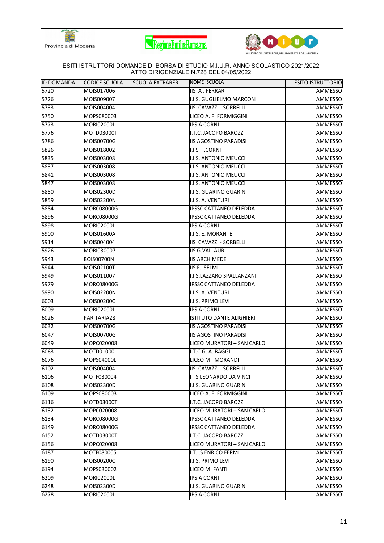





|                   | ESITI ISTRUTTORI DOMANDE DI BORSA DI STUDIO M.I.U.R. ANNO SCOLASTICO 2021/2022<br>ATTO DIRIGENZIALE N.728 DEL 04/05/2022 |                        |                                 |                          |  |
|-------------------|--------------------------------------------------------------------------------------------------------------------------|------------------------|---------------------------------|--------------------------|--|
| <b>ID DOMANDA</b> | CODICE SCUOLA                                                                                                            | <b>SCUOLA EXTRARER</b> | <b>NOME ISCUOLA</b>             | <b>ESITO ISTRUTTORIO</b> |  |
| 5720              | MOIS017006                                                                                                               |                        | <b>IIS A. FERRARI</b>           | AMMESSO                  |  |
| 5726              | MOIS009007                                                                                                               |                        | I.I.S. GUGLIELMO MARCONI        | AMMESSO                  |  |
| 5733              | MOIS004004                                                                                                               |                        | IIS CAVAZZI - SORBELLI          | AMMESSO                  |  |
| 5750              | MOPS080003                                                                                                               |                        | LICEO A. F. FORMIGGINI          | AMMESSO                  |  |
| 5773              | <b>MORI02000L</b>                                                                                                        |                        | <b>IPSIA CORNI</b>              | AMMESSO                  |  |
| 5776              | MOTD03000T                                                                                                               |                        | I.T.C. JACOPO BAROZZI           | AMMESSO                  |  |
| 5786              | MOIS00700G                                                                                                               |                        | <b>IIS AGOSTINO PARADISI</b>    | AMMESSO                  |  |
| 5826              | MOIS018002                                                                                                               |                        | I.I.S F.CORNI                   | AMMESSO                  |  |
| 5835              | MOIS003008                                                                                                               |                        | I.I.S. ANTONIO MEUCCI           | AMMESSO                  |  |
| 5837              | MOIS003008                                                                                                               |                        | I.I.S. ANTONIO MEUCCI           | AMMESSO                  |  |
| 5841              | MOIS003008                                                                                                               |                        | I.I.S. ANTONIO MEUCCI           | AMMESSO                  |  |
| 5847              | MOIS003008                                                                                                               |                        | I.I.S. ANTONIO MEUCCI           | AMMESSO                  |  |
| 5850              | MOIS02300D                                                                                                               |                        | I.I.S. GUARINO GUARINI          | AMMESSO                  |  |
| 5859              | MOIS02200N                                                                                                               |                        | I.I.S. A. VENTURI               | AMMESSO                  |  |
| 5884              | MORC08000G                                                                                                               |                        | <b>IPSSC CATTANEO DELEDDA</b>   | AMMESSO                  |  |
| 5896              | <b>MORC08000G</b>                                                                                                        |                        | <b>IPSSC CATTANEO DELEDDA</b>   | AMMESSO                  |  |
| 5898              | <b>MORI02000L</b>                                                                                                        |                        | <b>IPSIA CORNI</b>              | AMMESSO                  |  |
| 5900              | MOIS01600A                                                                                                               |                        | I.I.S. E. MORANTE               | AMMESSO                  |  |
| 5914              | MOIS004004                                                                                                               |                        | IIS CAVAZZI - SORBELLI          | AMMESSO                  |  |
| 5926              | MORI030007                                                                                                               |                        | <b>IIS G.VALLAURI</b>           | AMMESSO                  |  |
| 5943              | <b>BOIS00700N</b>                                                                                                        |                        | <b>IIS ARCHIMEDE</b>            | AMMESSO                  |  |
| 5944              | MOIS02100T                                                                                                               |                        | IIS F. SELMI                    | AMMESSO                  |  |
| 5949              | MOIS011007                                                                                                               |                        | I.I.S.LAZZARO SPALLANZANI       | AMMESSO                  |  |
| 5979              | <b>MORC08000G</b>                                                                                                        |                        | <b>IPSSC CATTANEO DELEDDA</b>   | AMMESSO                  |  |
| 5990              | MOIS02200N                                                                                                               |                        | I.I.S. A. VENTURI               | AMMESSO                  |  |
| 6003              | MOIS00200C                                                                                                               |                        | I.I.S. PRIMO LEVI               | AMMESSO                  |  |
| 6009              | <b>MORI02000L</b>                                                                                                        |                        | <b>IPSIA CORNI</b>              | AMMESSO                  |  |
| 6026              | PARITARIA28                                                                                                              |                        | <b>ISTITUTO DANTE ALIGHIERI</b> | AMMESSO                  |  |
| 6032              | MOIS00700G                                                                                                               |                        | <b>IIS AGOSTINO PARADISI</b>    | AMMESSO                  |  |
| 6047              | MOIS00700G                                                                                                               |                        | <b>IIS AGOSTINO PARADISI</b>    | AMMESSO                  |  |
| 6049              | MOPC020008                                                                                                               |                        | LICEO MURATORI - SAN CARLO      | AMMESSO                  |  |
| 6063              | MOTD01000L                                                                                                               |                        | I.T.C.G. A. BAGGI               | AMMESSO                  |  |
| 6076              | MOPS04000L                                                                                                               |                        | LICEO M. MORANDI                | AMMESSO                  |  |
| 6102              | MOIS004004                                                                                                               |                        | IIS CAVAZZI - SORBELLI          | AMMESSO                  |  |
| 6106              | MOTF030004                                                                                                               |                        | ITIS LEONARDO DA VINCI          | AMMESSO                  |  |
| 6108              | MOIS02300D                                                                                                               |                        | I.I.S. GUARINO GUARINI          | AMMESSO                  |  |
| 6109              | MOPS080003                                                                                                               |                        | LICEO A. F. FORMIGGINI          | AMMESSO                  |  |
| 6116              | MOTD03000T                                                                                                               |                        | I.T.C. JACOPO BAROZZI           | AMMESSO                  |  |
| 6132              | MOPC020008                                                                                                               |                        | LICEO MURATORI - SAN CARLO      | AMMESSO                  |  |
| 6134              | MORC08000G                                                                                                               |                        | <b>IPSSC CATTANEO DELEDDA</b>   | AMMESSO                  |  |
| 6149              | MORC08000G                                                                                                               |                        | <b>IPSSC CATTANEO DELEDDA</b>   | AMMESSO                  |  |
| 6152              | MOTD03000T                                                                                                               |                        | I.T.C. JACOPO BAROZZI           | AMMESSO                  |  |
| 6156              | MOPC020008                                                                                                               |                        | LICEO MURATORI - SAN CARLO      | AMMESSO                  |  |
| 6187              | MOTF080005                                                                                                               |                        | I.T.I.S ENRICO FERMI            | AMMESSO                  |  |
| 6190              | MOIS00200C                                                                                                               |                        | I.I.S. PRIMO LEVI               | AMMESSO                  |  |
| 6194              | MOPS030002                                                                                                               |                        | LICEO M. FANTI                  | AMMESSO                  |  |
| 6209              | <b>MORI02000L</b>                                                                                                        |                        | <b>IPSIA CORNI</b>              | AMMESSO                  |  |
| 6248              | MOIS02300D                                                                                                               |                        | I.I.S. GUARINO GUARINI          | AMMESSO                  |  |
| 6278              | MORI02000L                                                                                                               |                        | <b>IPSIA CORNI</b>              | AMMESSO                  |  |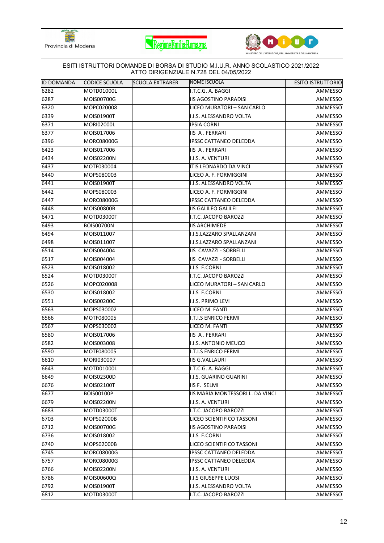





| <b>ID DOMANDA</b> | CODICE SCUOLA     | <b>SCUOLA EXTRARER</b> | ATTO DIRIGENZIALE N.728 DEL 04/05/2022<br><b>NOME ISCUOLA</b> | <b>ESITO ISTRUTTORIO</b> |
|-------------------|-------------------|------------------------|---------------------------------------------------------------|--------------------------|
| 6282              | MOTD01000L        |                        | I.T.C.G. A. BAGGI                                             |                          |
| 6287              | MOIS00700G        |                        | <b>IIS AGOSTINO PARADISI</b>                                  | AMMESSO<br>AMMESSO       |
|                   |                   |                        |                                                               |                          |
| 6320              | MOPC020008        |                        | LICEO MURATORI - SAN CARLO                                    | AMMESSO                  |
| 6339              | MOIS01900T        |                        | I.I.S. ALESSANDRO VOLTA                                       | AMMESSO                  |
| 6371              | <b>MORI02000L</b> |                        | <b>IPSIA CORNI</b>                                            | AMMESSO                  |
| 6377              | MOIS017006        |                        | <b>IIS A. FERRARI</b>                                         | AMMESSO                  |
| 6396              | <b>MORC08000G</b> |                        | <b>IPSSC CATTANEO DELEDDA</b>                                 | AMMESSO                  |
| 6423              | MOIS017006        |                        | IIS A. FERRARI                                                | AMMESSO                  |
| 6434              | MOIS02200N        |                        | I.I.S. A. VENTURI                                             | AMMESSO                  |
| 6437              | MOTF030004        |                        | ITIS LEONARDO DA VINCI                                        | AMMESSO                  |
| 6440              | MOPS080003        |                        | LICEO A. F. FORMIGGINI                                        | AMMESSO                  |
| 6441              | MOIS01900T        |                        | I.I.S. ALESSANDRO VOLTA                                       | AMMESSO                  |
| 6442              | MOPS080003        |                        | LICEO A. F. FORMIGGINI                                        | AMMESSO                  |
| 6447              | <b>MORC08000G</b> |                        | IPSSC CATTANEO DELEDDA                                        | AMMESSO                  |
| 6448              | <b>MOIS00800B</b> |                        | <b>IIS GALILEO GALILEI</b>                                    | AMMESSO                  |
| 6471              | MOTD03000T        |                        | I.T.C. JACOPO BAROZZI                                         | AMMESSO                  |
| 6493              | <b>BOIS00700N</b> |                        | <b>IIS ARCHIMEDE</b>                                          | AMMESSO                  |
| 6494              | MOIS011007        |                        | I.I.S.LAZZARO SPALLANZANI                                     | AMMESSO                  |
| 6498              | MOIS011007        |                        | I.I.S.LAZZARO SPALLANZANI                                     | AMMESSO                  |
| 6514              | MOIS004004        |                        | IIS CAVAZZI - SORBELLI                                        | AMMESSO                  |
| 6517              | MOIS004004        |                        | IIS CAVAZZI - SORBELLI                                        | AMMESSO                  |
| 6523              | MOIS018002        |                        | I.I.S F.CORNI                                                 | AMMESSO                  |
| 6524              | MOTD03000T        |                        | I.T.C. JACOPO BAROZZI                                         | AMMESSO                  |
| 6526              | MOPC020008        |                        | LICEO MURATORI - SAN CARLO                                    | AMMESSO                  |
| 6530              | MOIS018002        |                        | I.I.S F.CORNI                                                 | AMMESSO                  |
| 6551              | MOIS00200C        |                        | I.I.S. PRIMO LEVI                                             | AMMESSO                  |
| 6563              | MOPS030002        |                        | LICEO M. FANTI                                                | AMMESSO                  |
| 6566              | MOTF080005        |                        | <b>I.T.I.S ENRICO FERMI</b>                                   | AMMESSO                  |
| 6567              | MOPS030002        |                        | LICEO M. FANTI                                                | AMMESSO                  |
| 6580              | MOIS017006        |                        | IIS A. FERRARI                                                | AMMESSO                  |
| 6582              | MOIS003008        |                        | I.I.S. ANTONIO MEUCCI                                         | AMMESSO                  |
| 6590              | MOTF080005        |                        | I.T.I.S ENRICO FERMI                                          | AMMESSO                  |
| 6610              | MORI030007        |                        | <b>IIS G.VALLAURI</b>                                         | AMMESSO                  |
| 6643              | MOTD01000L        |                        | I.T.C.G. A. BAGGI                                             | AMMESSO                  |
| 6649              | MOIS02300D        |                        | I.I.S. GUARINO GUARINI                                        | AMMESSO                  |
| 6676              | MOIS02100T        |                        | IIS F. SELMI                                                  | AMMESSO                  |
| 6677              | <b>BOIS00100P</b> |                        | IIS MARIA MONTESSORI L. DA VINCI                              | AMMESSO                  |
| 6679              | MOIS02200N        |                        | I.I.S. A. VENTURI                                             | AMMESSO                  |
| 6683              | MOTD03000T        |                        | I.T.C. JACOPO BAROZZI                                         | AMMESSO                  |
| 6703              | MOPS02000B        |                        | LICEO SCIENTIFICO TASSONI                                     | AMMESSO                  |
| 6712              | MOIS00700G        |                        | <b>IIS AGOSTINO PARADISI</b>                                  | AMMESSO                  |
| 6736              | MOIS018002        |                        | I.I.S F.CORNI                                                 | AMMESSO                  |
| 6740              | MOPS02000B        |                        | LICEO SCIENTIFICO TASSONI                                     | AMMESSO                  |
| 6745              | <b>MORC08000G</b> |                        | <b>IPSSC CATTANEO DELEDDA</b>                                 | AMMESSO                  |
| 6757              | <b>MORC08000G</b> |                        | <b>IPSSC CATTANEO DELEDDA</b>                                 | AMMESSO                  |
| 6766              | MOIS02200N        |                        | I.I.S. A. VENTURI                                             | AMMESSO                  |
| 6786              | MOIS00600Q        |                        | <b>I.I.S GIUSEPPE LUOSI</b>                                   | AMMESSO                  |
| 6792              | MOIS01900T        |                        | I.I.S. ALESSANDRO VOLTA                                       | AMMESSO                  |
| 6812              | MOTD03000T        |                        | I.T.C. JACOPO BAROZZI                                         | AMMESSO                  |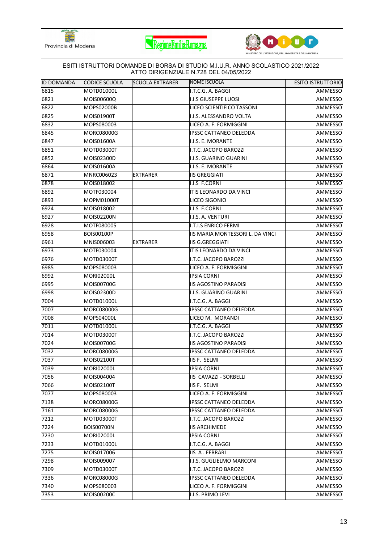





|                   |                      |                        | ESITI ISTRUTTORI DOMANDE DI BORSA DI STUDIO M.I.U.R. ANNO SCOLASTICO 2021/2022<br>ATTO DIRIGENZIALE N.728 DEL 04/05/2022 |                          |
|-------------------|----------------------|------------------------|--------------------------------------------------------------------------------------------------------------------------|--------------------------|
| <b>ID DOMANDA</b> | <b>CODICE SCUOLA</b> | <b>SCUOLA EXTRARER</b> | NOME ISCUOLA                                                                                                             | <b>ESITO ISTRUTTORIO</b> |
| 6815              | MOTD01000L           |                        | I.T.C.G. A. BAGGI                                                                                                        | AMMESSO                  |
| 6821              | MOIS00600Q           |                        | <b>I.I.S GIUSEPPE LUOSI</b>                                                                                              | AMMESSO                  |
| 6822              | MOPS02000B           |                        | LICEO SCIENTIFICO TASSONI                                                                                                | AMMESSO                  |
| 6825              | MOIS01900T           |                        | I.I.S. ALESSANDRO VOLTA                                                                                                  | AMMESSO                  |
| 6832              | MOPS080003           |                        | LICEO A. F. FORMIGGINI                                                                                                   | AMMESSO                  |
| 6845              | <b>MORC08000G</b>    |                        | IPSSC CATTANEO DELEDDA                                                                                                   | AMMESSO                  |
| 6847              | MOIS01600A           |                        | I.I.S. E. MORANTE                                                                                                        | AMMESSO                  |
| 6851              | MOTD03000T           |                        | I.T.C. JACOPO BAROZZI                                                                                                    | AMMESSO                  |
| 6852              | MOIS02300D           |                        | I.I.S. GUARINO GUARINI                                                                                                   | AMMESSO                  |
| 6864              | MOIS01600A           |                        | I.I.S. E. MORANTE                                                                                                        | AMMESSO                  |
| 6871              | MNRC006023           | <b>EXTRARER</b>        | <b>IIS GREGGIATI</b>                                                                                                     | AMMESSO                  |
| 6878              | MOIS018002           |                        | I.I.S F.CORNI                                                                                                            | AMMESSO                  |
| 6892              | MOTF030004           |                        | ITIS LEONARDO DA VINCI                                                                                                   | <b>AMMESSO</b>           |
| 6893              | MOPM01000T           |                        | LICEO SIGONIO                                                                                                            | AMMESSO                  |
| 6924              | MOIS018002           |                        | I.I.S F.CORNI                                                                                                            | AMMESSO                  |
| 6927              | MOIS02200N           |                        | I.I.S. A. VENTURI                                                                                                        | AMMESSO                  |
| 6928              | MOTF080005           |                        | <b>I.T.I.S ENRICO FERMI</b>                                                                                              | AMMESSO                  |
| 6958              | <b>BOIS00100P</b>    |                        | IIS MARIA MONTESSORI L. DA VINCI                                                                                         | AMMESSO                  |
| 6961              | MNIS006003           | <b>EXTRARER</b>        | <b>IIS G.GREGGIATI</b>                                                                                                   | AMMESSO                  |
| 6973              | MOTF030004           |                        | ITIS LEONARDO DA VINCI                                                                                                   | AMMESSO                  |
| 6976              | MOTD03000T           |                        | I.T.C. JACOPO BAROZZI                                                                                                    | AMMESSO                  |
| 6985              | MOPS080003           |                        | LICEO A. F. FORMIGGINI                                                                                                   | AMMESSO                  |
| 6992              | <b>MORI02000L</b>    |                        | <b>IPSIA CORNI</b>                                                                                                       | AMMESSO                  |
| 6995              | MOIS00700G           |                        | <b>IIS AGOSTINO PARADISI</b>                                                                                             | AMMESSO                  |
| 6998              | MOIS02300D           |                        | I.I.S. GUARINO GUARINI                                                                                                   | AMMESSO                  |
| 7004              | MOTD01000L           |                        | I.T.C.G. A. BAGGI                                                                                                        | AMMESSO                  |
| 7007              | <b>MORC08000G</b>    |                        | <b>IPSSC CATTANEO DELEDDA</b>                                                                                            | AMMESSO                  |
| 7008              | MOPS04000L           |                        | LICEO M. MORANDI                                                                                                         | AMMESSO                  |
| 7011              | MOTD01000L           |                        | I.T.C.G. A. BAGGI                                                                                                        | AMMESSO                  |
| 7014              | MOTD03000T           |                        | I.T.C. JACOPO BAROZZI                                                                                                    | <b>AMMESSO</b>           |
| 7024              | MOIS00700G           |                        | <b>IIS AGOSTINO PARADISI</b>                                                                                             | AMMESSO                  |
| 7032              | <b>MORC08000G</b>    |                        | <b>IPSSC CATTANEO DELEDDA</b>                                                                                            | AMMESSO                  |
| 7037              | MOIS02100T           |                        | IIS F. SELMI                                                                                                             | AMMESSO                  |
| 7039              | <b>MORI02000L</b>    |                        | <b>IPSIA CORNI</b>                                                                                                       | AMMESSO                  |
| 7056              | MOIS004004           |                        | IIS CAVAZZI - SORBELLI                                                                                                   | AMMESSO                  |
| 7066              | MOIS02100T           |                        | <b>IIS F. SELMI</b>                                                                                                      | AMMESSO                  |
| 7077              | MOPS080003           |                        | LICEO A. F. FORMIGGINI                                                                                                   | AMMESSO                  |
| 7138              | <b>MORC08000G</b>    |                        | <b>IPSSC CATTANEO DELEDDA</b>                                                                                            | AMMESSO                  |
| 7161              | MORC08000G           |                        | <b>IPSSC CATTANEO DELEDDA</b>                                                                                            | AMMESSO                  |
| 7212              | MOTD03000T           |                        | I.T.C. JACOPO BAROZZI                                                                                                    | AMMESSO                  |
| 7224              | <b>BOIS00700N</b>    |                        | <b>IIS ARCHIMEDE</b>                                                                                                     | AMMESSO                  |
| 7230              | <b>MORI02000L</b>    |                        | <b>IPSIA CORNI</b>                                                                                                       | AMMESSO                  |
| 7233              | MOTD01000L           |                        | I.T.C.G. A. BAGGI                                                                                                        | AMMESSO                  |
| 7275              | MOIS017006           |                        | IIS A. FERRARI                                                                                                           | AMMESSO                  |
| 7298              | MOIS009007           |                        | I.I.S. GUGLIELMO MARCONI                                                                                                 | AMMESSO                  |
| 7309              | MOTD03000T           |                        | I.T.C. JACOPO BAROZZI                                                                                                    | AMMESSO                  |
| 7336              | <b>MORC08000G</b>    |                        | <b>IPSSC CATTANEO DELEDDA</b>                                                                                            | AMMESSO                  |
| 7340              | MOPS080003           |                        | LICEO A. F. FORMIGGINI                                                                                                   | AMMESSO                  |
| 7353              | MOIS00200C           |                        | I.I.S. PRIMO LEVI                                                                                                        | AMMESSO                  |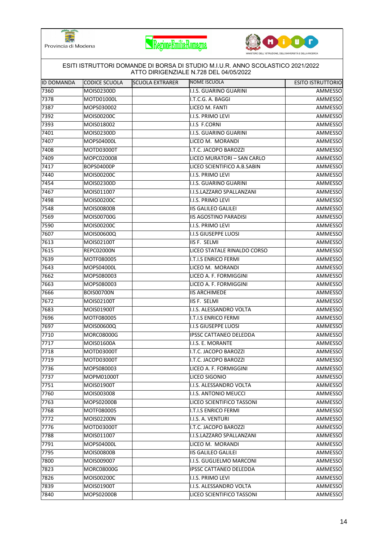





| 7360<br>MOIS02300D<br>I.I.S. GUARINO GUARINI<br>7378<br>MOTD01000L<br>I.T.C.G. A. BAGGI<br>7387<br>MOPS030002<br>LICEO M. FANTI<br>7392<br>MOIS00200C<br>I.I.S. PRIMO LEVI<br>7393<br>MOIS018002<br>I.I.S F.CORNI<br>7401<br>MOIS02300D<br>I.I.S. GUARINO GUARINI<br>7407<br>LICEO M. MORANDI<br>MOPS04000L<br>7408<br>I.T.C. JACOPO BAROZZI<br>MOTD03000T<br>7409<br>MOPC020008<br>LICEO MURATORI - SAN CARLO<br>7417<br><b>BOPS04000P</b><br>LICEO SCIENTIFICO A.B.SABIN<br>7440<br>MOIS00200C<br>I.I.S. PRIMO LEVI<br>7454<br>MOIS02300D<br>I.I.S. GUARINO GUARINI<br>7467<br>MOIS011007<br>I.I.S.LAZZARO SPALLANZANI<br>7498<br>MOIS00200C<br>I.I.S. PRIMO LEVI<br>7548<br><b>MOIS00800B</b><br><b>IIS GALILEO GALILEI</b><br>7569<br>MOIS00700G<br><b>IIS AGOSTINO PARADISI</b><br>AMMESSO<br>7590<br>MOIS00200C<br>I.I.S. PRIMO LEVI<br>7607<br>I.I.S GIUSEPPE LUOSI<br>MOIS00600Q<br>AMMESSO<br>MOIS02100T<br>IIS F. SELMI<br>AMMESSO<br>7615<br><b>REPC02000N</b><br>LICEO STATALE RINALDO CORSO<br>7639<br>MOTF080005<br><b>I.T.I.S ENRICO FERMI</b><br>AMMESSO<br>7643<br>MOPS04000L<br>LICEO M. MORANDI<br>AMMESSO<br>7662<br>MOPS080003<br>LICEO A. F. FORMIGGINI<br>7663<br>MOPS080003<br>LICEO A. F. FORMIGGINI<br>AMMESSO<br>7666<br>AMMESSO<br><b>BOIS00700N</b><br><b>IIS ARCHIMEDE</b><br>7672<br>MOIS02100T<br>IIS F. SELMI<br>AMMESSO<br>7683<br>MOIS01900T<br>I.I.S. ALESSANDRO VOLTA<br>AMMESSO<br>7696<br>MOTF080005<br>I.T.I.S ENRICO FERMI<br>AMMESSO<br>7697<br><b>I.I.S GIUSEPPE LUOSI</b><br>MOIS00600Q<br>7710<br>AMMESSO<br><b>MORC08000G</b><br><b>IPSSC CATTANEO DELEDDA</b><br>MOIS01600A<br>I.I.S. E. MORANTE<br>AMMESSO<br>MOTD03000T<br>I.T.C. JACOPO BAROZZI<br>7719<br>MOTD03000T<br>I.T.C. JACOPO BAROZZI<br>LICEO A. F. FORMIGGINI<br>AMMESSO<br>MOPS080003<br>7737<br>MOPM01000T<br>LICEO SIGONIO<br>AMMESSO<br>7751<br>MOIS01900T<br>I.I.S. ALESSANDRO VOLTA<br>7760<br>I.I.S. ANTONIO MEUCCI<br>MOIS003008<br>AMMESSO<br>7763<br>MOPS02000B<br>LICEO SCIENTIFICO TASSONI<br>AMMESSO<br>7768<br>MOTF080005<br><b>I.T.I.S ENRICO FERMI</b><br>7772<br>MOIS02200N<br>I.I.S. A. VENTURI<br>7776<br>MOTD03000T<br>I.T.C. JACOPO BAROZZI<br>AMMESSO<br>7788<br>MOIS011007<br>I.I.S.LAZZARO SPALLANZANI<br>AMMESSO<br>7791<br>MOPS04000L<br>LICEO M. MORANDI<br>7795<br><b>IIS GALILEO GALILEI</b><br><b>MOIS00800B</b><br>7800<br>MOIS009007<br>I.I.S. GUGLIELMO MARCONI<br>7823<br><b>MORC08000G</b><br><b>IPSSC CATTANEO DELEDDA</b><br>AMMESSO<br>7826<br>MOIS00200C<br>I.I.S. PRIMO LEVI<br>AMMESSO<br>7839<br>MOIS01900T<br>I.I.S. ALESSANDRO VOLTA<br>AMMESSO | <b>ID DOMANDA</b> | <b>CODICE SCUOLA</b> | <b>SCUOLA EXTRARER</b> | NOME ISCUOLA | <b>ESITO ISTRUTTORIO</b> |
|----------------------------------------------------------------------------------------------------------------------------------------------------------------------------------------------------------------------------------------------------------------------------------------------------------------------------------------------------------------------------------------------------------------------------------------------------------------------------------------------------------------------------------------------------------------------------------------------------------------------------------------------------------------------------------------------------------------------------------------------------------------------------------------------------------------------------------------------------------------------------------------------------------------------------------------------------------------------------------------------------------------------------------------------------------------------------------------------------------------------------------------------------------------------------------------------------------------------------------------------------------------------------------------------------------------------------------------------------------------------------------------------------------------------------------------------------------------------------------------------------------------------------------------------------------------------------------------------------------------------------------------------------------------------------------------------------------------------------------------------------------------------------------------------------------------------------------------------------------------------------------------------------------------------------------------------------------------------------------------------------------------------------------------------------------------------------------------------------------------------------------------------------------------------------------------------------------------------------------------------------------------------------------------------------------------------------------------------------------------------------------------------------------------------------------------------------------------------------------------------------------------------------------------------------------------------------------------------------------|-------------------|----------------------|------------------------|--------------|--------------------------|
|                                                                                                                                                                                                                                                                                                                                                                                                                                                                                                                                                                                                                                                                                                                                                                                                                                                                                                                                                                                                                                                                                                                                                                                                                                                                                                                                                                                                                                                                                                                                                                                                                                                                                                                                                                                                                                                                                                                                                                                                                                                                                                                                                                                                                                                                                                                                                                                                                                                                                                                                                                                                          |                   |                      |                        |              | AMMESSO                  |
|                                                                                                                                                                                                                                                                                                                                                                                                                                                                                                                                                                                                                                                                                                                                                                                                                                                                                                                                                                                                                                                                                                                                                                                                                                                                                                                                                                                                                                                                                                                                                                                                                                                                                                                                                                                                                                                                                                                                                                                                                                                                                                                                                                                                                                                                                                                                                                                                                                                                                                                                                                                                          |                   |                      |                        |              | AMMESSO                  |
|                                                                                                                                                                                                                                                                                                                                                                                                                                                                                                                                                                                                                                                                                                                                                                                                                                                                                                                                                                                                                                                                                                                                                                                                                                                                                                                                                                                                                                                                                                                                                                                                                                                                                                                                                                                                                                                                                                                                                                                                                                                                                                                                                                                                                                                                                                                                                                                                                                                                                                                                                                                                          |                   |                      |                        |              | AMMESSO                  |
|                                                                                                                                                                                                                                                                                                                                                                                                                                                                                                                                                                                                                                                                                                                                                                                                                                                                                                                                                                                                                                                                                                                                                                                                                                                                                                                                                                                                                                                                                                                                                                                                                                                                                                                                                                                                                                                                                                                                                                                                                                                                                                                                                                                                                                                                                                                                                                                                                                                                                                                                                                                                          |                   |                      |                        |              | AMMESSO                  |
|                                                                                                                                                                                                                                                                                                                                                                                                                                                                                                                                                                                                                                                                                                                                                                                                                                                                                                                                                                                                                                                                                                                                                                                                                                                                                                                                                                                                                                                                                                                                                                                                                                                                                                                                                                                                                                                                                                                                                                                                                                                                                                                                                                                                                                                                                                                                                                                                                                                                                                                                                                                                          |                   |                      |                        |              | AMMESSO                  |
|                                                                                                                                                                                                                                                                                                                                                                                                                                                                                                                                                                                                                                                                                                                                                                                                                                                                                                                                                                                                                                                                                                                                                                                                                                                                                                                                                                                                                                                                                                                                                                                                                                                                                                                                                                                                                                                                                                                                                                                                                                                                                                                                                                                                                                                                                                                                                                                                                                                                                                                                                                                                          |                   |                      |                        |              | AMMESSO                  |
|                                                                                                                                                                                                                                                                                                                                                                                                                                                                                                                                                                                                                                                                                                                                                                                                                                                                                                                                                                                                                                                                                                                                                                                                                                                                                                                                                                                                                                                                                                                                                                                                                                                                                                                                                                                                                                                                                                                                                                                                                                                                                                                                                                                                                                                                                                                                                                                                                                                                                                                                                                                                          |                   |                      |                        |              | AMMESSO                  |
|                                                                                                                                                                                                                                                                                                                                                                                                                                                                                                                                                                                                                                                                                                                                                                                                                                                                                                                                                                                                                                                                                                                                                                                                                                                                                                                                                                                                                                                                                                                                                                                                                                                                                                                                                                                                                                                                                                                                                                                                                                                                                                                                                                                                                                                                                                                                                                                                                                                                                                                                                                                                          |                   |                      |                        |              | <b>AMMESSO</b>           |
|                                                                                                                                                                                                                                                                                                                                                                                                                                                                                                                                                                                                                                                                                                                                                                                                                                                                                                                                                                                                                                                                                                                                                                                                                                                                                                                                                                                                                                                                                                                                                                                                                                                                                                                                                                                                                                                                                                                                                                                                                                                                                                                                                                                                                                                                                                                                                                                                                                                                                                                                                                                                          |                   |                      |                        |              | AMMESSO                  |
|                                                                                                                                                                                                                                                                                                                                                                                                                                                                                                                                                                                                                                                                                                                                                                                                                                                                                                                                                                                                                                                                                                                                                                                                                                                                                                                                                                                                                                                                                                                                                                                                                                                                                                                                                                                                                                                                                                                                                                                                                                                                                                                                                                                                                                                                                                                                                                                                                                                                                                                                                                                                          |                   |                      |                        |              | AMMESSO                  |
|                                                                                                                                                                                                                                                                                                                                                                                                                                                                                                                                                                                                                                                                                                                                                                                                                                                                                                                                                                                                                                                                                                                                                                                                                                                                                                                                                                                                                                                                                                                                                                                                                                                                                                                                                                                                                                                                                                                                                                                                                                                                                                                                                                                                                                                                                                                                                                                                                                                                                                                                                                                                          |                   |                      |                        |              | AMMESSO                  |
|                                                                                                                                                                                                                                                                                                                                                                                                                                                                                                                                                                                                                                                                                                                                                                                                                                                                                                                                                                                                                                                                                                                                                                                                                                                                                                                                                                                                                                                                                                                                                                                                                                                                                                                                                                                                                                                                                                                                                                                                                                                                                                                                                                                                                                                                                                                                                                                                                                                                                                                                                                                                          |                   |                      |                        |              | AMMESSO                  |
|                                                                                                                                                                                                                                                                                                                                                                                                                                                                                                                                                                                                                                                                                                                                                                                                                                                                                                                                                                                                                                                                                                                                                                                                                                                                                                                                                                                                                                                                                                                                                                                                                                                                                                                                                                                                                                                                                                                                                                                                                                                                                                                                                                                                                                                                                                                                                                                                                                                                                                                                                                                                          |                   |                      |                        |              | AMMESSO                  |
|                                                                                                                                                                                                                                                                                                                                                                                                                                                                                                                                                                                                                                                                                                                                                                                                                                                                                                                                                                                                                                                                                                                                                                                                                                                                                                                                                                                                                                                                                                                                                                                                                                                                                                                                                                                                                                                                                                                                                                                                                                                                                                                                                                                                                                                                                                                                                                                                                                                                                                                                                                                                          |                   |                      |                        |              | AMMESSO                  |
|                                                                                                                                                                                                                                                                                                                                                                                                                                                                                                                                                                                                                                                                                                                                                                                                                                                                                                                                                                                                                                                                                                                                                                                                                                                                                                                                                                                                                                                                                                                                                                                                                                                                                                                                                                                                                                                                                                                                                                                                                                                                                                                                                                                                                                                                                                                                                                                                                                                                                                                                                                                                          |                   |                      |                        |              | AMMESSO                  |
|                                                                                                                                                                                                                                                                                                                                                                                                                                                                                                                                                                                                                                                                                                                                                                                                                                                                                                                                                                                                                                                                                                                                                                                                                                                                                                                                                                                                                                                                                                                                                                                                                                                                                                                                                                                                                                                                                                                                                                                                                                                                                                                                                                                                                                                                                                                                                                                                                                                                                                                                                                                                          |                   |                      |                        |              |                          |
| 7613<br>7717<br>7718<br>7736                                                                                                                                                                                                                                                                                                                                                                                                                                                                                                                                                                                                                                                                                                                                                                                                                                                                                                                                                                                                                                                                                                                                                                                                                                                                                                                                                                                                                                                                                                                                                                                                                                                                                                                                                                                                                                                                                                                                                                                                                                                                                                                                                                                                                                                                                                                                                                                                                                                                                                                                                                             |                   |                      |                        |              | AMMESSO                  |
|                                                                                                                                                                                                                                                                                                                                                                                                                                                                                                                                                                                                                                                                                                                                                                                                                                                                                                                                                                                                                                                                                                                                                                                                                                                                                                                                                                                                                                                                                                                                                                                                                                                                                                                                                                                                                                                                                                                                                                                                                                                                                                                                                                                                                                                                                                                                                                                                                                                                                                                                                                                                          |                   |                      |                        |              |                          |
|                                                                                                                                                                                                                                                                                                                                                                                                                                                                                                                                                                                                                                                                                                                                                                                                                                                                                                                                                                                                                                                                                                                                                                                                                                                                                                                                                                                                                                                                                                                                                                                                                                                                                                                                                                                                                                                                                                                                                                                                                                                                                                                                                                                                                                                                                                                                                                                                                                                                                                                                                                                                          |                   |                      |                        |              |                          |
|                                                                                                                                                                                                                                                                                                                                                                                                                                                                                                                                                                                                                                                                                                                                                                                                                                                                                                                                                                                                                                                                                                                                                                                                                                                                                                                                                                                                                                                                                                                                                                                                                                                                                                                                                                                                                                                                                                                                                                                                                                                                                                                                                                                                                                                                                                                                                                                                                                                                                                                                                                                                          |                   |                      |                        |              | AMMESSO                  |
|                                                                                                                                                                                                                                                                                                                                                                                                                                                                                                                                                                                                                                                                                                                                                                                                                                                                                                                                                                                                                                                                                                                                                                                                                                                                                                                                                                                                                                                                                                                                                                                                                                                                                                                                                                                                                                                                                                                                                                                                                                                                                                                                                                                                                                                                                                                                                                                                                                                                                                                                                                                                          |                   |                      |                        |              |                          |
|                                                                                                                                                                                                                                                                                                                                                                                                                                                                                                                                                                                                                                                                                                                                                                                                                                                                                                                                                                                                                                                                                                                                                                                                                                                                                                                                                                                                                                                                                                                                                                                                                                                                                                                                                                                                                                                                                                                                                                                                                                                                                                                                                                                                                                                                                                                                                                                                                                                                                                                                                                                                          |                   |                      |                        |              |                          |
|                                                                                                                                                                                                                                                                                                                                                                                                                                                                                                                                                                                                                                                                                                                                                                                                                                                                                                                                                                                                                                                                                                                                                                                                                                                                                                                                                                                                                                                                                                                                                                                                                                                                                                                                                                                                                                                                                                                                                                                                                                                                                                                                                                                                                                                                                                                                                                                                                                                                                                                                                                                                          |                   |                      |                        |              | AMMESSO                  |
|                                                                                                                                                                                                                                                                                                                                                                                                                                                                                                                                                                                                                                                                                                                                                                                                                                                                                                                                                                                                                                                                                                                                                                                                                                                                                                                                                                                                                                                                                                                                                                                                                                                                                                                                                                                                                                                                                                                                                                                                                                                                                                                                                                                                                                                                                                                                                                                                                                                                                                                                                                                                          |                   |                      |                        |              |                          |
|                                                                                                                                                                                                                                                                                                                                                                                                                                                                                                                                                                                                                                                                                                                                                                                                                                                                                                                                                                                                                                                                                                                                                                                                                                                                                                                                                                                                                                                                                                                                                                                                                                                                                                                                                                                                                                                                                                                                                                                                                                                                                                                                                                                                                                                                                                                                                                                                                                                                                                                                                                                                          |                   |                      |                        |              |                          |
|                                                                                                                                                                                                                                                                                                                                                                                                                                                                                                                                                                                                                                                                                                                                                                                                                                                                                                                                                                                                                                                                                                                                                                                                                                                                                                                                                                                                                                                                                                                                                                                                                                                                                                                                                                                                                                                                                                                                                                                                                                                                                                                                                                                                                                                                                                                                                                                                                                                                                                                                                                                                          |                   |                      |                        |              |                          |
|                                                                                                                                                                                                                                                                                                                                                                                                                                                                                                                                                                                                                                                                                                                                                                                                                                                                                                                                                                                                                                                                                                                                                                                                                                                                                                                                                                                                                                                                                                                                                                                                                                                                                                                                                                                                                                                                                                                                                                                                                                                                                                                                                                                                                                                                                                                                                                                                                                                                                                                                                                                                          |                   |                      |                        |              |                          |
|                                                                                                                                                                                                                                                                                                                                                                                                                                                                                                                                                                                                                                                                                                                                                                                                                                                                                                                                                                                                                                                                                                                                                                                                                                                                                                                                                                                                                                                                                                                                                                                                                                                                                                                                                                                                                                                                                                                                                                                                                                                                                                                                                                                                                                                                                                                                                                                                                                                                                                                                                                                                          |                   |                      |                        |              |                          |
|                                                                                                                                                                                                                                                                                                                                                                                                                                                                                                                                                                                                                                                                                                                                                                                                                                                                                                                                                                                                                                                                                                                                                                                                                                                                                                                                                                                                                                                                                                                                                                                                                                                                                                                                                                                                                                                                                                                                                                                                                                                                                                                                                                                                                                                                                                                                                                                                                                                                                                                                                                                                          |                   |                      |                        |              | AMMESSO                  |
|                                                                                                                                                                                                                                                                                                                                                                                                                                                                                                                                                                                                                                                                                                                                                                                                                                                                                                                                                                                                                                                                                                                                                                                                                                                                                                                                                                                                                                                                                                                                                                                                                                                                                                                                                                                                                                                                                                                                                                                                                                                                                                                                                                                                                                                                                                                                                                                                                                                                                                                                                                                                          |                   |                      |                        |              |                          |
|                                                                                                                                                                                                                                                                                                                                                                                                                                                                                                                                                                                                                                                                                                                                                                                                                                                                                                                                                                                                                                                                                                                                                                                                                                                                                                                                                                                                                                                                                                                                                                                                                                                                                                                                                                                                                                                                                                                                                                                                                                                                                                                                                                                                                                                                                                                                                                                                                                                                                                                                                                                                          |                   |                      |                        |              |                          |
|                                                                                                                                                                                                                                                                                                                                                                                                                                                                                                                                                                                                                                                                                                                                                                                                                                                                                                                                                                                                                                                                                                                                                                                                                                                                                                                                                                                                                                                                                                                                                                                                                                                                                                                                                                                                                                                                                                                                                                                                                                                                                                                                                                                                                                                                                                                                                                                                                                                                                                                                                                                                          |                   |                      |                        |              | <b>AMMESSO</b>           |
|                                                                                                                                                                                                                                                                                                                                                                                                                                                                                                                                                                                                                                                                                                                                                                                                                                                                                                                                                                                                                                                                                                                                                                                                                                                                                                                                                                                                                                                                                                                                                                                                                                                                                                                                                                                                                                                                                                                                                                                                                                                                                                                                                                                                                                                                                                                                                                                                                                                                                                                                                                                                          |                   |                      |                        |              | AMMESSO                  |
|                                                                                                                                                                                                                                                                                                                                                                                                                                                                                                                                                                                                                                                                                                                                                                                                                                                                                                                                                                                                                                                                                                                                                                                                                                                                                                                                                                                                                                                                                                                                                                                                                                                                                                                                                                                                                                                                                                                                                                                                                                                                                                                                                                                                                                                                                                                                                                                                                                                                                                                                                                                                          |                   |                      |                        |              |                          |
|                                                                                                                                                                                                                                                                                                                                                                                                                                                                                                                                                                                                                                                                                                                                                                                                                                                                                                                                                                                                                                                                                                                                                                                                                                                                                                                                                                                                                                                                                                                                                                                                                                                                                                                                                                                                                                                                                                                                                                                                                                                                                                                                                                                                                                                                                                                                                                                                                                                                                                                                                                                                          |                   |                      |                        |              |                          |
|                                                                                                                                                                                                                                                                                                                                                                                                                                                                                                                                                                                                                                                                                                                                                                                                                                                                                                                                                                                                                                                                                                                                                                                                                                                                                                                                                                                                                                                                                                                                                                                                                                                                                                                                                                                                                                                                                                                                                                                                                                                                                                                                                                                                                                                                                                                                                                                                                                                                                                                                                                                                          |                   |                      |                        |              | AMMESSO                  |
|                                                                                                                                                                                                                                                                                                                                                                                                                                                                                                                                                                                                                                                                                                                                                                                                                                                                                                                                                                                                                                                                                                                                                                                                                                                                                                                                                                                                                                                                                                                                                                                                                                                                                                                                                                                                                                                                                                                                                                                                                                                                                                                                                                                                                                                                                                                                                                                                                                                                                                                                                                                                          |                   |                      |                        |              |                          |
|                                                                                                                                                                                                                                                                                                                                                                                                                                                                                                                                                                                                                                                                                                                                                                                                                                                                                                                                                                                                                                                                                                                                                                                                                                                                                                                                                                                                                                                                                                                                                                                                                                                                                                                                                                                                                                                                                                                                                                                                                                                                                                                                                                                                                                                                                                                                                                                                                                                                                                                                                                                                          |                   |                      |                        |              |                          |
|                                                                                                                                                                                                                                                                                                                                                                                                                                                                                                                                                                                                                                                                                                                                                                                                                                                                                                                                                                                                                                                                                                                                                                                                                                                                                                                                                                                                                                                                                                                                                                                                                                                                                                                                                                                                                                                                                                                                                                                                                                                                                                                                                                                                                                                                                                                                                                                                                                                                                                                                                                                                          |                   |                      |                        |              | AMMESSO                  |
|                                                                                                                                                                                                                                                                                                                                                                                                                                                                                                                                                                                                                                                                                                                                                                                                                                                                                                                                                                                                                                                                                                                                                                                                                                                                                                                                                                                                                                                                                                                                                                                                                                                                                                                                                                                                                                                                                                                                                                                                                                                                                                                                                                                                                                                                                                                                                                                                                                                                                                                                                                                                          |                   |                      |                        |              | AMMESSO                  |
|                                                                                                                                                                                                                                                                                                                                                                                                                                                                                                                                                                                                                                                                                                                                                                                                                                                                                                                                                                                                                                                                                                                                                                                                                                                                                                                                                                                                                                                                                                                                                                                                                                                                                                                                                                                                                                                                                                                                                                                                                                                                                                                                                                                                                                                                                                                                                                                                                                                                                                                                                                                                          |                   |                      |                        |              |                          |
|                                                                                                                                                                                                                                                                                                                                                                                                                                                                                                                                                                                                                                                                                                                                                                                                                                                                                                                                                                                                                                                                                                                                                                                                                                                                                                                                                                                                                                                                                                                                                                                                                                                                                                                                                                                                                                                                                                                                                                                                                                                                                                                                                                                                                                                                                                                                                                                                                                                                                                                                                                                                          |                   |                      |                        |              |                          |
|                                                                                                                                                                                                                                                                                                                                                                                                                                                                                                                                                                                                                                                                                                                                                                                                                                                                                                                                                                                                                                                                                                                                                                                                                                                                                                                                                                                                                                                                                                                                                                                                                                                                                                                                                                                                                                                                                                                                                                                                                                                                                                                                                                                                                                                                                                                                                                                                                                                                                                                                                                                                          |                   |                      |                        |              | AMMESSO                  |
|                                                                                                                                                                                                                                                                                                                                                                                                                                                                                                                                                                                                                                                                                                                                                                                                                                                                                                                                                                                                                                                                                                                                                                                                                                                                                                                                                                                                                                                                                                                                                                                                                                                                                                                                                                                                                                                                                                                                                                                                                                                                                                                                                                                                                                                                                                                                                                                                                                                                                                                                                                                                          |                   |                      |                        |              | AMMESSO                  |
|                                                                                                                                                                                                                                                                                                                                                                                                                                                                                                                                                                                                                                                                                                                                                                                                                                                                                                                                                                                                                                                                                                                                                                                                                                                                                                                                                                                                                                                                                                                                                                                                                                                                                                                                                                                                                                                                                                                                                                                                                                                                                                                                                                                                                                                                                                                                                                                                                                                                                                                                                                                                          |                   |                      |                        |              | AMMESSO                  |
|                                                                                                                                                                                                                                                                                                                                                                                                                                                                                                                                                                                                                                                                                                                                                                                                                                                                                                                                                                                                                                                                                                                                                                                                                                                                                                                                                                                                                                                                                                                                                                                                                                                                                                                                                                                                                                                                                                                                                                                                                                                                                                                                                                                                                                                                                                                                                                                                                                                                                                                                                                                                          |                   |                      |                        |              |                          |
|                                                                                                                                                                                                                                                                                                                                                                                                                                                                                                                                                                                                                                                                                                                                                                                                                                                                                                                                                                                                                                                                                                                                                                                                                                                                                                                                                                                                                                                                                                                                                                                                                                                                                                                                                                                                                                                                                                                                                                                                                                                                                                                                                                                                                                                                                                                                                                                                                                                                                                                                                                                                          |                   |                      |                        |              |                          |
|                                                                                                                                                                                                                                                                                                                                                                                                                                                                                                                                                                                                                                                                                                                                                                                                                                                                                                                                                                                                                                                                                                                                                                                                                                                                                                                                                                                                                                                                                                                                                                                                                                                                                                                                                                                                                                                                                                                                                                                                                                                                                                                                                                                                                                                                                                                                                                                                                                                                                                                                                                                                          |                   |                      |                        |              |                          |
| 7840<br>MOPS02000B<br>LICEO SCIENTIFICO TASSONI                                                                                                                                                                                                                                                                                                                                                                                                                                                                                                                                                                                                                                                                                                                                                                                                                                                                                                                                                                                                                                                                                                                                                                                                                                                                                                                                                                                                                                                                                                                                                                                                                                                                                                                                                                                                                                                                                                                                                                                                                                                                                                                                                                                                                                                                                                                                                                                                                                                                                                                                                          |                   |                      |                        |              | AMMESSO                  |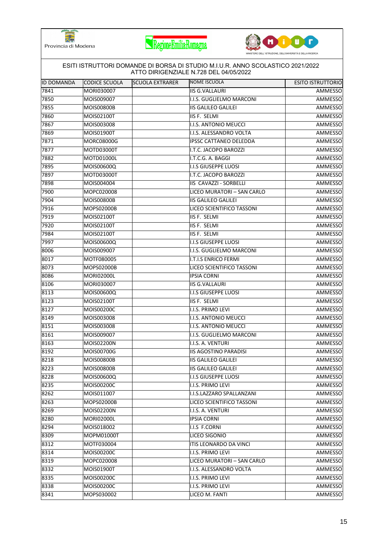





| <b>ID DOMANDA</b> | CODICE SCUOLA     | <b>SCUOLA EXTRARER</b> | NOME ISCUOLA                 | <b>ESITO ISTRUTTORIO</b> |
|-------------------|-------------------|------------------------|------------------------------|--------------------------|
| 7841              | MORI030007        |                        | <b>IIS G.VALLAURI</b>        | AMMESSO                  |
| 7850              | MOIS009007        |                        | I.I.S. GUGLIELMO MARCONI     | AMMESSO                  |
| 7855              | <b>MOIS00800B</b> |                        | <b>IIS GALILEO GALILEI</b>   | AMMESSO                  |
| 7860              | MOIS02100T        |                        | IIS F. SELMI                 | AMMESSO                  |
| 7867              | MOIS003008        |                        | I.I.S. ANTONIO MEUCCI        | AMMESSO                  |
| 7869              | MOIS01900T        |                        | I.I.S. ALESSANDRO VOLTA      | AMMESSO                  |
| 7871              | <b>MORC08000G</b> |                        | IPSSC CATTANEO DELEDDA       | AMMESSO                  |
| 7877              | MOTD03000T        |                        | I.T.C. JACOPO BAROZZI        | <b>AMMESSO</b>           |
| 7882              | MOTD01000L        |                        | I.T.C.G. A. BAGGI            | AMMESSO                  |
| 7895              | MOIS00600Q        |                        | <b>I.I.S GIUSEPPE LUOSI</b>  | AMMESSO                  |
| 7897              | MOTD03000T        |                        | I.T.C. JACOPO BAROZZI        | AMMESSO                  |
| 7898              | MOIS004004        |                        | IIS CAVAZZI - SORBELLI       | AMMESSO                  |
| 7900              | MOPC020008        |                        | LICEO MURATORI - SAN CARLO   | AMMESSO                  |
| 7904              | MOIS00800B        |                        | <b>IIS GALILEO GALILEI</b>   | AMMESSO                  |
| 7916              | MOPS02000B        |                        | LICEO SCIENTIFICO TASSONI    | AMMESSO                  |
| 7919              | MOIS02100T        |                        | IIS F. SELMI                 | AMMESSO                  |
| 7920              | MOIS02100T        |                        | IIS F. SELMI                 | AMMESSO                  |
| 7984              | MOIS02100T        |                        | IIS F. SELMI                 | AMMESSO                  |
| 7997              | MOIS00600Q        |                        | <b>I.I.S GIUSEPPE LUOSI</b>  | AMMESSO                  |
| 8006              | MOIS009007        |                        | I.I.S. GUGLIELMO MARCONI     | AMMESSO                  |
| 8017              | MOTF080005        |                        | <b>I.T.I.S ENRICO FERMI</b>  | AMMESSO                  |
| 8073              | MOPS02000B        |                        | LICEO SCIENTIFICO TASSONI    | AMMESSO                  |
| 8086              | MORI02000L        |                        | <b>IPSIA CORNI</b>           | AMMESSO                  |
| 8106              | MORI030007        |                        | <b>IIS G.VALLAURI</b>        | AMMESSO                  |
| 8113              | MOIS00600Q        |                        | <b>I.I.S GIUSEPPE LUOSI</b>  | AMMESSO                  |
| 8123              | MOIS02100T        |                        | IIS F. SELMI                 | AMMESSO                  |
| 8127              | MOIS00200C        |                        | I.I.S. PRIMO LEVI            | AMMESSO                  |
| 8149              | MOIS003008        |                        | I.I.S. ANTONIO MEUCCI        | AMMESSO                  |
| 8151              | MOIS003008        |                        | I.I.S. ANTONIO MEUCCI        | AMMESSO                  |
| 8161              | MOIS009007        |                        | I.I.S. GUGLIELMO MARCONI     | AMMESSO                  |
| 8163              | MOIS02200N        |                        | I.I.S. A. VENTURI            | AMMESSO                  |
| 8192              | MOIS00700G        |                        | <b>IIS AGOSTINO PARADISI</b> | <b>AMMESSO</b>           |
| 8218              | <b>MOIS00800B</b> |                        | <b>IIS GALILEO GALILEI</b>   | AMMESSO                  |
| 8223              | MOIS00800B        |                        | <b>IIS GALILEO GALILEI</b>   | AMMESSO                  |
| 8228              | MOIS00600Q        |                        | <b>I.I.S GIUSEPPE LUOSI</b>  | AMMESSO                  |
| 8235              | MOIS00200C        |                        | I.I.S. PRIMO LEVI            | AMMESSO                  |
| 8262              | MOIS011007        |                        | I.I.S.LAZZARO SPALLANZANI    | AMMESSO                  |
| 8263              | MOPS02000B        |                        | LICEO SCIENTIFICO TASSONI    | AMMESSO                  |
| 8269              | MOIS02200N        |                        | I.I.S. A. VENTURI            | AMMESSO                  |
| 8280              | MORI02000L        |                        | <b>IPSIA CORNI</b>           | AMMESSO                  |
| 8294              | MOIS018002        |                        | I.I.S F.CORNI                | AMMESSO                  |
| 8309              | MOPM01000T        |                        | LICEO SIGONIO                | AMMESSO                  |
| 8312              | MOTF030004        |                        | ITIS LEONARDO DA VINCI       | AMMESSO                  |
| 8314              | MOIS00200C        |                        | I.I.S. PRIMO LEVI            | AMMESSO                  |
| 8319              | MOPC020008        |                        | LICEO MURATORI - SAN CARLO   | AMMESSO                  |
| 8332              | MOIS01900T        |                        | I.I.S. ALESSANDRO VOLTA      | AMMESSO                  |
| 8335              | MOIS00200C        |                        | I.I.S. PRIMO LEVI            | AMMESSO                  |
| 8338              | MOIS00200C        |                        | I.I.S. PRIMO LEVI            | AMMESSO                  |
| 8341              | MOPS030002        |                        | LICEO M. FANTI               | AMMESSO                  |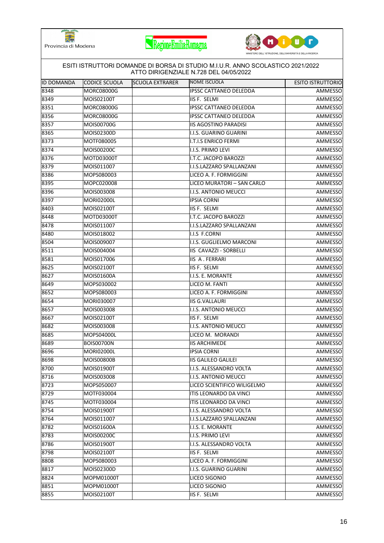





| <b>ID DOMANDA</b> | <b>CODICE SCUOLA</b> | <b>SCUOLA EXTRARER</b> | NOME ISCUOLA                  | <b>ESITO ISTRUTTORIO</b> |
|-------------------|----------------------|------------------------|-------------------------------|--------------------------|
| 8348              | MORC08000G           |                        | <b>IPSSC CATTANEO DELEDDA</b> | AMMESSO                  |
| 8349              | MOIS02100T           |                        | IIS F. SELMI                  | AMMESSO                  |
| 8351              | MORC08000G           |                        | <b>IPSSC CATTANEO DELEDDA</b> | AMMESSO                  |
| 8356              | MORC08000G           |                        | <b>IPSSC CATTANEO DELEDDA</b> | AMMESSO                  |
| 8357              | MOIS00700G           |                        | <b>IIS AGOSTINO PARADISI</b>  | AMMESSO                  |
| 8365              | MOIS02300D           |                        | I.I.S. GUARINO GUARINI        | AMMESSO                  |
| 8373              | MOTF080005           |                        | I.T.I.S ENRICO FERMI          | AMMESSO                  |
| 8374              | MOIS00200C           |                        | I.I.S. PRIMO LEVI             | AMMESSO                  |
| 8376              | MOTD03000T           |                        | I.T.C. JACOPO BAROZZI         | AMMESSO                  |
| 8379              | MOIS011007           |                        | I.I.S.LAZZARO SPALLANZANI     | AMMESSO                  |
| 8386              | MOPS080003           |                        | LICEO A. F. FORMIGGINI        | AMMESSO                  |
| 8395              | MOPC020008           |                        | LICEO MURATORI - SAN CARLO    | <b>AMMESSO</b>           |
| 8396              | MOIS003008           |                        | I.I.S. ANTONIO MEUCCI         | AMMESSO                  |
| 8397              | <b>MORI02000L</b>    |                        | <b>IPSIA CORNI</b>            | AMMESSO                  |
| 8403              | MOIS02100T           |                        | IIS F. SELMI                  | AMMESSO                  |
| 8448              | MOTD03000T           |                        | I.T.C. JACOPO BAROZZI         | AMMESSO                  |
| 8478              | MOIS011007           |                        | I.I.S.LAZZARO SPALLANZANI     | AMMESSO                  |
| 8480              | MOIS018002           |                        | I.I.S F.CORNI                 | AMMESSO                  |
| 8504              | MOIS009007           |                        | I.I.S. GUGLIELMO MARCONI      | AMMESSO                  |
| 8511              | MOIS004004           |                        | IIS CAVAZZI - SORBELLI        | AMMESSO                  |
| 8581              | MOIS017006           |                        | IIS A. FERRARI                | AMMESSO                  |
| 8625              | MOIS02100T           |                        | IIS F. SELMI                  | AMMESSO                  |
| 8627              | MOIS01600A           |                        | I.I.S. E. MORANTE             | AMMESSO                  |
| 8649              | MOPS030002           |                        | LICEO M. FANTI                | AMMESSO                  |
| 8652              | MOPS080003           |                        | LICEO A. F. FORMIGGINI        | AMMESSO                  |
| 8654              | MORI030007           |                        | <b>IIS G.VALLAURI</b>         | AMMESSO                  |
| 8657              | MOIS003008           |                        | I.I.S. ANTONIO MEUCCI         | AMMESSO                  |
| 8667              | MOIS02100T           |                        | IIS F. SELMI                  | AMMESSO                  |
| 8682              | MOIS003008           |                        | I.I.S. ANTONIO MEUCCI         | AMMESSO                  |
| 8685              | MOPS04000L           |                        | LICEO M. MORANDI              | AMMESSO                  |
| 8689              | <b>BOIS00700N</b>    |                        | <b>IIS ARCHIMEDE</b>          | AMMESSO                  |
| 8696              | <b>MORI02000L</b>    |                        | <b>IPSIA CORNI</b>            | <b>AMMESSO</b>           |
| 8698              | MOIS00800B           |                        | <b>IIS GALILEO GALILEI</b>    | AMMESSO                  |
| 8700              | <b>MOIS01900T</b>    |                        | II.I.S. ALESSANDRO VOLTA      | AMMESSO                  |
| 8716              | MOIS003008           |                        | I.I.S. ANTONIO MEUCCI         | AMMESSO                  |
| 8723              | MOPS050007           |                        | LICEO SCIENTIFICO WILIGELMO   | <b>AMMESSO</b>           |
| 8729              | MOTF030004           |                        | ITIS LEONARDO DA VINCI        | AMMESSO                  |
| 8745              | MOTF030004           |                        | ITIS LEONARDO DA VINCI        | AMMESSO                  |
| 8754              | MOIS01900T           |                        | I.I.S. ALESSANDRO VOLTA       | AMMESSO                  |
| 8764              | MOIS011007           |                        | I.I.S.LAZZARO SPALLANZANI     | AMMESSO                  |
| 8782              | MOIS01600A           |                        | I.I.S. E. MORANTE             | AMMESSO                  |
| 8783              | MOIS00200C           |                        | I.I.S. PRIMO LEVI             | AMMESSO                  |
| 8786              | MOIS01900T           |                        | II.I.S. ALESSANDRO VOLTA      | AMMESSO                  |
| 8798              | MOIS02100T           |                        | IIS F. SELMI                  | AMMESSO                  |
| 8808              | MOPS080003           |                        | LICEO A. F. FORMIGGINI        | AMMESSO                  |
| 8817              | MOIS02300D           |                        | I.I.S. GUARINO GUARINI        | AMMESSO                  |
| 8824              | MOPM01000T           |                        | LICEO SIGONIO                 | AMMESSO                  |
| 8851              | MOPM01000T           |                        | LICEO SIGONIO                 | AMMESSO                  |
| 8855              | MOIS02100T           |                        | IIS F. SELMI                  | AMMESSO                  |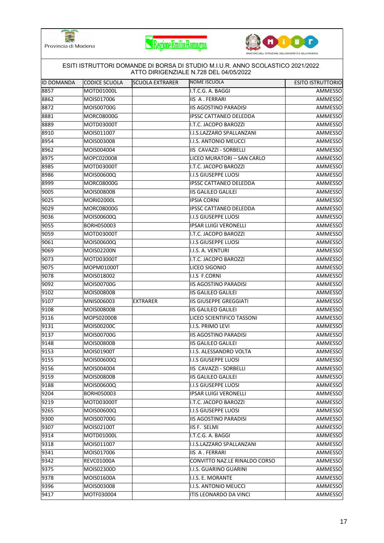





|                           | CODICE SCUOLA            |                        | ATTO DIRIGENZIALE N.728 DEL 04/05/2022<br>NOME ISCUOLA |                          |
|---------------------------|--------------------------|------------------------|--------------------------------------------------------|--------------------------|
| <b>ID DOMANDA</b><br>8857 |                          | <b>SCUOLA EXTRARER</b> |                                                        | <b>ESITO ISTRUTTORIO</b> |
| 8862                      | MOTD01000L               |                        | I.T.C.G. A. BAGGI                                      | AMMESSO                  |
|                           | MOIS017006<br>MOIS00700G |                        | IIS A. FERRARI<br><b>IIS AGOSTINO PARADISI</b>         | AMMESSO                  |
| 8872                      |                          |                        |                                                        | AMMESSO                  |
| 8881                      | MORC08000G               |                        | <b>IPSSC CATTANEO DELEDDA</b>                          | AMMESSO                  |
| 8889                      | MOTD03000T               |                        | I.T.C. JACOPO BAROZZI                                  | AMMESSO                  |
| 8910<br>8954              | MOIS011007<br>MOIS003008 |                        | I.I.S.LAZZARO SPALLANZANI                              | AMMESSO                  |
|                           |                          |                        | I.I.S. ANTONIO MEUCCI                                  | AMMESSO                  |
| 8962                      | MOIS004004               |                        | IIS CAVAZZI - SORBELLI                                 | AMMESSO                  |
| 8975                      | MOPC020008               |                        | LICEO MURATORI - SAN CARLO                             | AMMESSO                  |
| 8985                      | MOTD03000T               |                        | I.T.C. JACOPO BAROZZI                                  | AMMESSO                  |
| 8986                      | MOIS00600Q               |                        | I.I.S GIUSEPPE LUOSI                                   | AMMESSO                  |
| 8999                      | MORC08000G               |                        | <b>IPSSC CATTANEO DELEDDA</b>                          | AMMESSO                  |
| 9005                      | <b>MOIS00800B</b>        |                        | <b>IIS GALILEO GALILEI</b>                             | <b>AMMESSO</b>           |
| 9025                      | <b>MORI02000L</b>        |                        | <b>IPSIA CORNI</b>                                     | AMMESSO                  |
| 9029                      | MORC08000G               |                        | <b>IPSSC CATTANEO DELEDDA</b>                          | AMMESSO                  |
| 9036                      | MOIS00600Q               |                        | II.I.S GIUSEPPE LUOSI                                  | AMMESSO                  |
| 9055                      | BORH050003               |                        | <b>IPSAR LUIGI VERONELLI</b>                           | AMMESSO                  |
| 9059                      | MOTD03000T               |                        | I.T.C. JACOPO BAROZZI                                  | AMMESSO                  |
| 9061                      | MOIS00600Q               |                        | II.S GIUSEPPE LUOSI                                    | AMMESSO                  |
| 9069                      | MOIS02200N               |                        | I.I.S. A. VENTURI                                      | AMMESSO                  |
| 9073                      | MOTD03000T               |                        | I.T.C. JACOPO BAROZZI                                  | AMMESSO                  |
| 9075                      | MOPM01000T               |                        | LICEO SIGONIO                                          | AMMESSO                  |
| 9078                      | MOIS018002               |                        | I.I.S F.CORNI                                          | AMMESSO                  |
| 9092                      | MOIS00700G               |                        | <b>IIS AGOSTINO PARADISI</b>                           | AMMESSO                  |
| 9102                      | <b>MOIS00800B</b>        |                        | <b>IIS GALILEO GALILEI</b>                             | AMMESSO                  |
| 9107                      | MNIS006003               | <b>EXTRARER</b>        | <b>IIS GIUSEPPE GREGGIATI</b>                          | AMMESSO                  |
| 9108                      | <b>MOIS00800B</b>        |                        | <b>IIS GALILEO GALILEI</b>                             | AMMESSO                  |
| 9116                      | MOPS02000B               |                        | LICEO SCIENTIFICO TASSONI                              | AMMESSO                  |
| 9131                      | MOIS00200C               |                        | II.I.S. PRIMO LEVI                                     | AMMESSO                  |
| 9137                      | MOIS00700G               |                        | <b>IIS AGOSTINO PARADISI</b>                           | AMMESSO                  |
| 9148                      | <b>MOIS00800B</b>        |                        | <b>IIS GALILEO GALILEI</b>                             | AMMESSO                  |
| 9153                      | MOIS01900T               |                        | I.I.S. ALESSANDRO VOLTA                                | <b>AMMESSO</b>           |
| 9155                      | MOIS00600Q               |                        | <b>II.I.S GIUSEPPE LUOSI</b>                           | AMMESSO                  |
| 9156                      | MOIS004004               |                        | IIS CAVAZZI - SORBELLI                                 | AMMESSO                  |
| 9159                      | <b>MOIS00800B</b>        |                        | <b>IIS GALILEO GALILEI</b>                             | AMMESSO                  |
| 9188                      | MOIS00600Q               |                        | <b>II.I.S GIUSEPPE LUOSI</b>                           | AMMESSO                  |
| 9204                      | BORH050003               |                        | <b>IPSAR LUIGI VERONELLI</b>                           | AMMESSO                  |
| 9219                      | MOTD03000T               |                        | I.T.C. JACOPO BAROZZI                                  | AMMESSO                  |
| 9265                      | MOIS00600Q               |                        | <b>II.I.S GIUSEPPE LUOSI</b>                           | AMMESSO                  |
| 9300                      | MOIS00700G               |                        | <b>IIS AGOSTINO PARADISI</b>                           | AMMESSO                  |
| 9307                      | MOIS02100T               |                        | IIS F. SELMI                                           | AMMESSO                  |
| 9314                      | MOTD01000L               |                        | I.T.C.G. A. BAGGI                                      | AMMESSO                  |
| 9318                      | MOIS011007               |                        | I.I.S.LAZZARO SPALLANZANI                              | AMMESSO                  |
| 9341                      | MOIS017006               |                        | IIS A. FERRARI                                         | AMMESSO                  |
| 9342                      | <b>REVC01000A</b>        |                        | CONVITTO NAZ.LE RINALDO CORSO                          | AMMESSO                  |
| 9375                      | MOIS02300D               |                        | I.I.S. GUARINO GUARINI                                 | AMMESSO                  |
| 9378                      | MOIS01600A               |                        | I.I.S. E. MORANTE                                      | AMMESSO                  |
| 9396                      | MOIS003008               |                        | I.I.S. ANTONIO MEUCCI                                  | AMMESSO                  |
| 9417                      | MOTF030004               |                        | ITIS LEONARDO DA VINCI                                 | AMMESSO                  |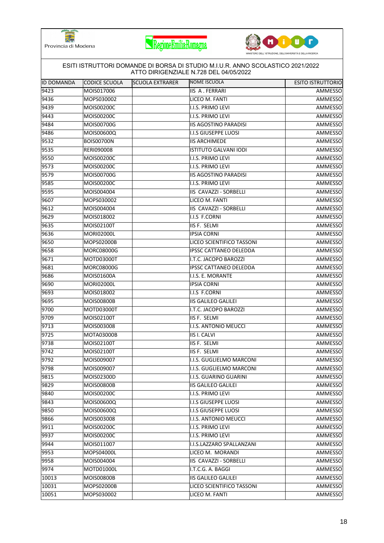





| <b>ID DOMANDA</b> | CODICE SCUOLA     | <b>SCUOLA EXTRARER</b> | NOME ISCUOLA                 | <b>ESITO ISTRUTTORIO</b> |
|-------------------|-------------------|------------------------|------------------------------|--------------------------|
| 9423              | MOIS017006        |                        | <b>IIS A. FERRARI</b>        | AMMESSO                  |
| 9436              | MOPS030002        |                        | LICEO M. FANTI               | AMMESSO                  |
| 9439              | MOIS00200C        |                        | I.I.S. PRIMO LEVI            | AMMESSO                  |
| 9443              | MOIS00200C        |                        | I.I.S. PRIMO LEVI            | AMMESSO                  |
| 9484              | MOIS00700G        |                        | <b>IIS AGOSTINO PARADISI</b> | AMMESSO                  |
| 9486              | MOIS00600Q        |                        | <b>I.I.S GIUSEPPE LUOSI</b>  | AMMESSO                  |
| 9532              | <b>BOIS00700N</b> |                        | <b>IIS ARCHIMEDE</b>         | AMMESSO                  |
| 9535              | RERI090008        |                        | ISTITUTO GALVANI IODI        | <b>AMMESSO</b>           |
| 9550              | MOIS00200C        |                        | I.I.S. PRIMO LEVI            | AMMESSO                  |
| 9573              | MOIS00200C        |                        | I.I.S. PRIMO LEVI            | AMMESSO                  |
| 9579              | MOIS00700G        |                        | <b>IIS AGOSTINO PARADISI</b> | AMMESSO                  |
| 9585              | MOIS00200C        |                        | I.I.S. PRIMO LEVI            | AMMESSO                  |
| 9595              | MOIS004004        |                        | IIS CAVAZZI - SORBELLI       | AMMESSO                  |
| 9607              | MOPS030002        |                        | LICEO M. FANTI               | AMMESSO                  |
| 9612              | MOIS004004        |                        | IIS CAVAZZI - SORBELLI       | AMMESSO                  |
| 9629              | MOIS018002        |                        | <b>I.I.S F.CORNI</b>         | AMMESSO                  |
| 9635              | MOIS02100T        |                        | IIS F. SELMI                 | AMMESSO                  |
| 9636              | <b>MORI02000L</b> |                        | <b>IPSIA CORNI</b>           | AMMESSO                  |
| 9650              | MOPS02000B        |                        | LICEO SCIENTIFICO TASSONI    | AMMESSO                  |
| 9658              | <b>MORC08000G</b> |                        | IPSSC CATTANEO DELEDDA       | AMMESSO                  |
| 9671              | MOTD03000T        |                        | I.T.C. JACOPO BAROZZI        | AMMESSO                  |
| 9681              | MORC08000G        |                        | IPSSC CATTANEO DELEDDA       | AMMESSO                  |
| 9686              | MOIS01600A        |                        | I.I.S. E. MORANTE            | AMMESSO                  |
| 9690              | MORI02000L        |                        | <b>IPSIA CORNI</b>           | AMMESSO                  |
| 9693              | MOIS018002        |                        | I.I.S F.CORNI                | AMMESSO                  |
| 9695              | <b>MOIS00800B</b> |                        | <b>IIS GALILEO GALILEI</b>   | AMMESSO                  |
| 9700              | MOTD03000T        |                        | I.T.C. JACOPO BAROZZI        | AMMESSO                  |
| 9709              | MOIS02100T        |                        | IIS F. SELMI                 | AMMESSO                  |
| 9713              | MOIS003008        |                        | I.I.S. ANTONIO MEUCCI        | AMMESSO                  |
| 9725              | MOTA03000B        |                        | <b>IIS I. CALVI</b>          | AMMESSO                  |
| 9738              | MOIS02100T        |                        | IIS F. SELMI                 | AMMESSO                  |
| 9742              | MOIS02100T        |                        | IIS F. SELMI                 | <b>AMMESSO</b>           |
| 9792              | MOIS009007        |                        | I.I.S. GUGLIELMO MARCONI     | AMMESSO                  |
| 9798              | MOIS009007        |                        | I.I.S. GUGLIELMO MARCONI     | AMMESSO                  |
| 9815              | MOIS02300D        |                        | I.I.S. GUARINO GUARINI       | AMMESSO                  |
| 9829              | MOIS00800B        |                        | <b>IIS GALILEO GALILEI</b>   | AMMESSO                  |
| 9840              | MOIS00200C        |                        | I.I.S. PRIMO LEVI            | AMMESSO                  |
| 9843              | MOIS00600Q        |                        | I.I.S GIUSEPPE LUOSI         | AMMESSO                  |
| 9850              | MOIS00600Q        |                        | <b>I.I.S GIUSEPPE LUOSI</b>  | AMMESSO                  |
| 9866              | MOIS003008        |                        | I.I.S. ANTONIO MEUCCI        | AMMESSO                  |
| 9911              | MOIS00200C        |                        | I.I.S. PRIMO LEVI            | AMMESSO                  |
| 9937              | MOIS00200C        |                        | I.I.S. PRIMO LEVI            | AMMESSO                  |
| 9944              | MOIS011007        |                        | I.I.S.LAZZARO SPALLANZANI    | AMMESSO                  |
| 9953              | MOPS04000L        |                        | LICEO M. MORANDI             | AMMESSO                  |
| 9958              | MOIS004004        |                        | IIS CAVAZZI - SORBELLI       | AMMESSO                  |
| 9974              | MOTD01000L        |                        | I.T.C.G. A. BAGGI            | AMMESSO                  |
| 10013             | MOIS00800B        |                        | <b>IIS GALILEO GALILEI</b>   | AMMESSO                  |
| 10031             | MOPS02000B        |                        | LICEO SCIENTIFICO TASSONI    | AMMESSO                  |
| 10051             | MOPS030002        |                        | LICEO M. FANTI               | AMMESSO                  |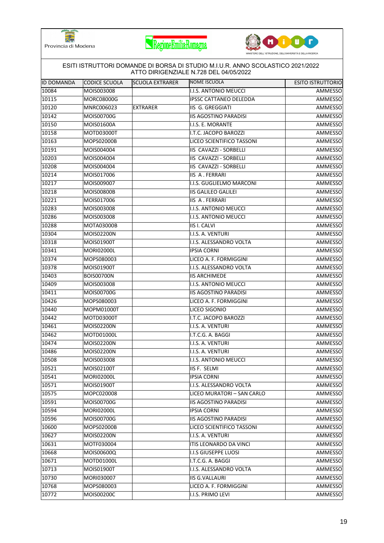





| <b>ID DOMANDA</b> | CODICE SCUOLA     | <b>SCUOLA EXTRARER</b> | NOME ISCUOLA                  | <b>ESITO ISTRUTTORIO</b> |
|-------------------|-------------------|------------------------|-------------------------------|--------------------------|
| 10084             | MOIS003008        |                        | I.I.S. ANTONIO MEUCCI         | AMMESSO                  |
| 10115             | <b>MORC08000G</b> |                        | <b>IPSSC CATTANEO DELEDDA</b> | AMMESSO                  |
| 10120             | MNRC006023        | <b>EXTRARER</b>        | IIS G. GREGGIATI              | AMMESSO                  |
| 10142             | MOIS00700G        |                        | <b>IIS AGOSTINO PARADISI</b>  | AMMESSO                  |
| 10150             | MOIS01600A        |                        | I.I.S. E. MORANTE             | AMMESSO                  |
| 10158             | MOTD03000T        |                        | I.T.C. JACOPO BAROZZI         | AMMESSO                  |
| 10163             | MOPS02000B        |                        | LICEO SCIENTIFICO TASSONI     | AMMESSO                  |
| 10191             | MOIS004004        |                        | IIS CAVAZZI - SORBELLI        | AMMESSO                  |
| 10203             | MOIS004004        |                        | IIS CAVAZZI - SORBELLI        | AMMESSO                  |
| 10208             | MOIS004004        |                        | IIS CAVAZZI - SORBELLI        | AMMESSO                  |
| 10214             | MOIS017006        |                        | IIS A. FERRARI                | AMMESSO                  |
| 10217             | MOIS009007        |                        | I.I.S. GUGLIELMO MARCONI      | AMMESSO                  |
| 10218             | <b>MOIS00800B</b> |                        | <b>IIS GALILEO GALILEI</b>    | AMMESSO                  |
| 10221             | MOIS017006        |                        | IIS A. FERRARI                | AMMESSO                  |
| 10283             | MOIS003008        |                        | I.I.S. ANTONIO MEUCCI         | AMMESSO                  |
| 10286             | MOIS003008        |                        | I.I.S. ANTONIO MEUCCI         | AMMESSO                  |
| 10288             | MOTA03000B        |                        | <b>IIS I. CALVI</b>           | AMMESSO                  |
| 10304             | MOIS02200N        |                        | I.I.S. A. VENTURI             | AMMESSO                  |
| 10318             | MOIS01900T        |                        | I.I.S. ALESSANDRO VOLTA       | AMMESSO                  |
| 10341             | <b>MORI02000L</b> |                        | <b>IPSIA CORNI</b>            | AMMESSO                  |
| 10374             | MOPS080003        |                        | LICEO A. F. FORMIGGINI        | AMMESSO                  |
| 10378             | MOIS01900T        |                        | I.I.S. ALESSANDRO VOLTA       | AMMESSO                  |
| 10403             | <b>BOIS00700N</b> |                        | <b>IIS ARCHIMEDE</b>          | AMMESSO                  |
| 10409             | MOIS003008        |                        | I.I.S. ANTONIO MEUCCI         | AMMESSO                  |
| 10411             | MOIS00700G        |                        | <b>IIS AGOSTINO PARADISI</b>  | AMMESSO                  |
| 10426             | MOPS080003        |                        | LICEO A. F. FORMIGGINI        | AMMESSO                  |
| 10440             | MOPM01000T        |                        | LICEO SIGONIO                 | AMMESSO                  |
| 10442             | MOTD03000T        |                        | I.T.C. JACOPO BAROZZI         | AMMESSO                  |
| 10461             | MOIS02200N        |                        | I.I.S. A. VENTURI             | AMMESSO                  |
| 10462             | MOTD01000L        |                        | I.T.C.G. A. BAGGI             | AMMESSO                  |
| 10474             | MOIS02200N        |                        | I.I.S. A. VENTURI             | AMMESSO                  |
| 10486             | MOIS02200N        |                        | I.I.S. A. VENTURI             | <b>AMMESSO</b>           |
| 10508             | MOIS003008        |                        | I.I.S. ANTONIO MEUCCI         | AMMESSO                  |
| 10521             | MOIS02100T        |                        | IIS F. SELMI                  | AMMESSO                  |
| 10541             | MORI02000L        |                        | <b>IPSIA CORNI</b>            | AMMESSO                  |
| 10571             | MOIS01900T        |                        | I.I.S. ALESSANDRO VOLTA       | AMMESSO                  |
| 10575             | MOPC020008        |                        | LICEO MURATORI - SAN CARLO    | AMMESSO                  |
| 10591             | MOIS00700G        |                        | <b>IIS AGOSTINO PARADISI</b>  | AMMESSO                  |
| 10594             | <b>MORI02000L</b> |                        | <b>IPSIA CORNI</b>            | AMMESSO                  |
| 10596             | MOIS00700G        |                        | <b>IIS AGOSTINO PARADISI</b>  | AMMESSO                  |
| 10600             | MOPS02000B        |                        | LICEO SCIENTIFICO TASSONI     | AMMESSO                  |
| 10627             | MOIS02200N        |                        | I.I.S. A. VENTURI             | AMMESSO                  |
| 10631             | MOTF030004        |                        | ITIS LEONARDO DA VINCI        | AMMESSO                  |
| 10668             | MOIS00600Q        |                        | II.S GIUSEPPE LUOSI           | AMMESSO                  |
| 10671             | MOTD01000L        |                        | I.T.C.G. A. BAGGI             | AMMESSO                  |
| 10713             | MOIS01900T        |                        | I.I.S. ALESSANDRO VOLTA       | AMMESSO                  |
| 10730             | MORI030007        |                        | <b>IIS G.VALLAURI</b>         | AMMESSO                  |
| 10768             | MOPS080003        |                        | LICEO A. F. FORMIGGINI        | AMMESSO                  |
| 10772             | MOIS00200C        |                        | I.I.S. PRIMO LEVI             | AMMESSO                  |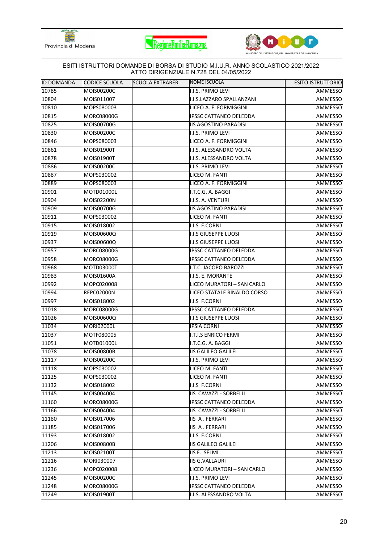





|                   |                   |                        | ESITI ISTRUTTORI DOMANDE DI BORSA DI STUDIO M.I.U.R. ANNO SCOLASTICO 2021/2022<br>ATTO DIRIGENZIALE N.728 DEL 04/05/2022 |                          |
|-------------------|-------------------|------------------------|--------------------------------------------------------------------------------------------------------------------------|--------------------------|
| <b>ID DOMANDA</b> | CODICE SCUOLA     | <b>SCUOLA EXTRARER</b> | <b>NOME ISCUOLA</b>                                                                                                      | <b>ESITO ISTRUTTORIO</b> |
| 10785             | <b>MOIS00200C</b> |                        | I.I.S. PRIMO LEVI                                                                                                        | AMMESSO                  |
| 10804             | MOIS011007        |                        | <b>I.I.S.LAZZARO SPALLANZANI</b>                                                                                         | AMMESSO                  |
| 10810             | MOPS080003        |                        | LICEO A. F. FORMIGGINI                                                                                                   | AMMESSO                  |
| 10815             | <b>MORC08000G</b> |                        | <b>IPSSC CATTANEO DELEDDA</b>                                                                                            | AMMESSO                  |
| 10825             | MOIS00700G        |                        | <b>IIS AGOSTINO PARADISI</b>                                                                                             | AMMESSO                  |
| 10830             | <b>MOIS00200C</b> |                        | I.I.S. PRIMO LEVI                                                                                                        | AMMESSO                  |
| 10846             | MOPS080003        |                        | LICEO A. F. FORMIGGINI                                                                                                   | AMMESSO                  |
| 10861             | MOIS01900T        |                        | I.I.S. ALESSANDRO VOLTA                                                                                                  | AMMESSO                  |
| 10878             | MOIS01900T        |                        | I.I.S. ALESSANDRO VOLTA                                                                                                  | AMMESSO                  |
| 10886             | <b>MOIS00200C</b> |                        | I.I.S. PRIMO LEVI                                                                                                        | AMMESSO                  |
| 10887             | MOPS030002        |                        | LICEO M. FANTI                                                                                                           | AMMESSO                  |
| 10889             | MOPS080003        |                        | LICEO A. F. FORMIGGINI                                                                                                   | AMMESSO                  |
| 10901             | MOTD01000L        |                        | I.T.C.G. A. BAGGI                                                                                                        | AMMESSO                  |
| 10904             | MOIS02200N        |                        | I.I.S. A. VENTURI                                                                                                        | AMMESSO                  |
| 10909             | MOIS00700G        |                        | <b>IIS AGOSTINO PARADISI</b>                                                                                             | AMMESSO                  |
| 10911             | MOPS030002        |                        | LICEO M. FANTI                                                                                                           | AMMESSO                  |
| 10915             | MOIS018002        |                        | I.I.S F.CORNI                                                                                                            | AMMESSO                  |
| 10919             | <b>MOIS00600Q</b> |                        | <b>II.I.S GIUSEPPE LUOSI</b>                                                                                             | AMMESSO                  |
| 10937             | MOIS00600Q        |                        | <b>I.I.S GIUSEPPE LUOSI</b>                                                                                              | AMMESSO                  |
| 10957             | <b>MORC08000G</b> |                        | <b>IPSSC CATTANEO DELEDDA</b>                                                                                            | AMMESSO                  |
| 10958             | <b>MORC08000G</b> |                        | <b>IPSSC CATTANEO DELEDDA</b>                                                                                            | AMMESSO                  |
| 10968             | MOTD03000T        |                        | I.T.C. JACOPO BAROZZI                                                                                                    | AMMESSO                  |
| 10983             | MOIS01600A        |                        | I.I.S. E. MORANTE                                                                                                        | AMMESSO                  |
| 10992             | MOPC020008        |                        | LICEO MURATORI - SAN CARLO                                                                                               | AMMESSO                  |
| 10994             | REPC02000N        |                        | LICEO STATALE RINALDO CORSO                                                                                              | AMMESSO                  |
| 10997             | MOIS018002        |                        | I.I.S F.CORNI                                                                                                            | AMMESSO                  |
| 11018             | MORC08000G        |                        | <b>IPSSC CATTANEO DELEDDA</b>                                                                                            | AMMESSO                  |
| 11026             | <b>MOIS00600Q</b> |                        | <b>I.I.S GIUSEPPE LUOSI</b>                                                                                              | AMMESSO                  |
| 11034             | MORI02000L        |                        | <b>IPSIA CORNI</b>                                                                                                       | AMMESSO                  |
| 11037             | MOTF080005        |                        | <b>I.T.I.S ENRICO FERMI</b>                                                                                              | AMMESSO                  |
| 11051             | MOTD01000L        |                        | I.T.C.G. A. BAGGI                                                                                                        | AMMESSO                  |
| 11078             | MOIS00800B        |                        | IIS GALILEO GALILEI                                                                                                      | AMMESSO                  |
| 11117             | MOIS00200C        |                        | I.I.S. PRIMO LEVI                                                                                                        | AMMESSO                  |
| 11118             | MOPS030002        |                        | LICEO M. FANTI                                                                                                           | AMMESSO                  |
| 11125             | MOPS030002        |                        | LICEO M. FANTI                                                                                                           | AMMESSO                  |
| 11132             | MOIS018002        |                        | I.I.S F.CORNI                                                                                                            | AMMESSO                  |
| 11145             | MOIS004004        |                        | IIS CAVAZZI - SORBELLI                                                                                                   | AMMESSO                  |
| 11160             | MORC08000G        |                        | <b>IPSSC CATTANEO DELEDDA</b>                                                                                            | AMMESSO                  |
| 11166             | MOIS004004        |                        | IIS CAVAZZI - SORBELLI                                                                                                   | AMMESSO                  |
| 11180             | MOIS017006        |                        | <b>IIS A. FERRARI</b>                                                                                                    | AMMESSO                  |
| 11185             | MOIS017006        |                        | IIS A. FERRARI                                                                                                           | AMMESSO                  |
| 11193             | MOIS018002        |                        | I.I.S F.CORNI                                                                                                            | AMMESSO                  |
| 11206             | MOIS00800B        |                        | <b>IIS GALILEO GALILEI</b>                                                                                               | AMMESSO                  |
| 11213             | MOIS02100T        |                        | <b>IIS F. SELMI</b>                                                                                                      | AMMESSO                  |
| 11216             | MORI030007        |                        | <b>IIS G.VALLAURI</b>                                                                                                    | AMMESSO                  |
| 11236             | MOPC020008        |                        | LICEO MURATORI - SAN CARLO                                                                                               | AMMESSO                  |
| 11245             | MOIS00200C        |                        | I.I.S. PRIMO LEVI                                                                                                        | AMMESSO                  |
| 11248             | MORC08000G        |                        | <b>IPSSC CATTANEO DELEDDA</b>                                                                                            | AMMESSO                  |
| 11249             | MOIS01900T        |                        | I.I.S. ALESSANDRO VOLTA                                                                                                  | AMMESSO                  |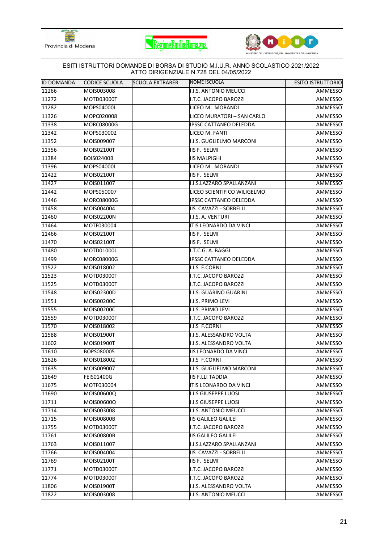





|                   |                   |                        | ESITI ISTRUTTORI DOMANDE DI BORSA DI STUDIO M.I.U.R. ANNO SCOLASTICO 2021/2022<br>ATTO DIRIGENZIALE N.728 DEL 04/05/2022 |                          |
|-------------------|-------------------|------------------------|--------------------------------------------------------------------------------------------------------------------------|--------------------------|
| <b>ID DOMANDA</b> | CODICE SCUOLA     | <b>SCUOLA EXTRARER</b> | NOME ISCUOLA                                                                                                             | <b>ESITO ISTRUTTORIO</b> |
| 11266             | MOIS003008        |                        | I.I.S. ANTONIO MEUCCI                                                                                                    | AMMESSO                  |
| 11272             | MOTD03000T        |                        | I.T.C. JACOPO BAROZZI                                                                                                    | AMMESSO                  |
| 11282             | MOPS04000L        |                        | LICEO M. MORANDI                                                                                                         | AMMESSO                  |
| 11326             | MOPC020008        |                        | LICEO MURATORI - SAN CARLO                                                                                               | AMMESSO                  |
| 11338             | <b>MORC08000G</b> |                        | <b>IPSSC CATTANEO DELEDDA</b>                                                                                            | AMMESSO                  |
| 11342             | MOPS030002        |                        | LICEO M. FANTI                                                                                                           | AMMESSO                  |
| 11352             | MOIS009007        |                        | I.I.S. GUGLIELMO MARCONI                                                                                                 | AMMESSO                  |
| 11356             | MOIS02100T        |                        | IIS F. SELMI                                                                                                             | AMMESSO                  |
| 11384             | <b>BOIS02400B</b> |                        | <b>IIS MALPIGHI</b>                                                                                                      | AMMESSO                  |
| 11396             | MOPS04000L        |                        | LICEO M. MORANDI                                                                                                         | AMMESSO                  |
| 11422             | MOIS02100T        |                        | IIS F. SELMI                                                                                                             | AMMESSO                  |
| 11427             | MOIS011007        |                        | I.I.S.LAZZARO SPALLANZANI                                                                                                | AMMESSO                  |
| 11442             | MOPS050007        |                        | LICEO SCIENTIFICO WILIGELMO                                                                                              | AMMESSO                  |
| 11446             | MORC08000G        |                        | <b>IPSSC CATTANEO DELEDDA</b>                                                                                            | AMMESSO                  |
| 11458             | MOIS004004        |                        | IIS CAVAZZI - SORBELLI                                                                                                   | AMMESSO                  |
| 11460             | MOIS02200N        |                        | I.I.S. A. VENTURI                                                                                                        | AMMESSO                  |
| 11464             | MOTF030004        |                        | <b>ITIS LEONARDO DA VINCI</b>                                                                                            | AMMESSO                  |
| 11466             | MOIS02100T        |                        | IIS F. SELMI                                                                                                             | AMMESSO                  |
| 11470             | MOIS02100T        |                        | IIS F. SELMI                                                                                                             | AMMESSO                  |
| 11480             | MOTD01000L        |                        | I.T.C.G. A. BAGGI                                                                                                        | AMMESSO                  |
| 11499             | <b>MORC08000G</b> |                        | <b>IPSSC CATTANEO DELEDDA</b>                                                                                            | AMMESSO                  |
| 11522             | MOIS018002        |                        | I.I.S F.CORNI                                                                                                            | AMMESSO                  |
| 11523             | MOTD03000T        |                        | I.T.C. JACOPO BAROZZI                                                                                                    | AMMESSO                  |
| 11525             | MOTD03000T        |                        | I.T.C. JACOPO BAROZZI                                                                                                    | AMMESSO                  |
| 11548             | MOIS02300D        |                        | I.I.S. GUARINO GUARINI                                                                                                   | AMMESSO                  |
| 11551             | MOIS00200C        |                        | I.I.S. PRIMO LEVI                                                                                                        | AMMESSO                  |
| 11555             | MOIS00200C        |                        | I.I.S. PRIMO LEVI                                                                                                        | AMMESSO                  |
| 11559             | MOTD03000T        |                        | I.T.C. JACOPO BAROZZI                                                                                                    | AMMESSO                  |
| 11570             | MOIS018002        |                        | I.I.S F.CORNI                                                                                                            | AMMESSO                  |
| 11588             | MOIS01900T        |                        | I.I.S. ALESSANDRO VOLTA                                                                                                  | AMMESSO                  |
| 11602             | MOIS01900T        |                        | I.I.S. ALESSANDRO VOLTA                                                                                                  | AMMESSO                  |
| 11610             | BOPS080005        |                        | <b>IIS LEONARDO DA VINCI</b>                                                                                             | AMMESSO                  |
| 11626             | MOIS018002        |                        | I.I.S F.CORNI                                                                                                            | AMMESSO                  |
| 11635             | MOIS009007        |                        | I.I.S. GUGLIELMO MARCONI                                                                                                 | AMMESSO                  |
| 11649             | <b>FEIS01400G</b> |                        | <b>IIS F.LLI TADDIA</b>                                                                                                  | AMMESSO                  |
| 11675             | MOTF030004        |                        | ITIS LEONARDO DA VINCI                                                                                                   | AMMESSO                  |
| 11690             | MOIS00600Q        |                        | I.I.S GIUSEPPE LUOSI                                                                                                     | AMMESSO                  |
| 11711             | MOIS00600Q        |                        | <b>I.I.S GIUSEPPE LUOSI</b>                                                                                              | AMMESSO                  |
| 11714             | MOIS003008        |                        | I.I.S. ANTONIO MEUCCI                                                                                                    | AMMESSO                  |
| 11715             | MOIS00800B        |                        | <b>IIS GALILEO GALILEI</b>                                                                                               | AMMESSO                  |
| 11755             | MOTD03000T        |                        | I.T.C. JACOPO BAROZZI                                                                                                    | AMMESSO                  |
| 11761             | <b>MOIS00800B</b> |                        | <b>IIS GALILEO GALILEI</b>                                                                                               | AMMESSO                  |
| 11763             | MOIS011007        |                        | I.I.S.LAZZARO SPALLANZANI                                                                                                | AMMESSO                  |
| 11766             | MOIS004004        |                        | IIS CAVAZZI - SORBELLI                                                                                                   | AMMESSO                  |
| 11769             | MOIS02100T        |                        | IIS F. SELMI                                                                                                             | AMMESSO                  |
| 11771             | MOTD03000T        |                        | I.T.C. JACOPO BAROZZI                                                                                                    | AMMESSO                  |
| 11774             | MOTD03000T        |                        | I.T.C. JACOPO BAROZZI                                                                                                    | AMMESSO                  |
| 11806             | MOIS01900T        |                        | I.I.S. ALESSANDRO VOLTA                                                                                                  | AMMESSO                  |
| 11822             | MOIS003008        |                        | I.I.S. ANTONIO MEUCCI                                                                                                    | AMMESSO                  |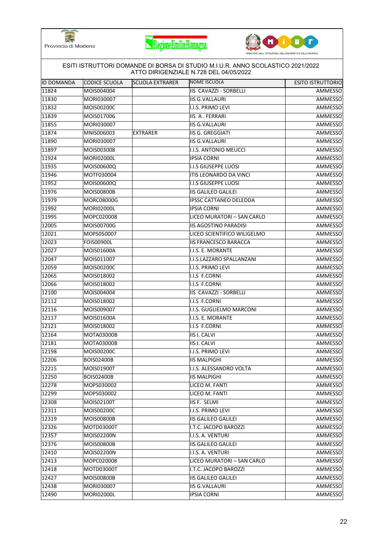





|                   |                   |                        | ESITI ISTRUTTORI DOMANDE DI BORSA DI STUDIO M.I.U.R. ANNO SCOLASTICO 2021/2022<br>ATTO DIRIGENZIALE N.728 DEL 04/05/2022 |                          |
|-------------------|-------------------|------------------------|--------------------------------------------------------------------------------------------------------------------------|--------------------------|
| <b>ID DOMANDA</b> | CODICE SCUOLA     | <b>SCUOLA EXTRARER</b> | NOME ISCUOLA                                                                                                             | <b>ESITO ISTRUTTORIO</b> |
| 11824             | MOIS004004        |                        | IIS CAVAZZI - SORBELLI                                                                                                   | AMMESSO                  |
| $\sqrt{11830}$    | MORI030007        |                        | <b>IIS G.VALLAURI</b>                                                                                                    | AMMESSO                  |
| 11832             | MOIS00200C        |                        | I.I.S. PRIMO LEVI                                                                                                        | AMMESSO                  |
| 11839             | MOIS017006        |                        | IIS A. FERRARI                                                                                                           | AMMESSO                  |
| 11855             | MORI030007        |                        | <b>IIS G.VALLAURI</b>                                                                                                    | AMMESSO                  |
| 11874             | MNIS006003        | <b>EXTRARER</b>        | <b>IIS G. GREGGIATI</b>                                                                                                  | AMMESSO                  |
| 11890             | MORI030007        |                        | <b>IIS G.VALLAURI</b>                                                                                                    | AMMESSO                  |
| 11897             | MOIS003008        |                        | I.I.S. ANTONIO MEUCCI                                                                                                    | AMMESSO                  |
| 11924             | MORI02000L        |                        | <b>IPSIA CORNI</b>                                                                                                       | AMMESSO                  |
| 11935             | MOIS00600Q        |                        | I.I.S GIUSEPPE LUOSI                                                                                                     | AMMESSO                  |
| 11946             | MOTF030004        |                        | ITIS LEONARDO DA VINCI                                                                                                   | AMMESSO                  |
| 11952             | MOIS00600Q        |                        | <b>I.I.S GIUSEPPE LUOSI</b>                                                                                              | <b>AMMESSO</b>           |
| 11976             | <b>MOIS00800B</b> |                        | <b>IIS GALILEO GALILEI</b>                                                                                               | AMMESSO                  |
| 11979             | MORC08000G        |                        | <b>IPSSC CATTANEO DELEDDA</b>                                                                                            | AMMESSO                  |
| 11992             | <b>MORI02000L</b> |                        | <b>IPSIA CORNI</b>                                                                                                       | AMMESSO                  |
| 11995             | MOPC020008        |                        | LICEO MURATORI - SAN CARLO                                                                                               | AMMESSO                  |
| 12005             | MOIS00700G        |                        | <b>IIS AGOSTINO PARADISI</b>                                                                                             | AMMESSO                  |
| 12021             | MOPS050007        |                        | LICEO SCIENTIFICO WILIGELMO                                                                                              | <b>AMMESSO</b>           |
| 12023             | <b>FOIS00900L</b> |                        | <b>IIS FRANCESCO BARACCA</b>                                                                                             | AMMESSO                  |
| 12027             | MOIS01600A        |                        | I.I.S. E. MORANTE                                                                                                        | AMMESSO                  |
| 12047             | MOIS011007        |                        | I.I.S.LAZZARO SPALLANZANI                                                                                                | AMMESSO                  |
| 12059             | MOIS00200C        |                        | I.I.S. PRIMO LEVI                                                                                                        | AMMESSO                  |
| 12065             | MOIS018002        |                        | I.I.S F.CORNI                                                                                                            | AMMESSO                  |
| 12066             | MOIS018002        |                        | I.I.S F.CORNI                                                                                                            | AMMESSO                  |
| 12100             | MOIS004004        |                        | IIS CAVAZZI - SORBELLI                                                                                                   | AMMESSO                  |
| 12112             | MOIS018002        |                        | I.I.S F.CORNI                                                                                                            | AMMESSO                  |
| 12116             | MOIS009007        |                        | I.I.S. GUGLIELMO MARCONI                                                                                                 | AMMESSO                  |
| 12117             | MOIS01600A        |                        | I.I.S. E. MORANTE                                                                                                        | AMMESSO                  |
| 12121             | MOIS018002        |                        | I.I.S F.CORNI                                                                                                            | AMMESSO                  |
| 12164             | <b>MOTA03000B</b> |                        | <b>IIS I. CALVI</b>                                                                                                      | AMMESSO                  |
| 12181             | MOTA03000B        |                        | <b>IIS I. CALVI</b>                                                                                                      | AMMESSO                  |
| 12198             | MOIS00200C        |                        | I.I.S. PRIMO LEVI                                                                                                        | <b>AMMESSO</b>           |
| 12206             | <b>BOIS02400B</b> |                        | <b>IIS MALPIGHI</b>                                                                                                      | AMMESSO                  |
| 12215             | MOIS01900T        |                        | I.I.S. ALESSANDRO VOLTA                                                                                                  | AMMESSO                  |
| 12250             | BOIS02400B        |                        | <b>IIS MALPIGHI</b>                                                                                                      | AMMESSO                  |
| 12278             | MOPS030002        |                        | LICEO M. FANTI                                                                                                           | AMMESSO                  |
| 12299             | MOPS030002        |                        | LICEO M. FANTI                                                                                                           | AMMESSO                  |
| 12308             | MOIS02100T        |                        | IIS F. SELMI                                                                                                             | AMMESSO                  |
| 12311             | MOIS00200C        |                        | I.I.S. PRIMO LEVI                                                                                                        | AMMESSO                  |
| 12319             | MOIS00800B        |                        | <b>IIS GALILEO GALILEI</b>                                                                                               | AMMESSO                  |
| 12326             | MOTD03000T        |                        | I.T.C. JACOPO BAROZZI                                                                                                    | AMMESSO                  |
| 12357             | MOIS02200N        |                        | I.I.S. A. VENTURI                                                                                                        | AMMESSO                  |
| 12376             | <b>MOIS00800B</b> |                        | <b>IIS GALILEO GALILEI</b>                                                                                               | AMMESSO                  |
| 12410             | MOIS02200N        |                        | I.I.S. A. VENTURI                                                                                                        | AMMESSO                  |
| 12413             | MOPC020008        |                        | LICEO MURATORI - SAN CARLO                                                                                               | AMMESSO                  |
| 12418             | MOTD03000T        |                        | I.T.C. JACOPO BAROZZI                                                                                                    | AMMESSO                  |
| 12427             | <b>MOIS00800B</b> |                        | <b>IIS GALILEO GALILEI</b>                                                                                               | AMMESSO                  |
| 12438             | MORI030007        |                        | <b>IIS G.VALLAURI</b>                                                                                                    | AMMESSO                  |
| 12490             | MORI02000L        |                        | <b>IPSIA CORNI</b>                                                                                                       | AMMESSO                  |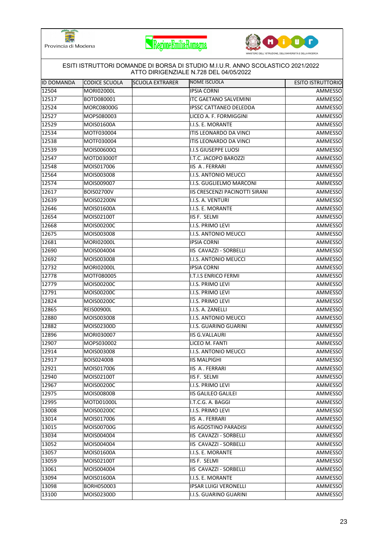





|             |                   |                        | ESITI ISTRUTTORI DOMANDE DI BORSA DI STUDIO M.I.U.R. ANNO SCOLASTICO 2021/2022<br>ATTO DIRIGENZIALE N.728 DEL 04/05/2022 |                          |
|-------------|-------------------|------------------------|--------------------------------------------------------------------------------------------------------------------------|--------------------------|
| IID DOMANDA | CODICE SCUOLA     | <b>SCUOLA EXTRARER</b> | NOME ISCUOLA                                                                                                             | <b>ESITO ISTRUTTORIO</b> |
| 12504       | <b>MORI02000L</b> |                        | <b>IPSIA CORNI</b>                                                                                                       | AMMESSO                  |
| 12517       | BOTD080001        |                        | <b>ITC GAETANO SALVEMINI</b>                                                                                             | AMMESSO                  |
| 12524       | MORC08000G        |                        | IPSSC CATTANEO DELEDDA                                                                                                   | AMMESSO                  |
| 12527       | MOPS080003        |                        | LICEO A. F. FORMIGGINI                                                                                                   | AMMESSO                  |
| 12529       | MOIS01600A        |                        | I.I.S. E. MORANTE                                                                                                        | AMMESSO                  |
| 12534       | MOTF030004        |                        | ITIS LEONARDO DA VINCI                                                                                                   | AMMESSO                  |
| 12538       | MOTF030004        |                        | ITIS LEONARDO DA VINCI                                                                                                   | AMMESSO                  |
| 12539       | MOIS00600Q        |                        | <b>I.I.S GIUSEPPE LUOSI</b>                                                                                              | AMMESSO                  |
| 12547       | MOTD03000T        |                        | I.T.C. JACOPO BAROZZI                                                                                                    | AMMESSO                  |
| 12548       | MOIS017006        |                        | <b>IIS A. FERRARI</b>                                                                                                    | AMMESSO                  |
| 12564       | MOIS003008        |                        | I.I.S. ANTONIO MEUCCI                                                                                                    | AMMESSO                  |
| 12574       | MOIS009007        |                        | I.I.S. GUGLIELMO MARCONI                                                                                                 | <b>AMMESSO</b>           |
| 12617       | <b>BOIS02700V</b> |                        | IIS CRESCENZI PACINOTTI SIRANI                                                                                           | AMMESSO                  |
| 12639       | MOIS02200N        |                        | I.I.S. A. VENTURI                                                                                                        | AMMESSO                  |
| 12646       | MOIS01600A        |                        | I.I.S. E. MORANTE                                                                                                        | AMMESSO                  |
| 12654       | MOIS02100T        |                        | IIS F. SELMI                                                                                                             | AMMESSO                  |
| 12668       | MOIS00200C        |                        | I.I.S. PRIMO LEVI                                                                                                        | AMMESSO                  |
| 12675       | MOIS003008        |                        | I.I.S. ANTONIO MEUCCI                                                                                                    | <b>AMMESSO</b>           |
| 12681       | <b>MORI02000L</b> |                        | <b>IPSIA CORNI</b>                                                                                                       | AMMESSO                  |
| 12690       | MOIS004004        |                        | IIS CAVAZZI - SORBELLI                                                                                                   | AMMESSO                  |
| 12692       | MOIS003008        |                        | I.I.S. ANTONIO MEUCCI                                                                                                    | AMMESSO                  |
| 12732       | MORI02000L        |                        | <b>IPSIA CORNI</b>                                                                                                       | AMMESSO                  |
| 12778       | MOTF080005        |                        | <b>I.T.I.S ENRICO FERMI</b>                                                                                              | AMMESSO                  |
| 12779       | MOIS00200C        |                        | I.I.S. PRIMO LEVI                                                                                                        | AMMESSO                  |
| 12791       | MOIS00200C        |                        | I.I.S. PRIMO LEVI                                                                                                        | AMMESSO                  |
| 12824       | MOIS00200C        |                        | I.I.S. PRIMO LEVI                                                                                                        | AMMESSO                  |
| 12865       | <b>REIS00900L</b> |                        | I.I.S. A. ZANELLI                                                                                                        | AMMESSO                  |
| 12880       | MOIS003008        |                        | I.I.S. ANTONIO MEUCCI                                                                                                    | AMMESSO                  |
| 12882       | MOIS02300D        |                        | I.I.S. GUARINO GUARINI                                                                                                   | AMMESSO                  |
| 12896       | MORI030007        |                        | <b>IIS G.VALLAURI</b>                                                                                                    | AMMESSO                  |
| 12907       | MOPS030002        |                        | LICEO M. FANTI                                                                                                           | AMMESSO                  |
| 12914       | MOIS003008        |                        | I.I.S. ANTONIO MEUCCI                                                                                                    | <b>AMMESSO</b>           |
| 12917       | <b>BOIS02400B</b> |                        | <b>IIS MALPIGHI</b>                                                                                                      | AMMESSO                  |
| 12921       | MOIS017006        |                        | IIS A. FERRARI                                                                                                           | AMMESSO                  |
| 12940       | MOIS02100T        |                        | IIS F. SELMI                                                                                                             | AMMESSO                  |
| 12967       | MOIS00200C        |                        | I.I.S. PRIMO LEVI                                                                                                        | AMMESSO                  |
| 12975       | <b>MOIS00800B</b> |                        | <b>IIS GALILEO GALILEI</b>                                                                                               | AMMESSO                  |
| 12995       | MOTD01000L        |                        | I.T.C.G. A. BAGGI                                                                                                        | AMMESSO                  |
| 13008       | MOIS00200C        |                        | I.I.S. PRIMO LEVI                                                                                                        | AMMESSO                  |
| 13014       | MOIS017006        |                        | <b>IIS A. FERRARI</b>                                                                                                    | AMMESSO                  |
| 13015       | MOIS00700G        |                        | <b>IIS AGOSTINO PARADISI</b>                                                                                             | AMMESSO                  |
| 13034       | MOIS004004        |                        | <b>IIS CAVAZZI - SORBELLI</b>                                                                                            | AMMESSO                  |
| 13052       | MOIS004004        |                        | IIS CAVAZZI - SORBELLI                                                                                                   | AMMESSO                  |
| 13057       | MOIS01600A        |                        | I.I.S. E. MORANTE                                                                                                        | AMMESSO                  |
| 13059       | MOIS02100T        |                        | IIS F. SELMI                                                                                                             | AMMESSO                  |
| 13061       | MOIS004004        |                        | IIS CAVAZZI - SORBELLI                                                                                                   | AMMESSO                  |
| 13094       | MOIS01600A        |                        | I.I.S. E. MORANTE                                                                                                        | AMMESSO                  |
| 13098       | BORH050003        |                        | <b>IPSAR LUIGI VERONELLI</b>                                                                                             | AMMESSO                  |
| 13100       | MOIS02300D        |                        | I.I.S. GUARINO GUARINI                                                                                                   | AMMESSO                  |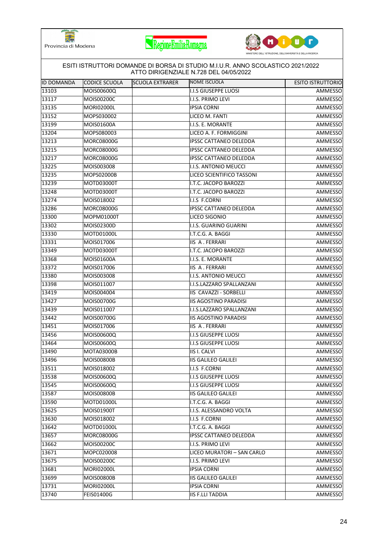





|                   |                   |                        | ESITI ISTRUTTORI DOMANDE DI BORSA DI STUDIO M.I.U.R. ANNO SCOLASTICO 2021/2022<br>ATTO DIRIGENZIALE N.728 DEL 04/05/2022 |                          |
|-------------------|-------------------|------------------------|--------------------------------------------------------------------------------------------------------------------------|--------------------------|
| <b>ID DOMANDA</b> | CODICE SCUOLA     | <b>SCUOLA EXTRARER</b> | NOME ISCUOLA                                                                                                             | <b>ESITO ISTRUTTORIO</b> |
| 13103             | MOIS00600Q        |                        | <b>I.I.S GIUSEPPE LUOSI</b>                                                                                              | AMMESSO                  |
| 13117             | MOIS00200C        |                        | I.I.S. PRIMO LEVI                                                                                                        | AMMESSO                  |
| 13135             | MORI02000L        |                        | <b>IPSIA CORNI</b>                                                                                                       | AMMESSO                  |
| 13152             | MOPS030002        |                        | LICEO M. FANTI                                                                                                           | AMMESSO                  |
| 13199             | MOIS01600A        |                        | I.I.S. E. MORANTE                                                                                                        | AMMESSO                  |
| 13204             | MOPS080003        |                        | LICEO A. F. FORMIGGINI                                                                                                   | AMMESSO                  |
| 13213             | <b>MORC08000G</b> |                        | <b>IPSSC CATTANEO DELEDDA</b>                                                                                            | AMMESSO                  |
| 13215             | MORC08000G        |                        | <b>IPSSC CATTANEO DELEDDA</b>                                                                                            | AMMESSO                  |
| 13217             | MORC08000G        |                        | IPSSC CATTANEO DELEDDA                                                                                                   | AMMESSO                  |
| 13225             | MOIS003008        |                        | I.I.S. ANTONIO MEUCCI                                                                                                    | AMMESSO                  |
| 13235             | MOPS02000B        |                        | LICEO SCIENTIFICO TASSONI                                                                                                | AMMESSO                  |
| 13239             | MOTD03000T        |                        | I.T.C. JACOPO BAROZZI                                                                                                    | <b>AMMESSO</b>           |
| 13248             | MOTD03000T        |                        | I.T.C. JACOPO BAROZZI                                                                                                    | AMMESSO                  |
| 13274             | MOIS018002        |                        | I.I.S F.CORNI                                                                                                            | AMMESSO                  |
| 13286             | MORC08000G        |                        | <b>IPSSC CATTANEO DELEDDA</b>                                                                                            | AMMESSO                  |
| 13300             | MOPM01000T        |                        | LICEO SIGONIO                                                                                                            | AMMESSO                  |
| 13302             | MOIS02300D        |                        | I.I.S. GUARINO GUARINI                                                                                                   | AMMESSO                  |
| 13330             | MOTD01000L        |                        | I.T.C.G. A. BAGGI                                                                                                        | <b>AMMESSO</b>           |
| 13331             | MOIS017006        |                        | <b>IIS A. FERRARI</b>                                                                                                    | AMMESSO                  |
| 13349             | MOTD03000T        |                        | I.T.C. JACOPO BAROZZI                                                                                                    | AMMESSO                  |
| 13368             | MOIS01600A        |                        | I.I.S. E. MORANTE                                                                                                        | AMMESSO                  |
| 13372             | MOIS017006        |                        | <b>IIS A. FERRARI</b>                                                                                                    | AMMESSO                  |
| 13380             | MOIS003008        |                        | I.I.S. ANTONIO MEUCCI                                                                                                    | AMMESSO                  |
| 13398             | MOIS011007        |                        | I.I.S.LAZZARO SPALLANZANI                                                                                                | AMMESSO                  |
| 13419             | MOIS004004        |                        | IIS CAVAZZI - SORBELLI                                                                                                   | AMMESSO                  |
| 13427             | MOIS00700G        |                        | <b>IIS AGOSTINO PARADISI</b>                                                                                             | AMMESSO                  |
| 13439             | MOIS011007        |                        | I.I.S.LAZZARO SPALLANZANI                                                                                                | AMMESSO                  |
| 13442             | MOIS00700G        |                        | <b>IIS AGOSTINO PARADISI</b>                                                                                             | AMMESSO                  |
| 13451             | MOIS017006        |                        | <b>IIS A. FERRARI</b>                                                                                                    | AMMESSO                  |
| 13456             | MOIS00600Q        |                        | I.I.S GIUSEPPE LUOSI                                                                                                     | AMMESSO                  |
| 13464             | MOIS00600Q        |                        | <b>I.I.S GIUSEPPE LUOSI</b>                                                                                              | AMMESSO                  |
| 13490             | <b>MOTA03000B</b> |                        | <b>IIS I. CALVI</b>                                                                                                      | <b>AMMESSO</b>           |
| 13496             | <b>MOIS00800B</b> |                        | <b>IIS GALILEO GALILEI</b>                                                                                               | AMMESSO                  |
| 13511             | MOIS018002        |                        | I.I.S F.CORNI                                                                                                            | AMMESSO                  |
| 13538             | MOIS00600Q        |                        | I.I.S GIUSEPPE LUOSI                                                                                                     | AMMESSO                  |
| 13545             | MOIS00600Q        |                        | <b>I.I.S GIUSEPPE LUOSI</b>                                                                                              | AMMESSO                  |
| 13587             | MOIS00800B        |                        | <b>IIS GALILEO GALILEI</b>                                                                                               | AMMESSO                  |
| 13590             | MOTD01000L        |                        | I.T.C.G. A. BAGGI                                                                                                        | AMMESSO                  |
| 13625             | MOIS01900T        |                        | I.I.S. ALESSANDRO VOLTA                                                                                                  | AMMESSO                  |
| 13630             | MOIS018002        |                        | I.I.S F.CORNI                                                                                                            | AMMESSO                  |
| 13642             | MOTD01000L        |                        | I.T.C.G. A. BAGGI                                                                                                        | AMMESSO                  |
| 13657             | <b>MORC08000G</b> |                        | <b>IPSSC CATTANEO DELEDDA</b>                                                                                            | AMMESSO                  |
| 13662             | MOIS00200C        |                        | I.I.S. PRIMO LEVI                                                                                                        | AMMESSO                  |
| 13671             | MOPC020008        |                        | LICEO MURATORI - SAN CARLO                                                                                               | AMMESSO                  |
| 13675             | MOIS00200C        |                        | I.I.S. PRIMO LEVI                                                                                                        | AMMESSO                  |
| 13681             | <b>MORI02000L</b> |                        | <b>IPSIA CORNI</b>                                                                                                       | AMMESSO                  |
| 13699             | <b>MOIS00800B</b> |                        | <b>IIS GALILEO GALILEI</b>                                                                                               | AMMESSO                  |
| 13731             | <b>MORI02000L</b> |                        | <b>IPSIA CORNI</b>                                                                                                       | AMMESSO                  |
| 13740             | FEIS01400G        |                        | <b>IIS F.LLI TADDIA</b>                                                                                                  | AMMESSO                  |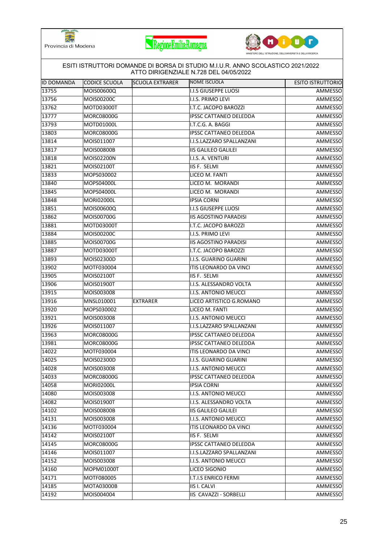





|                   |                   |                        | ESITI ISTRUTTORI DOMANDE DI BORSA DI STUDIO M.I.U.R. ANNO SCOLASTICO 2021/2022<br>ATTO DIRIGENZIALE N.728 DEL 04/05/2022 |                          |
|-------------------|-------------------|------------------------|--------------------------------------------------------------------------------------------------------------------------|--------------------------|
| <b>ID DOMANDA</b> | CODICE SCUOLA     | <b>SCUOLA EXTRARER</b> | NOME ISCUOLA                                                                                                             | <b>ESITO ISTRUTTORIO</b> |
| 13755             | MOIS00600Q        |                        | I.I.S GIUSEPPE LUOSI                                                                                                     | AMMESSO                  |
| 13756             | MOIS00200C        |                        | I.I.S. PRIMO LEVI                                                                                                        | AMMESSO                  |
| 13762             | MOTD03000T        |                        | I.T.C. JACOPO BAROZZI                                                                                                    | AMMESSO                  |
| 13777             | <b>MORC08000G</b> |                        | IPSSC CATTANEO DELEDDA                                                                                                   | AMMESSO                  |
| 13793             | MOTD01000L        |                        | I.T.C.G. A. BAGGI                                                                                                        | AMMESSO                  |
| 13803             | <b>MORC08000G</b> |                        | <b>IPSSC CATTANEO DELEDDA</b>                                                                                            | AMMESSO                  |
| 13814             | MOIS011007        |                        | I.I.S.LAZZARO SPALLANZANI                                                                                                | AMMESSO                  |
| 13817             | <b>MOIS00800B</b> |                        | <b>IIS GALILEO GALILEI</b>                                                                                               | AMMESSO                  |
| 13818             | MOIS02200N        |                        | I.I.S. A. VENTURI                                                                                                        | AMMESSO                  |
| 13821             | MOIS02100T        |                        | IIS F. SELMI                                                                                                             | AMMESSO                  |
| 13833             | MOPS030002        |                        | LICEO M. FANTI                                                                                                           | AMMESSO                  |
| 13840             | MOPS04000L        |                        | LICEO M. MORANDI                                                                                                         | AMMESSO                  |
| 13845             | MOPS04000L        |                        | LICEO M. MORANDI                                                                                                         | AMMESSO                  |
| 13848             | MORI02000L        |                        | <b>IPSIA CORNI</b>                                                                                                       | AMMESSO                  |
| 13851             | MOIS00600Q        |                        | <b>I.I.S GIUSEPPE LUOSI</b>                                                                                              | AMMESSO                  |
| 13862             | MOIS00700G        |                        | <b>IIS AGOSTINO PARADISI</b>                                                                                             | AMMESSO                  |
| 13881             | MOTD03000T        |                        | I.T.C. JACOPO BAROZZI                                                                                                    | AMMESSO                  |
| 13884             | MOIS00200C        |                        | I.I.S. PRIMO LEVI                                                                                                        | AMMESSO                  |
| 13885             | MOIS00700G        |                        | <b>IIS AGOSTINO PARADISI</b>                                                                                             | AMMESSO                  |
| 13887             | MOTD03000T        |                        | I.T.C. JACOPO BAROZZI                                                                                                    | AMMESSO                  |
| 13893             | MOIS02300D        |                        | I.I.S. GUARINO GUARINI                                                                                                   | AMMESSO                  |
| 13902             | MOTF030004        |                        | ITIS LEONARDO DA VINCI                                                                                                   | AMMESSO                  |
| 13905             | MOIS02100T        |                        | IIS F. SELMI                                                                                                             | AMMESSO                  |
| 13906             | MOIS01900T        |                        | I.I.S. ALESSANDRO VOLTA                                                                                                  | AMMESSO                  |
| 13915             | MOIS003008        |                        | I.I.S. ANTONIO MEUCCI                                                                                                    | AMMESSO                  |
| 13916             | MNSL010001        | EXTRARER               | LICEO ARTISTICO G.ROMANO                                                                                                 | AMMESSO                  |
| 13920             | MOPS030002        |                        | LICEO M. FANTI                                                                                                           | AMMESSO                  |
| 13921             | MOIS003008        |                        | I.I.S. ANTONIO MEUCCI                                                                                                    | AMMESSO                  |
| 13926             | MOIS011007        |                        | I.I.S.LAZZARO SPALLANZANI                                                                                                | AMMESSO                  |
| 13963             | MORC08000G        |                        | <b>IPSSC CATTANEO DELEDDA</b>                                                                                            | AMMESSO                  |
| 13981             | MORC08000G        |                        | <b>IPSSC CATTANEO DELEDDA</b>                                                                                            | AMMESSO                  |
| 14022             | MOTF030004        |                        | ITIS LEONARDO DA VINCI                                                                                                   | AMMESSO                  |
| 14025             | MOIS02300D        |                        | I.I.S. GUARINO GUARINI                                                                                                   | AMMESSO                  |
| 14028             | MOIS003008        |                        | I.I.S. ANTONIO MEUCCI                                                                                                    | AMMESSO                  |
| 14033             | <b>MORC08000G</b> |                        | <b>IPSSC CATTANEO DELEDDA</b>                                                                                            | AMMESSO                  |
| 14058             | MORI02000L        |                        | <b>IPSIA CORNI</b>                                                                                                       | AMMESSO                  |
| 14080             | MOIS003008        |                        | I.I.S. ANTONIO MEUCCI                                                                                                    | AMMESSO                  |
| 14082             | MOIS01900T        |                        | I.I.S. ALESSANDRO VOLTA                                                                                                  | AMMESSO                  |
| 14102             | <b>MOIS00800B</b> |                        | <b>IIS GALILEO GALILEI</b>                                                                                               | AMMESSO                  |
| 14131             | MOIS003008        |                        | <b>I.I.S. ANTONIO MEUCCI</b>                                                                                             | AMMESSO                  |
| 14136             | MOTF030004        |                        | ITIS LEONARDO DA VINCI                                                                                                   | AMMESSO                  |
| 14142             | MOIS02100T        |                        | IIS F. SELMI                                                                                                             | AMMESSO                  |
| 14145             | MORC08000G        |                        | <b>IPSSC CATTANEO DELEDDA</b>                                                                                            | AMMESSO                  |
| 14146             | MOIS011007        |                        | I.I.S.LAZZARO SPALLANZANI                                                                                                | AMMESSO                  |
| 14152             | MOIS003008        |                        | I.I.S. ANTONIO MEUCCI                                                                                                    | AMMESSO                  |
| 14160             | MOPM01000T        |                        | LICEO SIGONIO                                                                                                            | AMMESSO                  |
| 14171             | MOTF080005        |                        | <b>I.T.I.S ENRICO FERMI</b>                                                                                              | AMMESSO                  |
| 14185             | MOTA03000B        |                        | <b>IIS I. CALVI</b>                                                                                                      | AMMESSO                  |
| 14192             | MOIS004004        |                        | IIS CAVAZZI - SORBELLI                                                                                                   | AMMESSO                  |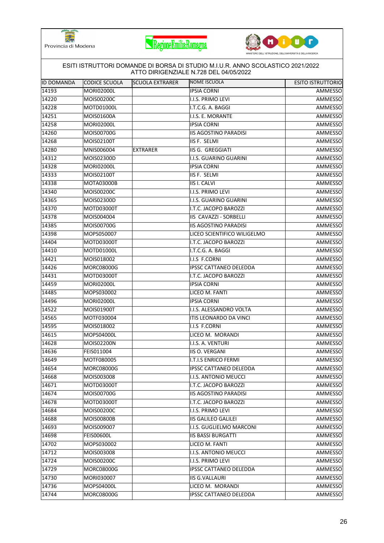





| <b>ID DOMANDA</b> | ICODICE SCUOLA                  | <b>SCUOLA EXTRARER</b> | ATTO DIRIGENZIALE N.728 DEL 04/05/2022<br><b>NOME ISCUOLA</b> | <b>ESITO ISTRUTTORIO</b> |
|-------------------|---------------------------------|------------------------|---------------------------------------------------------------|--------------------------|
| 14193             | MORI02000L                      |                        | <b>IPSIA CORNI</b>                                            | AMMESSO                  |
| 14220             | <b>MOIS00200C</b>               |                        | I.I.S. PRIMO LEVI                                             | AMMESSO                  |
| 14228             | MOTD01000L                      |                        | I.T.C.G. A. BAGGI                                             | AMMESSO                  |
| 14251             | MOIS01600A                      |                        | I.I.S. E. MORANTE                                             | AMMESSO                  |
| 14258             | MORI02000L                      |                        | <b>IPSIA CORNI</b>                                            | AMMESSO                  |
| 14260             | MOIS00700G                      |                        | <b>IIS AGOSTINO PARADISI</b>                                  | AMMESSO                  |
|                   | <b>MOIS02100T</b>               |                        | IIS F. SELMI                                                  |                          |
| 14268<br>14280    | MNIS006004                      | <b>EXTRARER</b>        | IIS G. GREGGIATI                                              | AMMESSO<br>AMMESSO       |
| 14312             | MOIS02300D                      |                        | I.I.S. GUARINO GUARINI                                        | AMMESSO                  |
| 14328             | MORI02000L                      |                        | <b>IPSIA CORNI</b>                                            |                          |
|                   |                                 |                        |                                                               | AMMESSO                  |
| 14333<br>14338    | MOIS02100T<br><b>MOTA03000B</b> |                        | IIS F. SELMI<br><b>IIS I. CALVI</b>                           | AMMESSO                  |
|                   |                                 |                        |                                                               | AMMESSO                  |
| 14340             | MOIS00200C                      |                        | I.I.S. PRIMO LEVI<br><b>I.I.S. GUARINO GUARINI</b>            | AMMESSO                  |
| 14365             | MOIS02300D                      |                        |                                                               | AMMESSO                  |
| 14370             | MOTD03000T                      |                        | I.T.C. JACOPO BAROZZI                                         | AMMESSO                  |
| 14378             | MOIS004004                      |                        | IIS CAVAZZI - SORBELLI                                        | AMMESSO                  |
| 14385             | MOIS00700G                      |                        | <b>IIS AGOSTINO PARADISI</b>                                  | <b>AMMESSO</b>           |
| 14398             | MOPS050007                      |                        | LICEO SCIENTIFICO WILIGELMO                                   | AMMESSO                  |
| 14404             | MOTD03000T                      |                        | I.T.C. JACOPO BAROZZI                                         | AMMESSO                  |
| 14410             | MOTD01000L                      |                        | I.T.C.G. A. BAGGI                                             | AMMESSO                  |
| 14421             | MOIS018002                      |                        | I.I.S F.CORNI                                                 | AMMESSO                  |
| 14426             | MORC08000G                      |                        | <b>IPSSC CATTANEO DELEDDA</b>                                 | AMMESSO                  |
| 14431             | MOTD03000T                      |                        | I.T.C. JACOPO BAROZZI                                         | AMMESSO                  |
| 14459             | MORI02000L                      |                        | <b>IPSIA CORNI</b>                                            | AMMESSO                  |
| 14485             | MOPS030002                      |                        | LICEO M. FANTI                                                | AMMESSO                  |
| 14496             | <b>MORI02000L</b>               |                        | <b>IPSIA CORNI</b>                                            | AMMESSO                  |
| 14522             | MOIS01900T                      |                        | I.I.S. ALESSANDRO VOLTA                                       | AMMESSO                  |
| 14565             | MOTF030004                      |                        | ITIS LEONARDO DA VINCI                                        | AMMESSO                  |
| 14595             | MOIS018002                      |                        | I.I.S F.CORNI                                                 | AMMESSO                  |
| 14615             | MOPS04000L                      |                        | LICEO M. MORANDI                                              | AMMESSO                  |
| 14628             | MOIS02200N                      |                        | I.I.S. A. VENTURI                                             | AMMESSO                  |
| 14636             | FEIS011004                      |                        | IIIS O. VERGANI                                               | AMMESSO                  |
| 14649             | MOTF080005                      |                        | <b>I.T.I.S ENRICO FERMI</b>                                   | AMMESSO                  |
| 14654             | MORC08000G                      |                        | <b>IPSSC CATTANEO DELEDDA</b>                                 | AMMESSO                  |
| 14668             | MOIS003008                      |                        | I.I.S. ANTONIO MEUCCI                                         | AMMESSO                  |
| 14671             | MOTD03000T                      |                        | I.T.C. JACOPO BAROZZI                                         | AMMESSO                  |
| 14674             | MOIS00700G                      |                        | <b>IIS AGOSTINO PARADISI</b>                                  | AMMESSO                  |
| 14678             | MOTD03000T                      |                        | I.T.C. JACOPO BAROZZI                                         | <b>AMMESSO</b>           |
| 14684             | MOIS00200C                      |                        | I.I.S. PRIMO LEVI                                             | AMMESSO                  |
| 14688             | MOIS00800B                      |                        | <b>IIS GALILEO GALILEI</b>                                    | AMMESSO                  |
| 14693             | MOIS009007                      |                        | I.I.S. GUGLIELMO MARCONI                                      | AMMESSO                  |
| 14698             | FEIS00600L                      |                        | <b>IIS BASSI BURGATTI</b>                                     | AMMESSO                  |
| 14702             | MOPS030002                      |                        | LICEO M. FANTI                                                | AMMESSO                  |
| 14712             | MOIS003008                      |                        | I.I.S. ANTONIO MEUCCI                                         | AMMESSO                  |
| 14724             | MOIS00200C                      |                        | I.I.S. PRIMO LEVI                                             | AMMESSO                  |
| 14729             | MORC08000G                      |                        | IPSSC CATTANEO DELEDDA                                        | AMMESSO                  |
| 14730             | MORI030007                      |                        | <b>IIS G.VALLAURI</b>                                         | AMMESSO                  |
| 14736             | MOPS04000L                      |                        | LICEO M. MORANDI                                              | AMMESSO                  |
| 14744             | <b>MORC08000G</b>               |                        | IPSSC CATTANEO DELEDDA                                        | AMMESSO                  |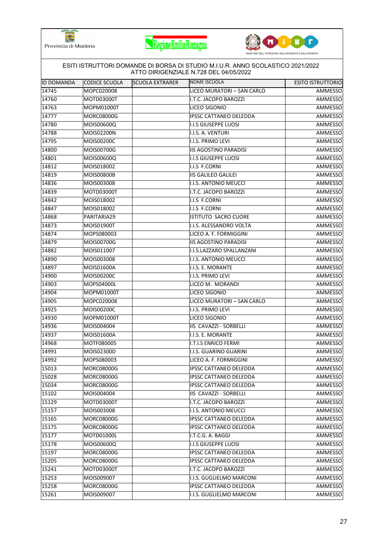





| IID DOMANDA | <b>CODICE SCUOLA</b> | <b>SCUOLA EXTRARER</b> | NOME ISCUOLA                  | <b>ESITO ISTRUTTORIO</b> |
|-------------|----------------------|------------------------|-------------------------------|--------------------------|
| 14745       | MOPC020008           |                        | LICEO MURATORI - SAN CARLO    | AMMESSO                  |
| 14760       | MOTD03000T           |                        | I.T.C. JACOPO BAROZZI         | AMMESSO                  |
| 14763       | MOPM01000T           |                        | LICEO SIGONIO                 | AMMESSO                  |
| 14777       | <b>MORC08000G</b>    |                        | <b>IPSSC CATTANEO DELEDDA</b> | AMMESSO                  |
| 14780       | MOIS00600Q           |                        | <b>I.I.S GIUSEPPE LUOSI</b>   | AMMESSO                  |
| 14788       | MOIS02200N           |                        | I.I.S. A. VENTURI             | AMMESSO                  |
| 14795       | MOIS00200C           |                        | I.I.S. PRIMO LEVI             | AMMESSO                  |
| 14800       | MOIS00700G           |                        | <b>IIS AGOSTINO PARADISI</b>  | <b>AMMESSO</b>           |
| 14801       | MOIS00600Q           |                        | <b>I.I.S GIUSEPPE LUOSI</b>   | AMMESSO                  |
| 14812       | MOIS018002           |                        | I.I.S F.CORNI                 | AMMESSO                  |
| 14819       | MOIS00800B           |                        | <b>IIS GALILEO GALILEI</b>    | AMMESSO                  |
| 14836       | MOIS003008           |                        | I.I.S. ANTONIO MEUCCI         | AMMESSO                  |
| 14839       | MOTD03000T           |                        | I.T.C. JACOPO BAROZZI         | AMMESSO                  |
| 14842       | MOIS018002           |                        | I.I.S F.CORNI                 | AMMESSO                  |
| 14847       | MOIS018002           |                        | I.I.S F.CORNI                 | AMMESSO                  |
| 14868       | PARITARIA29          |                        | <b>ISTITUTO SACRO CUORE</b>   | AMMESSO                  |
| 14873       | MOIS01900T           |                        | I.I.S. ALESSANDRO VOLTA       | AMMESSO                  |
| 14874       | MOPS080003           |                        | LICEO A. F. FORMIGGINI        | AMMESSO                  |
| 14879       | MOIS00700G           |                        | <b>IIS AGOSTINO PARADISI</b>  | AMMESSO                  |
| 14882       | MOIS011007           |                        | I.I.S.LAZZARO SPALLANZANI     | AMMESSO                  |
| 14890       | MOIS003008           |                        | I.I.S. ANTONIO MEUCCI         | AMMESSO                  |
| 14897       | MOIS01600A           |                        | I.I.S. E. MORANTE             | AMMESSO                  |
| 14900       | MOIS00200C           |                        | I.I.S. PRIMO LEVI             | AMMESSO                  |
| 14903       | MOPS04000L           |                        | LICEO M. MORANDI              | AMMESSO                  |
| 14904       | MOPM01000T           |                        | LICEO SIGONIO                 | AMMESSO                  |
| 14905       | MOPC020008           |                        | LICEO MURATORI - SAN CARLO    | AMMESSO                  |
| 14925       | MOIS00200C           |                        | I.I.S. PRIMO LEVI             | AMMESSO                  |
| 14930       | MOPM01000T           |                        | LICEO SIGONIO                 | AMMESSO                  |
| 14936       | MOIS004004           |                        | IIS CAVAZZI - SORBELLI        | AMMESSO                  |
| 14937       | MOIS01600A           |                        | I.I.S. E. MORANTE             | AMMESSO                  |
| 14968       | MOTF080005           |                        | <b>I.T.I.S ENRICO FERMI</b>   | AMMESSO                  |
| 14991       | MOIS02300D           |                        | I.I.S. GUARINO GUARINI        | <b>AMMESSO</b>           |
| 14992       | MOPS080003           |                        | LICEO A. F. FORMIGGINI        | AMMESSO                  |
| 15013       | MORC08000G           |                        | IPSSC CATTANEO DELEDDA        | AMMESSO                  |
| 15028       | MORC08000G           |                        | <b>IPSSC CATTANEO DELEDDA</b> | AMMESSO                  |
| 15034       | MORC08000G           |                        | <b>IPSSC CATTANEO DELEDDA</b> | AMMESSO                  |
| 15102       | MOIS004004           |                        | <b>IIS CAVAZZI - SORBELLI</b> | <b>AMMESSO</b>           |
| 15129       | MOTD03000T           |                        | I.T.C. JACOPO BAROZZI         | AMMESSO                  |
| 15157       | MOIS003008           |                        | I.I.S. ANTONIO MEUCCI         | AMMESSO                  |
| 15165       | MORC08000G           |                        | IPSSC CATTANEO DELEDDA        | <b>AMMESSO</b>           |
| 15175       | MORC08000G           |                        | <b>IPSSC CATTANEO DELEDDA</b> | AMMESSO                  |
| 15177       | MOTD01000L           |                        | I.T.C.G. A. BAGGI             | AMMESSO                  |
| 15178       | MOIS00600Q           |                        | I.I.S GIUSEPPE LUOSI          | AMMESSO                  |
| 15197       | MORC08000G           |                        | <b>IPSSC CATTANEO DELEDDA</b> | AMMESSO                  |
| 15205       | MORC08000G           |                        | <b>IPSSC CATTANEO DELEDDA</b> | AMMESSO                  |
| 15241       | MOTD03000T           |                        | I.T.C. JACOPO BAROZZI         | AMMESSO                  |
| 15253       | MOIS009007           |                        | I.I.S. GUGLIELMO MARCONI      | AMMESSO                  |
| 15258       | MORC08000G           |                        | IPSSC CATTANEO DELEDDA        | AMMESSO                  |
| 15261       | MOIS009007           |                        | I.I.S. GUGLIELMO MARCONI      | AMMESSO                  |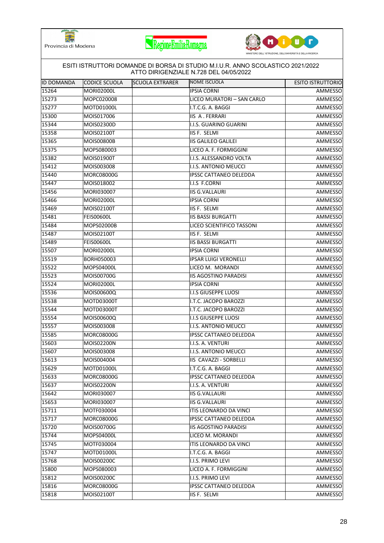





| IID DOMANDA | CODICE SCUOLA     | <b>SCUOLA EXTRARER</b> | NOME ISCUOLA                  | <b>ESITO ISTRUTTORIO</b> |
|-------------|-------------------|------------------------|-------------------------------|--------------------------|
| 15264       | <b>MORI02000L</b> |                        | <b>IPSIA CORNI</b>            | AMMESSO                  |
| 15273       | MOPC020008        |                        | LICEO MURATORI - SAN CARLO    | AMMESSO                  |
| 15277       | MOTD01000L        |                        | I.T.C.G. A. BAGGI             | AMMESSO                  |
| 15300       | MOIS017006        |                        | <b>IIS A. FERRARI</b>         | AMMESSO                  |
| 15344       | MOIS02300D        |                        | I.I.S. GUARINO GUARINI        | AMMESSO                  |
| 15358       | MOIS02100T        |                        | IIS F. SELMI                  | AMMESSO                  |
| 15365       | <b>MOIS00800B</b> |                        | <b>IIS GALILEO GALILEI</b>    | AMMESSO                  |
| 15375       | MOPS080003        |                        | LICEO A. F. FORMIGGINI        | AMMESSO                  |
| 15382       | MOIS01900T        |                        | I.I.S. ALESSANDRO VOLTA       | AMMESSO                  |
| 15412       | MOIS003008        |                        | I.I.S. ANTONIO MEUCCI         | AMMESSO                  |
| 15440       | MORC08000G        |                        | <b>IPSSC CATTANEO DELEDDA</b> | AMMESSO                  |
| 15447       | MOIS018002        |                        | I.I.S F.CORNI                 | <b>AMMESSO</b>           |
| 15456       | MORI030007        |                        | <b>IIS G.VALLAURI</b>         | AMMESSO                  |
| 15466       | <b>MORI02000L</b> |                        | <b>IPSIA CORNI</b>            | AMMESSO                  |
| 15469       | MOIS02100T        |                        | IIS F. SELMI                  | AMMESSO                  |
| 15481       | <b>FEIS00600L</b> |                        | <b>IIS BASSI BURGATTI</b>     | AMMESSO                  |
| 15484       | MOPS02000B        |                        | LICEO SCIENTIFICO TASSONI     | AMMESSO                  |
| 15487       | MOIS02100T        |                        | <b>IIS F. SELMI</b>           | <b>AMMESSO</b>           |
| 15489       | <b>FEIS00600L</b> |                        | <b>IIS BASSI BURGATTI</b>     | AMMESSO                  |
| 15507       | MORI02000L        |                        | <b>IPSIA CORNI</b>            | AMMESSO                  |
| 15519       | BORH050003        |                        | <b>IPSAR LUIGI VERONELLI</b>  | AMMESSO                  |
| 15522       | MOPS04000L        |                        | LICEO M. MORANDI              | AMMESSO                  |
| 15523       | MOIS00700G        |                        | <b>IIS AGOSTINO PARADISI</b>  | AMMESSO                  |
| 15524       | <b>MORI02000L</b> |                        | <b>IPSIA CORNI</b>            | AMMESSO                  |
| 15536       | MOIS00600Q        |                        | I.I.S GIUSEPPE LUOSI          | AMMESSO                  |
| 15538       | MOTD03000T        |                        | I.T.C. JACOPO BAROZZI         | AMMESSO                  |
| 15544       | MOTD03000T        |                        | I.T.C. JACOPO BAROZZI         | AMMESSO                  |
| 15554       | MOIS00600Q        |                        | <b>I.I.S GIUSEPPE LUOSI</b>   | AMMESSO                  |
| 15557       | MOIS003008        |                        | I.I.S. ANTONIO MEUCCI         | AMMESSO                  |
| 15585       | <b>MORC08000G</b> |                        | <b>IPSSC CATTANEO DELEDDA</b> | AMMESSO                  |
| 15603       | MOIS02200N        |                        | I.I.S. A. VENTURI             | <b>AMMESSO</b>           |
| 15607       | MOIS003008        |                        | <b>I.I.S. ANTONIO MEUCCI</b>  | <b>AMMESSO</b>           |
| 15613       | MOIS004004        |                        | IIS CAVAZZI - SORBELLI        | AMMESSO                  |
| 15629       | MOTD01000L        |                        | I.T.C.G. A. BAGGI             | AMMESSO                  |
| 15633       | MORC08000G        |                        | <b>IPSSC CATTANEO DELEDDA</b> | AMMESSO                  |
| 15637       | MOIS02200N        |                        | I.I.S. A. VENTURI             | AMMESSO                  |
| 15642       | MORI030007        |                        | <b>IIS G.VALLAURI</b>         | AMMESSO                  |
| 15653       | MORI030007        |                        | <b>IIS G.VALLAURI</b>         | AMMESSO                  |
| 15711       | MOTF030004        |                        | ITIS LEONARDO DA VINCI        | AMMESSO                  |
| 15717       | <b>MORC08000G</b> |                        | <b>IPSSC CATTANEO DELEDDA</b> | AMMESSO                  |
| 15720       | MOIS00700G        |                        | <b>IIS AGOSTINO PARADISI</b>  | AMMESSO                  |
| 15744       | MOPS04000L        |                        | LICEO M. MORANDI              | AMMESSO                  |
| 15745       | MOTF030004        |                        | ITIS LEONARDO DA VINCI        | AMMESSO                  |
| 15747       | MOTD01000L        |                        | I.T.C.G. A. BAGGI             | AMMESSO                  |
| 15768       | MOIS00200C        |                        | I.I.S. PRIMO LEVI             | AMMESSO                  |
| 15800       | MOPS080003        |                        | LICEO A. F. FORMIGGINI        | AMMESSO                  |
| 15812       | MOIS00200C        |                        | I.I.S. PRIMO LEVI             | AMMESSO                  |
| 15816       | MORC08000G        |                        | <b>IPSSC CATTANEO DELEDDA</b> | AMMESSO                  |
| 15818       | MOIS02100T        |                        | IIS F. SELMI                  | AMMESSO                  |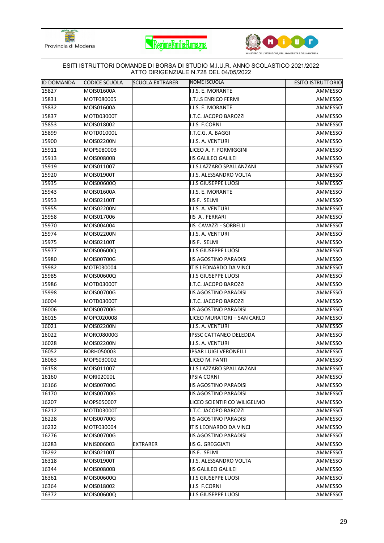





| <b>ID DOMANDA</b> | <b>CODICE SCUOLA</b> | <b>SCUOLA EXTRARER</b> | NOME ISCUOLA                  | <b>ESITO ISTRUTTORIO</b> |
|-------------------|----------------------|------------------------|-------------------------------|--------------------------|
| 15827             | MOIS01600A           |                        | I.I.S. E. MORANTE             | AMMESSO                  |
| 15831             | MOTF080005           |                        | <b>I.T.I.S ENRICO FERMI</b>   | AMMESSO                  |
| 15832             | MOIS01600A           |                        | I.I.S. E. MORANTE             | AMMESSO                  |
| 15837             | MOTD03000T           |                        | I.T.C. JACOPO BAROZZI         | AMMESSO                  |
| 15853             | MOIS018002           |                        | I.I.S F.CORNI                 | AMMESSO                  |
| 15899             | MOTD01000L           |                        | I.T.C.G. A. BAGGI             | AMMESSO                  |
| 15900             | MOIS02200N           |                        | I.I.S. A. VENTURI             | AMMESSO                  |
| 15911             | MOPS080003           |                        | LICEO A. F. FORMIGGINI        | <b>AMMESSO</b>           |
| 15913             | <b>MOIS00800B</b>    |                        | <b>IIS GALILEO GALILEI</b>    | AMMESSO                  |
| 15919             | MOIS011007           |                        | I.I.S.LAZZARO SPALLANZANI     | AMMESSO                  |
| 15920             | MOIS01900T           |                        | I.I.S. ALESSANDRO VOLTA       | AMMESSO                  |
| 15935             | MOIS00600Q           |                        | <b>I.I.S GIUSEPPE LUOSI</b>   | AMMESSO                  |
| 15943             | MOIS01600A           |                        | I.I.S. E. MORANTE             | AMMESSO                  |
| 15953             | MOIS02100T           |                        | IIS F. SELMI                  | AMMESSO                  |
| $\sqrt{15955}$    | <b>MOIS02200N</b>    |                        | I.I.S. A. VENTURI             | AMMESSO                  |
| 15958             | MOIS017006           |                        | <b>IIS A. FERRARI</b>         | AMMESSO                  |
| 15970             | MOIS004004           |                        | IIS CAVAZZI - SORBELLI        | AMMESSO                  |
| 15974             | MOIS02200N           |                        | I.I.S. A. VENTURI             | AMMESSO                  |
| 15975             | MOIS02100T           |                        | IIS F. SELMI                  | AMMESSO                  |
| 15977             | <b>MOIS00600Q</b>    |                        | I.I.S GIUSEPPE LUOSI          | AMMESSO                  |
| 15980             | MOIS00700G           |                        | <b>IIS AGOSTINO PARADISI</b>  | AMMESSO                  |
| 15982             | MOTF030004           |                        | ITIS LEONARDO DA VINCI        | AMMESSO                  |
| 15985             | MOIS00600Q           |                        | <b>I.I.S GIUSEPPE LUOSI</b>   | AMMESSO                  |
| 15986             | MOTD03000T           |                        | I.T.C. JACOPO BAROZZI         | AMMESSO                  |
| 15998             | MOIS00700G           |                        | <b>IIS AGOSTINO PARADISI</b>  | AMMESSO                  |
| 16004             | MOTD03000T           |                        | I.T.C. JACOPO BAROZZI         | AMMESSO                  |
| 16006             | <b>MOIS00700G</b>    |                        | <b>IIS AGOSTINO PARADISI</b>  | AMMESSO                  |
| 16015             | MOPC020008           |                        | LICEO MURATORI - SAN CARLO    | AMMESSO                  |
| 16021             | MOIS02200N           |                        | I.I.S. A. VENTURI             | AMMESSO                  |
| 16022             | <b>MORC08000G</b>    |                        | <b>IPSSC CATTANEO DELEDDA</b> | AMMESSO                  |
| 16028             | MOIS02200N           |                        | I.I.S. A. VENTURI             | AMMESSO                  |
| 16052             | BORH050003           |                        | <b>IPSAR LUIGI VERONELLI</b>  | AMMESSO                  |
| 16063             | MOPS030002           |                        | LICEO M. FANTI                | AMMESSO                  |
| 16158             | MOIS011007           |                        | I.I.S.LAZZARO SPALLANZANI     | AMMESSO                  |
| 16160             | MORI02000L           |                        | <b>IPSIA CORNI</b>            | AMMESSO                  |
| 16166             | MOIS00700G           |                        | <b>IIS AGOSTINO PARADISI</b>  | AMMESSO                  |
| 16170             | MOIS00700G           |                        | <b>IIS AGOSTINO PARADISI</b>  | AMMESSO                  |
| 16207             | MOPS050007           |                        | LICEO SCIENTIFICO WILIGELMO   | AMMESSO                  |
| 16212             | MOTD03000T           |                        | I.T.C. JACOPO BAROZZI         | AMMESSO                  |
| 16228             | MOIS00700G           |                        | <b>IIS AGOSTINO PARADISI</b>  | AMMESSO                  |
| 16232             | MOTF030004           |                        | <b>ITIS LEONARDO DA VINCI</b> | AMMESSO                  |
| 16276             | MOIS00700G           |                        | <b>IIS AGOSTINO PARADISI</b>  | AMMESSO                  |
| 16283             | MNIS006003           | <b>EXTRARER</b>        | <b>IIS G. GREGGIATI</b>       | AMMESSO                  |
| 16292             | MOIS02100T           |                        | IIS F. SELMI                  | AMMESSO                  |
| 16318             | MOIS01900T           |                        | I.I.S. ALESSANDRO VOLTA       | AMMESSO                  |
| 16344             | MOIS00800B           |                        | <b>IIS GALILEO GALILEI</b>    | AMMESSO                  |
| 16361             | MOIS00600Q           |                        | <b>I.I.S GIUSEPPE LUOSI</b>   | AMMESSO                  |
| 16364             | MOIS018002           |                        | I.I.S F.CORNI                 | AMMESSO                  |
| 16372             | MOIS00600Q           |                        | <b>I.I.S GIUSEPPE LUOSI</b>   | AMMESSO                  |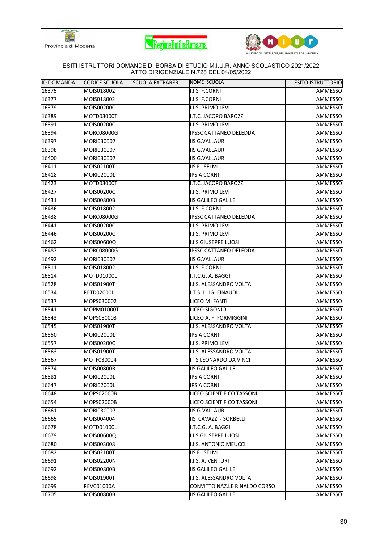





|                   |                   |                        | ESITI ISTRUTTORI DOMANDE DI BORSA DI STUDIO M.I.U.R. ANNO SCOLASTICO 2021/2022<br>ATTO DIRIGENZIALE N.728 DEL 04/05/2022 |                          |
|-------------------|-------------------|------------------------|--------------------------------------------------------------------------------------------------------------------------|--------------------------|
| <b>ID DOMANDA</b> | CODICE SCUOLA     | <b>SCUOLA EXTRARER</b> | <b>NOME ISCUOLA</b>                                                                                                      | <b>ESITO ISTRUTTORIO</b> |
| 16375             | MOIS018002        |                        | I.I.S F.CORNI                                                                                                            | AMMESSO                  |
| 16377             | MOIS018002        |                        | I.I.S F.CORNI                                                                                                            | AMMESSO                  |
| 16379             | MOIS00200C        |                        | I.I.S. PRIMO LEVI                                                                                                        | AMMESSO                  |
| 16389             | MOTD03000T        |                        | I.T.C. JACOPO BAROZZI                                                                                                    | AMMESSO                  |
| 16391             | MOIS00200C        |                        | I.I.S. PRIMO LEVI                                                                                                        | AMMESSO                  |
| 16394             | <b>MORC08000G</b> |                        | <b>IPSSC CATTANEO DELEDDA</b>                                                                                            | AMMESSO                  |
| 16397             | MORI030007        |                        | <b>IIS G.VALLAURI</b>                                                                                                    | AMMESSO                  |
| 16398             | MORI030007        |                        | <b>IIS G.VALLAURI</b>                                                                                                    | AMMESSO                  |
| 16400             | MORI030007        |                        | <b>IIS G.VALLAURI</b>                                                                                                    | AMMESSO                  |
| 16411             | MOIS02100T        |                        | IIS F. SELMI                                                                                                             | AMMESSO                  |
| 16418             | <b>MORI02000L</b> |                        | <b>IPSIA CORNI</b>                                                                                                       | AMMESSO                  |
| 16423             | MOTD03000T        |                        | I.T.C. JACOPO BAROZZI                                                                                                    | <b>AMMESSO</b>           |
| 16427             | MOIS00200C        |                        | I.I.S. PRIMO LEVI                                                                                                        | AMMESSO                  |
| 16431             | MOIS00800B        |                        | <b>IIS GALILEO GALILEI</b>                                                                                               | AMMESSO                  |
| 16436             | MOIS018002        |                        | I.I.S F.CORNI                                                                                                            | AMMESSO                  |
| 16438             | <b>MORC08000G</b> |                        | <b>IPSSC CATTANEO DELEDDA</b>                                                                                            | AMMESSO                  |
| 16441             | MOIS00200C        |                        | I.I.S. PRIMO LEVI                                                                                                        | <b>AMMESSO</b>           |
| 16446             | MOIS00200C        |                        | I.I.S. PRIMO LEVI                                                                                                        | AMMESSO                  |
| 16462             | MOIS00600Q        |                        | <b>I.I.S GIUSEPPE LUOSI</b>                                                                                              | AMMESSO                  |
| 16487             | <b>MORC08000G</b> |                        | <b>IPSSC CATTANEO DELEDDA</b>                                                                                            | AMMESSO                  |
| 16492             | MORI030007        |                        | <b>IIS G.VALLAURI</b>                                                                                                    | AMMESSO                  |
| 16511             | MOIS018002        |                        | I.I.S F.CORNI                                                                                                            | AMMESSO                  |
| 16514             | MOTD01000L        |                        | I.T.C.G. A. BAGGI                                                                                                        | AMMESSO                  |
| 16528             | MOIS01900T        |                        | I.I.S. ALESSANDRO VOLTA                                                                                                  | AMMESSO                  |
| 16534             | <b>RETD02000L</b> |                        | I.T.S LUIGI EINAUDI                                                                                                      | AMMESSO                  |
| 16537             | MOPS030002        |                        | LICEO M. FANTI                                                                                                           | AMMESSO                  |
| 16541             | MOPM01000T        |                        | LICEO SIGONIO                                                                                                            | AMMESSO                  |
| 16543             | MOPS080003        |                        | LICEO A. F. FORMIGGINI                                                                                                   | AMMESSO                  |
| 16545             | MOIS01900T        |                        | I.I.S. ALESSANDRO VOLTA                                                                                                  | AMMESSO                  |
| 16550             | <b>MORI02000L</b> |                        | <b>IPSIA CORNI</b>                                                                                                       | AMMESSO                  |
| 16557             | MOIS00200C        |                        | I.I.S. PRIMO LEVI                                                                                                        | AMMESSO                  |
| 16563             | MOIS01900T        |                        | I.I.S. ALESSANDRO VOLTA                                                                                                  | AMMESSO                  |
| 16567             | MOTF030004        |                        | <b>ITIS LEONARDO DA VINCI</b>                                                                                            | AMMESSO                  |
| 16574             | <b>MOIS00800B</b> |                        | <b>IIS GALILEO GALILEI</b>                                                                                               | AMMESSO                  |
| 16581             | <b>MORI02000L</b> |                        | <b>IPSIA CORNI</b>                                                                                                       | AMMESSO                  |
| 16647             | <b>MORI02000L</b> |                        | <b>IPSIA CORNI</b>                                                                                                       | AMMESSO                  |
| 16648             | MOPS02000B        |                        | LICEO SCIENTIFICO TASSONI                                                                                                | AMMESSO                  |
| 16654             | MOPS02000B        |                        | LICEO SCIENTIFICO TASSONI                                                                                                | <b>AMMESSO</b>           |
| 16661             | MORI030007        |                        | <b>IIS G.VALLAURI</b>                                                                                                    | AMMESSO                  |
| 16665             | MOIS004004        |                        | IIS CAVAZZI - SORBELLI                                                                                                   | AMMESSO                  |
| 16678             | MOTD01000L        |                        | I.T.C.G. A. BAGGI                                                                                                        | AMMESSO                  |
| 16679             | MOIS00600Q        |                        | I.I.S GIUSEPPE LUOSI                                                                                                     | AMMESSO                  |
| 16680             | MOIS003008        |                        | I.I.S. ANTONIO MEUCCI                                                                                                    | AMMESSO                  |
| 16682             | MOIS02100T        |                        | IIS F. SELMI                                                                                                             | AMMESSO                  |
| 16691             | MOIS02200N        |                        | I.I.S. A. VENTURI                                                                                                        | AMMESSO                  |
| 16692             | <b>MOIS00800B</b> |                        | <b>IIS GALILEO GALILEI</b>                                                                                               | AMMESSO                  |
| 16698             | MOIS01900T        |                        | I.I.S. ALESSANDRO VOLTA                                                                                                  | AMMESSO                  |
| 16699             | <b>REVC01000A</b> |                        | CONVITTO NAZ.LE RINALDO CORSO                                                                                            | AMMESSO                  |
| 16705             | MOIS00800B        |                        | <b>IIS GALILEO GALILEI</b>                                                                                               | AMMESSO                  |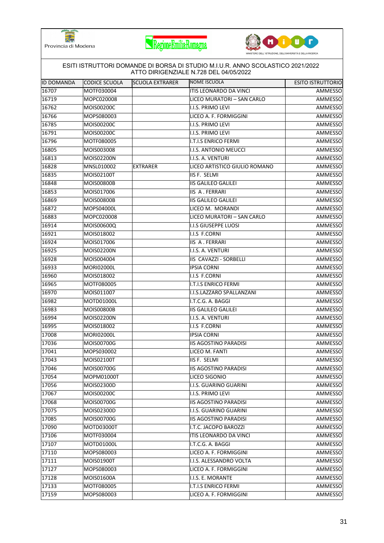





| <b>ID DOMANDA</b> | CODICE SCUOLA     | <b>SCUOLA EXTRARER</b> | <b>NOME ISCUOLA</b>           | <b>ESITO ISTRUTTORIO</b> |
|-------------------|-------------------|------------------------|-------------------------------|--------------------------|
| 16707             | MOTF030004        |                        | ITIS LEONARDO DA VINCI        | AMMESSO                  |
| 16719             | MOPC020008        |                        | LICEO MURATORI - SAN CARLO    | AMMESSO                  |
| 16762             | MOIS00200C        |                        | II.I.S. PRIMO LEVI            | AMMESSO                  |
| 16766             | MOPS080003        |                        | LICEO A. F. FORMIGGINI        | AMMESSO                  |
| 16785             | MOIS00200C        |                        | I.I.S. PRIMO LEVI             | AMMESSO                  |
| 16791             | MOIS00200C        |                        | I.I.S. PRIMO LEVI             | AMMESSO                  |
| 16796             | MOTF080005        |                        | I.T.I.S ENRICO FERMI          | AMMESSO                  |
| 16805             | MOIS003008        |                        | I.I.S. ANTONIO MEUCCI         | AMMESSO                  |
| 16813             | MOIS02200N        |                        | I.I.S. A. VENTURI             | AMMESSO                  |
| 16828             | MNSL010002        | <b>EXTRARER</b>        | LICEO ARTISTICO GIULIO ROMANO | AMMESSO                  |
| 16835             | MOIS02100T        |                        | IIS F. SELMI                  | AMMESSO                  |
| 16848             | MOIS00800B        |                        | <b>IIS GALILEO GALILEI</b>    | AMMESSO                  |
| 16853             | MOIS017006        |                        | IIS A. FERRARI                | AMMESSO                  |
| 16869             | <b>MOIS00800B</b> |                        | <b>IIS GALILEO GALILEI</b>    | AMMESSO                  |
| 16872             | MOPS04000L        |                        | LICEO M. MORANDI              | AMMESSO                  |
| 16883             | MOPC020008        |                        | LICEO MURATORI - SAN CARLO    | AMMESSO                  |
| 16914             | MOIS00600Q        |                        | II.I.S GIUSEPPE LUOSI         | AMMESSO                  |
| 16921             | MOIS018002        |                        | I.I.S F.CORNI                 | AMMESSO                  |
| 16924             | MOIS017006        |                        | IIS A. FERRARI                | AMMESSO                  |
| 16925             | MOIS02200N        |                        | I.I.S. A. VENTURI             | AMMESSO                  |
| 16928             | MOIS004004        |                        | IIS CAVAZZI - SORBELLI        | AMMESSO                  |
| 16933             | <b>MORI02000L</b> |                        | <b>IPSIA CORNI</b>            | AMMESSO                  |
| 16960             | MOIS018002        |                        | I.I.S F.CORNI                 | AMMESSO                  |
| 16965             | MOTF080005        |                        | I.T.I.S ENRICO FERMI          | AMMESSO                  |
| 16970             | MOIS011007        |                        | I.I.S.LAZZARO SPALLANZANI     | AMMESSO                  |
| 16982             | MOTD01000L        |                        | I.T.C.G. A. BAGGI             | AMMESSO                  |
| 16983             | <b>MOIS00800B</b> |                        | <b>IIS GALILEO GALILEI</b>    | AMMESSO                  |
| 16994             | MOIS02200N        |                        | I.I.S. A. VENTURI             | AMMESSO                  |
| 16995             | MOIS018002        |                        | I.I.S F.CORNI                 | AMMESSO                  |
| 17008             | <b>MORI02000L</b> |                        | <b>IPSIA CORNI</b>            | AMMESSO                  |
| 17036             | MOIS00700G        |                        | <b>IIS AGOSTINO PARADISI</b>  | AMMESSO                  |
| 17041             | MOPS030002        |                        | LICEO M. FANTI                | <b>AMMESSO</b>           |
| 17043             | MOIS02100T        |                        | IIS F. SELMI                  | AMMESSO                  |
| 17046             | MOIS00700G        |                        | <b>IIS AGOSTINO PARADISI</b>  | AMMESSO                  |
| 17054             | MOPM01000T        |                        | LICEO SIGONIO                 | AMMESSO                  |
| 17056             | MOIS02300D        |                        | I.I.S. GUARINO GUARINI        | AMMESSO                  |
| 17067             | MOIS00200C        |                        | II.I.S. PRIMO LEVI            | AMMESSO                  |
| 17068             | MOIS00700G        |                        | <b>IIS AGOSTINO PARADISI</b>  | AMMESSO                  |
| 17075             | MOIS02300D        |                        | I.I.S. GUARINO GUARINI        | AMMESSO                  |
| 17085             | MOIS00700G        |                        | <b>IIS AGOSTINO PARADISI</b>  | AMMESSO                  |
| 17090             | MOTD03000T        |                        | I.T.C. JACOPO BAROZZI         | AMMESSO                  |
| 17106             | MOTF030004        |                        | ITIS LEONARDO DA VINCI        | AMMESSO                  |
| 17107             | MOTD01000L        |                        | I.T.C.G. A. BAGGI             | AMMESSO                  |
| 17110             | MOPS080003        |                        | LICEO A. F. FORMIGGINI        | AMMESSO                  |
| 17111             | MOIS01900T        |                        | I.I.S. ALESSANDRO VOLTA       | AMMESSO                  |
| 17127             | MOPS080003        |                        | LICEO A. F. FORMIGGINI        | AMMESSO                  |
| 17128             | MOIS01600A        |                        | I.I.S. E. MORANTE             | AMMESSO                  |
| 17133             | MOTF080005        |                        | I.T.I.S ENRICO FERMI          | AMMESSO                  |
| 17159             | MOPS080003        |                        | LICEO A. F. FORMIGGINI        | AMMESSO                  |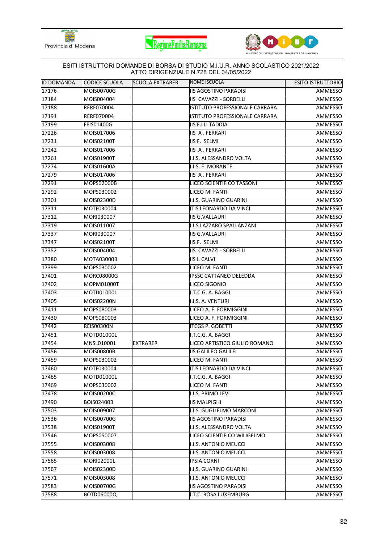





| IID DOMANDA | CODICE SCUOLA     | <b>SCUOLA EXTRARER</b> | NOME ISCUOLA                   | <b>ESITO ISTRUTTORIO</b> |
|-------------|-------------------|------------------------|--------------------------------|--------------------------|
| 17176       | MOIS00700G        |                        | <b>IIS AGOSTINO PARADISI</b>   | AMMESSO                  |
| 17184       | MOIS004004        |                        | <b>IIS CAVAZZI - SORBELLI</b>  | AMMESSO                  |
| 17188       | RERF070004        |                        | ISTITUTO PROFESSIONALE CARRARA | AMMESSO                  |
| 17191       | RERF070004        |                        | ISTITUTO PROFESSIONALE CARRARA | AMMESSO                  |
| 17199       | <b>FEIS01400G</b> |                        | <b>IIS F.LLI TADDIA</b>        | AMMESSO                  |
| 17226       | MOIS017006        |                        | IIS A. FERRARI                 | AMMESSO                  |
| 17231       | MOIS02100T        |                        | IIS F. SELMI                   | AMMESSO                  |
| 17242       | MOIS017006        |                        | <b>IIS A. FERRARI</b>          | AMMESSO                  |
| 17261       | MOIS01900T        |                        | I.I.S. ALESSANDRO VOLTA        | AMMESSO                  |
| 17274       | MOIS01600A        |                        | I.I.S. E. MORANTE              | AMMESSO                  |
| 17279       | MOIS017006        |                        | <b>IIS A. FERRARI</b>          | AMMESSO                  |
| 17291       | MOPS02000B        |                        | LICEO SCIENTIFICO TASSONI      | AMMESSO                  |
| 17292       | MOPS030002        |                        | LICEO M. FANTI                 | <b>AMMESSO</b>           |
| 17301       | MOIS02300D        |                        | I.I.S. GUARINO GUARINI         | AMMESSO                  |
| 17311       | MOTF030004        |                        | ITIS LEONARDO DA VINCI         | AMMESSO                  |
| 17312       | MORI030007        |                        | <b>IIS G.VALLAURI</b>          | AMMESSO                  |
| 17319       | MOIS011007        |                        | I.I.S.LAZZARO SPALLANZANI      | AMMESSO                  |
| 17337       | MORI030007        |                        | <b>IIS G.VALLAURI</b>          | AMMESSO                  |
| 17347       | MOIS02100T        |                        | <b>IIS F. SELMI</b>            | AMMESSO                  |
| 17352       | MOIS004004        |                        | IIS CAVAZZI - SORBELLI         | AMMESSO                  |
| 17380       | MOTA03000B        |                        | <b>IIS I. CALVI</b>            | AMMESSO                  |
| 17399       | MOPS030002        |                        | LICEO M. FANTI                 | AMMESSO                  |
| 17401       | MORC08000G        |                        | <b>IPSSC CATTANEO DELEDDA</b>  | AMMESSO                  |
| 17402       | MOPM01000T        |                        | LICEO SIGONIO                  | AMMESSO                  |
| 17403       | MOTD01000L        |                        | I.T.C.G. A. BAGGI              | AMMESSO                  |
| 17405       | MOIS02200N        |                        | I.I.S. A. VENTURI              | AMMESSO                  |
| 17411       | MOPS080003        |                        | LICEO A. F. FORMIGGINI         | AMMESSO                  |
| 17430       | MOPS080003        |                        | LICEO A. F. FORMIGGINI         | AMMESSO                  |
| 17442       | <b>REIS00300N</b> |                        | <b>ITCGS P. GOBETTI</b>        | AMMESSO                  |
| 17451       | MOTD01000L        |                        | I.T.C.G. A. BAGGI              | AMMESSO                  |
| 17454       | MNSL010001        | <b>EXTRARER</b>        | LICEO ARTISTICO GIULIO ROMANO  | AMMESSO                  |
| 17456       | <b>MOIS00800B</b> |                        | <b>IIS GALILEO GALILEI</b>     | AMMESSO                  |
| 17459       | MOPS030002        |                        | LICEO M. FANTI                 | AMMESSO                  |
| 17460       | MOTF030004        |                        | ITIS LEONARDO DA VINCI         | AMMESSO                  |
| 17465       | MOTD01000L        |                        | I.T.C.G. A. BAGGI              | AMMESSO                  |
| 17469       | MOPS030002        |                        | LICEO M. FANTI                 | AMMESSO                  |
| 17478       | MOIS00200C        |                        | I.I.S. PRIMO LEVI              | AMMESSO                  |
| 17490       | <b>BOIS02400B</b> |                        | <b>IIS MALPIGHI</b>            | AMMESSO                  |
| 17503       | MOIS009007        |                        | I.I.S. GUGLIELMO MARCONI       | AMMESSO                  |
| 17536       | MOIS00700G        |                        | <b>IIS AGOSTINO PARADISI</b>   | AMMESSO                  |
| 17538       | MOIS01900T        |                        | I.I.S. ALESSANDRO VOLTA        | AMMESSO                  |
| 17546       | MOPS050007        |                        | LICEO SCIENTIFICO WILIGELMO    | AMMESSO                  |
| 17555       | MOIS003008        |                        | I.I.S. ANTONIO MEUCCI          | AMMESSO                  |
| 17558       | MOIS003008        |                        | I.I.S. ANTONIO MEUCCI          | AMMESSO                  |
| 17565       | MORI02000L        |                        | <b>IPSIA CORNI</b>             | AMMESSO                  |
| 17567       | MOIS02300D        |                        | I.I.S. GUARINO GUARINI         | AMMESSO                  |
| 17571       | MOIS003008        |                        | I.I.S. ANTONIO MEUCCI          | AMMESSO                  |
| 17583       | MOIS00700G        |                        | <b>IIS AGOSTINO PARADISI</b>   | AMMESSO                  |
| 17588       | BOTD06000Q        |                        | I.T.C. ROSA LUXEMBURG          | AMMESSO                  |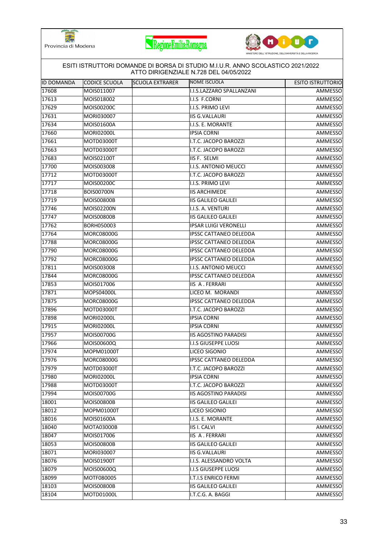





| IID DOMANDA | CODICE SCUOLA     | <b>SCUOLA EXTRARER</b> | NOME ISCUOLA                  | <b>ESITO ISTRUTTORIO</b> |
|-------------|-------------------|------------------------|-------------------------------|--------------------------|
| 17608       | MOIS011007        |                        | I.I.S.LAZZARO SPALLANZANI     | AMMESSO                  |
| 17613       | MOIS018002        |                        | I.I.S F.CORNI                 | AMMESSO                  |
| 17629       | MOIS00200C        |                        | I.I.S. PRIMO LEVI             | AMMESSO                  |
| 17631       | MORI030007        |                        | <b>IIS G.VALLAURI</b>         | AMMESSO                  |
| 17634       | MOIS01600A        |                        | I.I.S. E. MORANTE             | AMMESSO                  |
| 17660       | <b>MORI02000L</b> |                        | <b>IPSIA CORNI</b>            | AMMESSO                  |
| 17661       | MOTD03000T        |                        | I.T.C. JACOPO BAROZZI         | AMMESSO                  |
| 17663       | MOTD03000T        |                        | I.T.C. JACOPO BAROZZI         | AMMESSO                  |
| 17683       | MOIS02100T        |                        | IIS F. SELMI                  | AMMESSO                  |
| 17700       | MOIS003008        |                        | I.I.S. ANTONIO MEUCCI         | AMMESSO                  |
| 17712       | MOTD03000T        |                        | I.T.C. JACOPO BAROZZI         | AMMESSO                  |
| 17717       | MOIS00200C        |                        | I.I.S. PRIMO LEVI             | AMMESSO                  |
| 17718       | <b>BOIS00700N</b> |                        | <b>IIS ARCHIMEDE</b>          | AMMESSO                  |
| 17719       | <b>MOIS00800B</b> |                        | <b>IIS GALILEO GALILEI</b>    | AMMESSO                  |
| 17746       | <b>MOIS02200N</b> |                        | I.I.S. A. VENTURI             | AMMESSO                  |
| 17747       | <b>MOIS00800B</b> |                        | <b>IIS GALILEO GALILEI</b>    | AMMESSO                  |
| 17762       | BORH050003        |                        | <b>IPSAR LUIGI VERONELLI</b>  | AMMESSO                  |
| 17764       | MORC08000G        |                        | <b>IPSSC CATTANEO DELEDDA</b> | AMMESSO                  |
| 17788       | <b>MORC08000G</b> |                        | IPSSC CATTANEO DELEDDA        | AMMESSO                  |
| 17790       | <b>MORC08000G</b> |                        | IPSSC CATTANEO DELEDDA        | AMMESSO                  |
| 17792       | MORC08000G        |                        | IPSSC CATTANEO DELEDDA        | AMMESSO                  |
| 17811       | MOIS003008        |                        | I.I.S. ANTONIO MEUCCI         | AMMESSO                  |
| 17844       | MORC08000G        |                        | <b>IPSSC CATTANEO DELEDDA</b> | AMMESSO                  |
| 17853       | MOIS017006        |                        | IIS A. FERRARI                | AMMESSO                  |
| 17871       | MOPS04000L        |                        | LICEO M. MORANDI              | AMMESSO                  |
| 17875       | <b>MORC08000G</b> |                        | IPSSC CATTANEO DELEDDA        | AMMESSO                  |
| 17896       | MOTD03000T        |                        | I.T.C. JACOPO BAROZZI         | AMMESSO                  |
| 17898       | <b>MORI02000L</b> |                        | <b>IPSIA CORNI</b>            | AMMESSO                  |
| 17915       | <b>MORI02000L</b> |                        | <b>IPSIA CORNI</b>            | AMMESSO                  |
| 17957       | MOIS00700G        |                        | <b>IIS AGOSTINO PARADISI</b>  | AMMESSO                  |
| 17966       | MOIS00600Q        |                        | <b>I.I.S GIUSEPPE LUOSI</b>   | AMMESSO                  |
| 17974       | <b>MOPM01000T</b> |                        | LICEO SIGONIO                 | AMMESSO                  |
| 17976       | <b>MORC08000G</b> |                        | IPSSC CATTANEO DELEDDA        | AMMESSO                  |
| 17979       | MOTD03000T        |                        | I.T.C. JACOPO BAROZZI         | AMMESSO                  |
| 17980       | <b>MORI02000L</b> |                        | <b>IPSIA CORNI</b>            | AMMESSO                  |
| 17988       | MOTD03000T        |                        | I.T.C. JACOPO BAROZZI         | AMMESSO                  |
| 17994       | MOIS00700G        |                        | <b>IIS AGOSTINO PARADISI</b>  | AMMESSO                  |
| 18001       | <b>MOIS00800B</b> |                        | <b>IIS GALILEO GALILEI</b>    | AMMESSO                  |
| 18012       | MOPM01000T        |                        | LICEO SIGONIO                 | AMMESSO                  |
| 18016       | MOIS01600A        |                        | I.I.S. E. MORANTE             | AMMESSO                  |
| 18040       | MOTA03000B        |                        | <b>IIS I. CALVI</b>           | AMMESSO                  |
| 18047       | MOIS017006        |                        | IIS A. FERRARI                | AMMESSO                  |
| 18053       | <b>MOIS00800B</b> |                        | <b>IIS GALILEO GALILEI</b>    | AMMESSO                  |
| 18071       | MORI030007        |                        | <b>IIS G.VALLAURI</b>         | AMMESSO                  |
| 18076       | MOIS01900T        |                        | I.I.S. ALESSANDRO VOLTA       | AMMESSO                  |
| 18079       | MOIS00600Q        |                        | <b>I.I.S GIUSEPPE LUOSI</b>   | AMMESSO                  |
| 18099       | MOTF080005        |                        | I.T.I.S ENRICO FERMI          | AMMESSO                  |
| 18103       | <b>MOIS00800B</b> |                        | <b>IIS GALILEO GALILEI</b>    | AMMESSO                  |
| 18104       | MOTD01000L        |                        | I.T.C.G. A. BAGGI             | AMMESSO                  |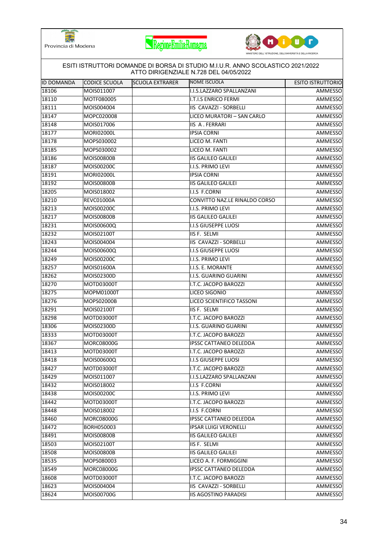





|                   | ESITI ISTRUTTORI DOMANDE DI BORSA DI STUDIO M.I.U.R. ANNO SCOLASTICO 2021/2022<br>ATTO DIRIGENZIALE N.728 DEL 04/05/2022 |                        |                               |                          |  |  |
|-------------------|--------------------------------------------------------------------------------------------------------------------------|------------------------|-------------------------------|--------------------------|--|--|
| <b>ID DOMANDA</b> | CODICE SCUOLA                                                                                                            | <b>SCUOLA EXTRARER</b> | NOME ISCUOLA                  | <b>ESITO ISTRUTTORIO</b> |  |  |
| 18106             | MOIS011007                                                                                                               |                        | I.I.S.LAZZARO SPALLANZANI     | AMMESSO                  |  |  |
| 18110             | MOTF080005                                                                                                               |                        | <b>I.T.I.S ENRICO FERMI</b>   | AMMESSO                  |  |  |
| 18111             | MOIS004004                                                                                                               |                        | IIS CAVAZZI - SORBELLI        | AMMESSO                  |  |  |
| 18147             | MOPC020008                                                                                                               |                        | LICEO MURATORI - SAN CARLO    | AMMESSO                  |  |  |
| 18148             | MOIS017006                                                                                                               |                        | <b>IIS A. FERRARI</b>         | AMMESSO                  |  |  |
| 18177             | <b>MORI02000L</b>                                                                                                        |                        | <b>IPSIA CORNI</b>            | AMMESSO                  |  |  |
| 18178             | MOPS030002                                                                                                               |                        | LICEO M. FANTI                | AMMESSO                  |  |  |
| 18185             | MOPS030002                                                                                                               |                        | LICEO M. FANTI                | AMMESSO                  |  |  |
| 18186             | MOIS00800B                                                                                                               |                        | <b>IIS GALILEO GALILEI</b>    | AMMESSO                  |  |  |
| 18187             | MOIS00200C                                                                                                               |                        | I.I.S. PRIMO LEVI             | AMMESSO                  |  |  |
| 18191             | <b>MORI02000L</b>                                                                                                        |                        | <b>IPSIA CORNI</b>            | AMMESSO                  |  |  |
| 18192             | <b>MOIS00800B</b>                                                                                                        |                        | <b>IIS GALILEO GALILEI</b>    | AMMESSO                  |  |  |
| 18205             | MOIS018002                                                                                                               |                        | I.I.S F.CORNI                 | AMMESSO                  |  |  |
| 18210             | <b>REVC01000A</b>                                                                                                        |                        | CONVITTO NAZ.LE RINALDO CORSO | AMMESSO                  |  |  |
| 18213             | MOIS00200C                                                                                                               |                        | I.I.S. PRIMO LEVI             | AMMESSO                  |  |  |
| 18217             | <b>MOIS00800B</b>                                                                                                        |                        | <b>IIS GALILEO GALILEI</b>    | AMMESSO                  |  |  |
| 18231             | MOIS00600Q                                                                                                               |                        | <b>I.I.S GIUSEPPE LUOSI</b>   | AMMESSO                  |  |  |
| 18232             | MOIS02100T                                                                                                               |                        | IIS F. SELMI                  | AMMESSO                  |  |  |
| 18243             | MOIS004004                                                                                                               |                        | IIS CAVAZZI - SORBELLI        | AMMESSO                  |  |  |
| 18244             | MOIS00600Q                                                                                                               |                        | I.I.S GIUSEPPE LUOSI          | AMMESSO                  |  |  |
| 18249             | MOIS00200C                                                                                                               |                        | I.I.S. PRIMO LEVI             | AMMESSO                  |  |  |
| 18257             | MOIS01600A                                                                                                               |                        | I.I.S. E. MORANTE             | AMMESSO                  |  |  |
| 18262             | MOIS02300D                                                                                                               |                        | I.I.S. GUARINO GUARINI        | AMMESSO                  |  |  |
| 18270             | MOTD03000T                                                                                                               |                        | I.T.C. JACOPO BAROZZI         | AMMESSO                  |  |  |
| 18275             | MOPM01000T                                                                                                               |                        | LICEO SIGONIO                 | AMMESSO                  |  |  |
| 18276             | MOPS02000B                                                                                                               |                        | LICEO SCIENTIFICO TASSONI     | AMMESSO                  |  |  |
| 18291             | MOIS02100T                                                                                                               |                        | IIS F. SELMI                  | AMMESSO                  |  |  |
| 18298             | MOTD03000T                                                                                                               |                        | I.T.C. JACOPO BAROZZI         | AMMESSO                  |  |  |
| 18306             | MOIS02300D                                                                                                               |                        | I.I.S. GUARINO GUARINI        | AMMESSO                  |  |  |
| 18333             | MOTD03000T                                                                                                               |                        | I.T.C. JACOPO BAROZZI         | AMMESSO                  |  |  |
| 18367             | MORC08000G                                                                                                               |                        | <b>IPSSC CATTANEO DELEDDA</b> | AMMESSO                  |  |  |
| 18413             | MOTD03000T                                                                                                               |                        | I.T.C. JACOPO BAROZZI         | AMMESSO                  |  |  |
| 18418             | MOIS00600Q                                                                                                               |                        | <b>I.I.S GIUSEPPE LUOSI</b>   | AMMESSO                  |  |  |
| 18427             | MOTD03000T                                                                                                               |                        | I.T.C. JACOPO BAROZZI         | AMMESSO                  |  |  |
| 18429             | MOIS011007                                                                                                               |                        | I.I.S.LAZZARO SPALLANZANI     | AMMESSO                  |  |  |
| 18432             | MOIS018002                                                                                                               |                        | I.I.S F.CORNI                 | AMMESSO                  |  |  |
| 18438             | MOIS00200C                                                                                                               |                        | I.I.S. PRIMO LEVI             | AMMESSO                  |  |  |
| 18442             | MOTD03000T                                                                                                               |                        | I.T.C. JACOPO BAROZZI         | AMMESSO                  |  |  |
| 18448             | MOIS018002                                                                                                               |                        | I.I.S F.CORNI                 | AMMESSO                  |  |  |
| 18460             | MORC08000G                                                                                                               |                        | IPSSC CATTANEO DELEDDA        | AMMESSO                  |  |  |
| 18472             | BORH050003                                                                                                               |                        | <b>IPSAR LUIGI VERONELLI</b>  | AMMESSO                  |  |  |
| 18491             | <b>MOIS00800B</b>                                                                                                        |                        | <b>IIS GALILEO GALILEI</b>    | AMMESSO                  |  |  |
| 18503             | MOIS02100T                                                                                                               |                        | IIS F. SELMI                  | AMMESSO                  |  |  |
| 18508             | <b>MOIS00800B</b>                                                                                                        |                        | <b>IIS GALILEO GALILEI</b>    | AMMESSO                  |  |  |
| 18535             | MOPS080003                                                                                                               |                        | LICEO A. F. FORMIGGINI        | AMMESSO                  |  |  |
| 18549             | <b>MORC08000G</b>                                                                                                        |                        | IPSSC CATTANEO DELEDDA        | AMMESSO                  |  |  |
| 18608             | MOTD03000T                                                                                                               |                        | I.T.C. JACOPO BAROZZI         | AMMESSO                  |  |  |
| 18623             | MOIS004004                                                                                                               |                        | IIS CAVAZZI - SORBELLI        | AMMESSO                  |  |  |
| 18624             | MOIS00700G                                                                                                               |                        | <b>IIS AGOSTINO PARADISI</b>  | AMMESSO                  |  |  |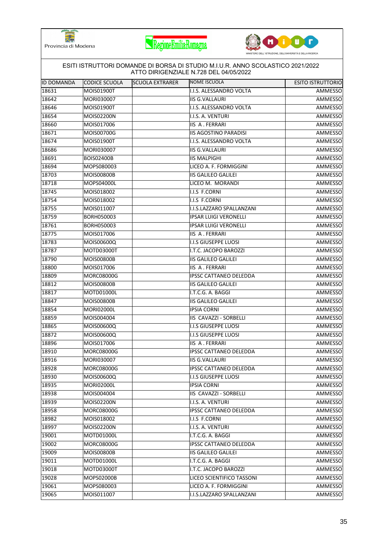





|            |                   |                        | ESITI ISTRUTTORI DOMANDE DI BORSA DI STUDIO M.I.U.R. ANNO SCOLASTICO 2021/2022<br>ATTO DIRIGENZIALE N.728 DEL 04/05/2022 |                          |
|------------|-------------------|------------------------|--------------------------------------------------------------------------------------------------------------------------|--------------------------|
| ID DOMANDA | CODICE SCUOLA     | <b>SCUOLA EXTRARER</b> | NOME ISCUOLA                                                                                                             | <b>ESITO ISTRUTTORIO</b> |
| 18631      | MOIS01900T        |                        | I.I.S. ALESSANDRO VOLTA                                                                                                  | AMMESSO                  |
| 18642      | MORI030007        |                        | <b>IIS G.VALLAURI</b>                                                                                                    | AMMESSO                  |
| 18646      | MOIS01900T        |                        | I.I.S. ALESSANDRO VOLTA                                                                                                  | AMMESSO                  |
| 18654      | MOIS02200N        |                        | I.I.S. A. VENTURI                                                                                                        | AMMESSO                  |
| 18660      | MOIS017006        |                        | <b>IIS A. FERRARI</b>                                                                                                    | AMMESSO                  |
| 18671      | MOIS00700G        |                        | <b>IIS AGOSTINO PARADISI</b>                                                                                             | AMMESSO                  |
| 18674      | MOIS01900T        |                        | I.I.S. ALESSANDRO VOLTA                                                                                                  | AMMESSO                  |
| 18686      | MORI030007        |                        | <b>IIS G.VALLAURI</b>                                                                                                    | AMMESSO                  |
| 18691      | <b>BOIS02400B</b> |                        | <b>IIS MALPIGHI</b>                                                                                                      | AMMESSO                  |
| 18694      | MOPS080003        |                        | LICEO A. F. FORMIGGINI                                                                                                   | AMMESSO                  |
| 18703      | <b>MOIS00800B</b> |                        | <b>IIS GALILEO GALILEI</b>                                                                                               | AMMESSO                  |
| 18718      | MOPS04000L        |                        | LICEO M. MORANDI                                                                                                         | AMMESSO                  |
| 18745      | MOIS018002        |                        | I.I.S F.CORNI                                                                                                            | <b>AMMESSO</b>           |
| 18754      | MOIS018002        |                        | I.I.S F.CORNI                                                                                                            | AMMESSO                  |
| 18755      | MOIS011007        |                        | I.I.S.LAZZARO SPALLANZANI                                                                                                | AMMESSO                  |
| 18759      | BORH050003        |                        | <b>IPSAR LUIGI VERONELLI</b>                                                                                             | AMMESSO                  |
| 18761      | <b>BORH050003</b> |                        | <b>IPSAR LUIGI VERONELLI</b>                                                                                             | AMMESSO                  |
| 18775      | MOIS017006        |                        | <b>IIS A. FERRARI</b>                                                                                                    | AMMESSO                  |
| 18783      | MOIS00600Q        |                        | <b>I.I.S GIUSEPPE LUOSI</b>                                                                                              | AMMESSO                  |
| 18787      | MOTD03000T        |                        | I.T.C. JACOPO BAROZZI                                                                                                    | AMMESSO                  |
| 18790      | MOIS00800B        |                        | <b>IIS GALILEO GALILEI</b>                                                                                               | AMMESSO                  |
| 18800      | MOIS017006        |                        | <b>IIS A. FERRARI</b>                                                                                                    | AMMESSO                  |
| 18809      | <b>MORC08000G</b> |                        | <b>IPSSC CATTANEO DELEDDA</b>                                                                                            | AMMESSO                  |
| 18812      | <b>MOIS00800B</b> |                        | <b>IIS GALILEO GALILEI</b>                                                                                               | AMMESSO                  |
| 18817      | MOTD01000L        |                        | I.T.C.G. A. BAGGI                                                                                                        | AMMESSO                  |
| 18847      | <b>MOIS00800B</b> |                        | <b>IIS GALILEO GALILEI</b>                                                                                               | AMMESSO                  |
| 18854      | <b>MORI02000L</b> |                        | <b>IPSIA CORNI</b>                                                                                                       | AMMESSO                  |
| 18859      | MOIS004004        |                        | IIS CAVAZZI - SORBELLI                                                                                                   | AMMESSO                  |
| 18865      | MOIS00600Q        |                        | <b>I.I.S GIUSEPPE LUOSI</b>                                                                                              | AMMESSO                  |
| 18872      | MOIS00600Q        |                        | <b>I.I.S GIUSEPPE LUOSI</b>                                                                                              | AMMESSO                  |
| 18896      | MOIS017006        |                        | <b>IIS A. FERRARI</b>                                                                                                    | AMMESSO                  |
| 18910      | <b>MORC08000G</b> |                        | <b>IPSSC CATTANEO DELEDDA</b>                                                                                            | AMMESSO                  |
| 18916      | MORI030007        |                        | <b>IIS G.VALLAURI</b>                                                                                                    | AMMESSO                  |
| 18928      | <b>MORC08000G</b> |                        | <b>IPSSC CATTANEO DELEDDA</b>                                                                                            | AMMESSO                  |
| 18930      | MOIS00600Q        |                        | <b>I.I.S GIUSEPPE LUOSI</b>                                                                                              | AMMESSO                  |
| 18935      | MORI02000L        |                        | <b>IPSIA CORNI</b>                                                                                                       | AMMESSO                  |
| 18938      | MOIS004004        |                        | IIS CAVAZZI - SORBELLI                                                                                                   | AMMESSO                  |
| 18939      | MOIS02200N        |                        | I.I.S. A. VENTURI                                                                                                        | AMMESSO                  |
| 18958      | MORC08000G        |                        | <b>IPSSC CATTANEO DELEDDA</b>                                                                                            | AMMESSO                  |
| 18982      | MOIS018002        |                        | I.I.S F.CORNI                                                                                                            | AMMESSO                  |
| 18997      | MOIS02200N        |                        | I.I.S. A. VENTURI                                                                                                        | AMMESSO                  |
| 19001      | MOTD01000L        |                        | I.T.C.G. A. BAGGI                                                                                                        | AMMESSO                  |
| 19002      | <b>MORC08000G</b> |                        | <b>IPSSC CATTANEO DELEDDA</b>                                                                                            | AMMESSO                  |
| 19009      | <b>MOIS00800B</b> |                        | <b>IIS GALILEO GALILEI</b>                                                                                               | AMMESSO                  |
| 19011      | MOTD01000L        |                        | I.T.C.G. A. BAGGI                                                                                                        | AMMESSO                  |
| 19018      | MOTD03000T        |                        | I.T.C. JACOPO BAROZZI                                                                                                    | AMMESSO                  |
| 19028      | MOPS02000B        |                        | LICEO SCIENTIFICO TASSONI                                                                                                | AMMESSO                  |
| 19061      | MOPS080003        |                        | LICEO A. F. FORMIGGINI                                                                                                   | AMMESSO                  |
| 19065      | MOIS011007        |                        | I.I.S.LAZZARO SPALLANZANI                                                                                                | AMMESSO                  |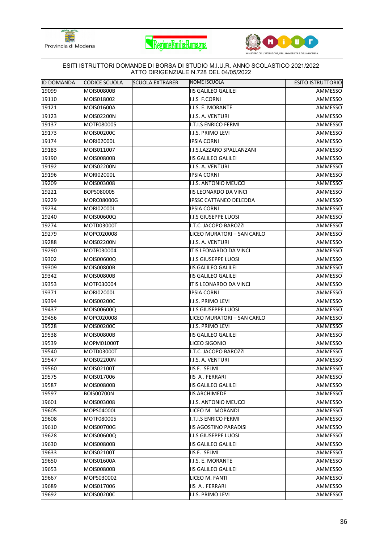





|                   |                   |                        | ATTO DIRIGENZIALE N.728 DEL 04/05/2022 |                          |
|-------------------|-------------------|------------------------|----------------------------------------|--------------------------|
| <b>ID DOMANDA</b> | CODICE SCUOLA     | <b>SCUOLA EXTRARER</b> | <b>NOME ISCUOLA</b>                    | <b>ESITO ISTRUTTORIO</b> |
| 19099             | <b>MOIS00800B</b> |                        | <b>IIS GALILEO GALILEI</b>             | AMMESSO                  |
| 19110             | MOIS018002        |                        | I.I.S F.CORNI                          | AMMESSO                  |
| 19121             | MOIS01600A        |                        | I.I.S. E. MORANTE                      | AMMESSO                  |
| 19123             | MOIS02200N        |                        | I.I.S. A. VENTURI                      | AMMESSO                  |
| 19137             | MOTF080005        |                        | I.T.I.S ENRICO FERMI                   | AMMESSO                  |
| 19173             | MOIS00200C        |                        | I.I.S. PRIMO LEVI                      | AMMESSO                  |
| 19174             | <b>MORI02000L</b> |                        | <b>IPSIA CORNI</b>                     | AMMESSO                  |
| 19183             | MOIS011007        |                        | I.I.S.LAZZARO SPALLANZANI              | AMMESSO                  |
| 19190             | MOIS00800B        |                        | <b>IIS GALILEO GALILEI</b>             | AMMESSO                  |
| 19192             | MOIS02200N        |                        | I.I.S. A. VENTURI                      | AMMESSO                  |
| 19196             | <b>MORI02000L</b> |                        | <b>IPSIA CORNI</b>                     | AMMESSO                  |
| 19209             | MOIS003008        |                        | I.I.S. ANTONIO MEUCCI                  | AMMESSO                  |
| 19221             | BOPS080005        |                        | <b>IIS LEONARDO DA VINCI</b>           | <b>AMMESSO</b>           |
| 19229             | MORC08000G        |                        | <b>IPSSC CATTANEO DELEDDA</b>          | AMMESSO                  |
| 19234             | MORI02000L        |                        | <b>IPSIA CORNI</b>                     | AMMESSO                  |
| 19240             | MOIS00600Q        |                        | <b>I.I.S GIUSEPPE LUOSI</b>            | AMMESSO                  |
| 19274             | MOTD03000T        |                        | I.T.C. JACOPO BAROZZI                  | AMMESSO                  |
| 19279             | MOPC020008        |                        | LICEO MURATORI - SAN CARLO             | AMMESSO                  |
| 19288             | MOIS02200N        |                        | I.I.S. A. VENTURI                      | AMMESSO                  |
| 19290             | MOTF030004        |                        | ITIS LEONARDO DA VINCI                 | AMMESSO                  |
| 19302             | MOIS00600Q        |                        | <b>I.I.S GIUSEPPE LUOSI</b>            | AMMESSO                  |
| 19309             | MOIS00800B        |                        | <b>IIS GALILEO GALILEI</b>             | AMMESSO                  |
| 19342             | <b>MOIS00800B</b> |                        | <b>IIS GALILEO GALILEI</b>             | AMMESSO                  |
| 19353             | MOTF030004        |                        | ITIS LEONARDO DA VINCI                 | AMMESSO                  |
| 19371             | <b>MORI02000L</b> |                        | <b>IPSIA CORNI</b>                     | AMMESSO                  |
| 19394             | MOIS00200C        |                        | I.I.S. PRIMO LEVI                      | AMMESSO                  |
| 19437             | MOIS00600Q        |                        | I.I.S GIUSEPPE LUOSI                   | AMMESSO                  |
| 19456             | MOPC020008        |                        | LICEO MURATORI - SAN CARLO             | AMMESSO                  |
| 19528             | MOIS00200C        |                        | I.I.S. PRIMO LEVI                      | AMMESSO                  |
| 19538             | <b>MOIS00800B</b> |                        | <b>IIS GALILEO GALILEI</b>             | AMMESSO                  |
| 19539             | MOPM01000T        |                        | LICEO SIGONIO                          | AMMESSO                  |
| 19540             | MOTD03000T        |                        | I.T.C. JACOPO BAROZZI                  | <b>AMMESSO</b>           |
| 19547             | MOIS02200N        |                        | I.I.S. A. VENTURI                      | AMMESSO                  |
| 19560             | MOIS02100T        |                        | IIS F. SELMI                           | AMMESSO                  |
| 19575             | MOIS017006        |                        | <b>IIS A. FERRARI</b>                  | AMMESSO                  |
| 19587             | MOIS00800B        |                        | <b>IIS GALILEO GALILEI</b>             | AMMESSO                  |
| 19597             | <b>BOIS00700N</b> |                        | <b>IIS ARCHIMEDE</b>                   | AMMESSO                  |
| 19601             | MOIS003008        |                        | I.I.S. ANTONIO MEUCCI                  | AMMESSO                  |
| 19605             | MOPS04000L        |                        | LICEO M. MORANDI                       | AMMESSO                  |
| 19608             | MOTF080005        |                        | <b>I.T.I.S ENRICO FERMI</b>            | AMMESSO                  |
| 19610             | MOIS00700G        |                        | <b>IIS AGOSTINO PARADISI</b>           | AMMESSO                  |
| 19628             | MOIS00600Q        |                        | <b>I.I.S GIUSEPPE LUOSI</b>            | AMMESSO                  |
| 19630             | MOIS00800B        |                        | <b>IIS GALILEO GALILEI</b>             | AMMESSO                  |
| 19633             | MOIS02100T        |                        | IIS F. SELMI                           | AMMESSO                  |
| 19650             | MOIS01600A        |                        | I.I.S. E. MORANTE                      | AMMESSO                  |
| 19653             | MOIS00800B        |                        | <b>IIS GALILEO GALILEI</b>             | AMMESSO                  |
| 19667             | MOPS030002        |                        | LICEO M. FANTI                         | AMMESSO                  |
| 19689             | MOIS017006        |                        | IIS A. FERRARI                         | AMMESSO                  |
| 19692             | MOIS00200C        |                        | I.I.S. PRIMO LEVI                      | AMMESSO                  |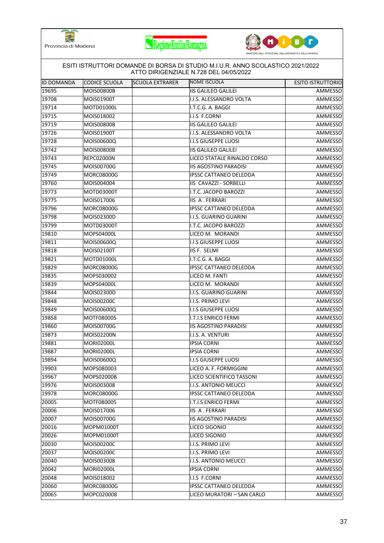





| <b>ID DOMANDA</b> | CODICE SCUOLA     | <b>SCUOLA EXTRARER</b> | NOME ISCUOLA                  | <b>ESITO ISTRUTTORIO</b> |
|-------------------|-------------------|------------------------|-------------------------------|--------------------------|
| 19695             | <b>MOIS00800B</b> |                        | <b>IIS GALILEO GALILEI</b>    | AMMESSO                  |
| 19708             | MOIS01900T        |                        | I.I.S. ALESSANDRO VOLTA       | AMMESSO                  |
| 19714             | MOTD01000L        |                        | I.T.C.G. A. BAGGI             | AMMESSO                  |
| 19715             | MOIS018002        |                        | I.I.S F.CORNI                 | AMMESSO                  |
| 19719             | <b>MOIS00800B</b> |                        | <b>IIS GALILEO GALILEI</b>    | AMMESSO                  |
| 19726             | MOIS01900T        |                        | I.I.S. ALESSANDRO VOLTA       | AMMESSO                  |
| 19728             | MOIS00600Q        |                        | <b>I.I.S GIUSEPPE LUOSI</b>   | AMMESSO                  |
| 19742             | <b>MOIS00800B</b> |                        | <b>IIS GALILEO GALILEI</b>    | AMMESSO                  |
| 19743             | <b>REPC02000N</b> |                        | LICEO STATALE RINALDO CORSO   | AMMESSO                  |
| 19745             | MOIS00700G        |                        | <b>IIS AGOSTINO PARADISI</b>  | AMMESSO                  |
| 19749             | MORC08000G        |                        | IPSSC CATTANEO DELEDDA        | AMMESSO                  |
| 19760             | MOIS004004        |                        | IIS CAVAZZI - SORBELLI        | AMMESSO                  |
| 19773             | MOTD03000T        |                        | I.T.C. JACOPO BAROZZI         | AMMESSO                  |
| 19775             | MOIS017006        |                        | IIS A. FERRARI                | AMMESSO                  |
| 19796             | MORC08000G        |                        | <b>IPSSC CATTANEO DELEDDA</b> | AMMESSO                  |
| 19798             | MOIS02300D        |                        | I.I.S. GUARINO GUARINI        | AMMESSO                  |
| 19799             | MOTD03000T        |                        | I.T.C. JACOPO BAROZZI         | AMMESSO                  |
| 19810             | MOPS04000L        |                        | LICEO M. MORANDI              | AMMESSO                  |
| 19811             | MOIS00600Q        |                        | <b>I.I.S GIUSEPPE LUOSI</b>   | AMMESSO                  |
| 19818             | MOIS02100T        |                        | IIS F. SELMI                  | AMMESSO                  |
| 19821             | MOTD01000L        |                        | I.T.C.G. A. BAGGI             | AMMESSO                  |
| 19829             | MORC08000G        |                        | <b>IPSSC CATTANEO DELEDDA</b> | AMMESSO                  |
| 19835             | MOPS030002        |                        | LICEO M. FANTI                | AMMESSO                  |
| 19839             | MOPS04000L        |                        | LICEO M. MORANDI              | AMMESSO                  |
| 19844             | MOIS02300D        |                        | I.I.S. GUARINO GUARINI        | AMMESSO                  |
| 19848             | MOIS00200C        |                        | I.I.S. PRIMO LEVI             | AMMESSO                  |
| 19849             | MOIS00600Q        |                        | I.I.S GIUSEPPE LUOSI          | AMMESSO                  |
| 19858             | MOTF080005        |                        | I.T.I.S ENRICO FERMI          | AMMESSO                  |
| 19860             | MOIS00700G        |                        | <b>IIS AGOSTINO PARADISI</b>  | AMMESSO                  |
| 19873             | MOIS02200N        |                        | I.I.S. A. VENTURI             | AMMESSO                  |
| 19881             | <b>MORI02000L</b> |                        | <b>IPSIA CORNI</b>            | AMMESSO                  |
| 19887             | <b>MORI02000L</b> |                        | <b>IPSIA CORNI</b>            | <b>AMMESSO</b>           |
| 19894             | MOIS00600Q        |                        | <b>I.I.S GIUSEPPE LUOSI</b>   | AMMESSO                  |
| 19903             | MOPS080003        |                        | LICEO A. F. FORMIGGINI        | AMMESSO                  |
| 19967             | MOPS02000B        |                        | LICEO SCIENTIFICO TASSONI     | AMMESSO                  |
| 19976             | MOIS003008        |                        | I.I.S. ANTONIO MEUCCI         | AMMESSO                  |
| 19978             | <b>MORC08000G</b> |                        | <b>IPSSC CATTANEO DELEDDA</b> | AMMESSO                  |
| 20005             | MOTF080005        |                        | <b>I.T.I.S ENRICO FERMI</b>   | AMMESSO                  |
| 20006             | MOIS017006        |                        | IIS A. FERRARI                | AMMESSO                  |
| 20007             | MOIS00700G        |                        | <b>IIS AGOSTINO PARADISI</b>  | AMMESSO                  |
| 20016             | MOPM01000T        |                        | LICEO SIGONIO                 | AMMESSO                  |
| 20026             | MOPM01000T        |                        | LICEO SIGONIO                 | AMMESSO                  |
| 20030             | MOIS00200C        |                        | I.I.S. PRIMO LEVI             | AMMESSO                  |
| 20037             | <b>MOIS00200C</b> |                        | I.I.S. PRIMO LEVI             | AMMESSO                  |
| 20040             | MOIS003008        |                        | I.I.S. ANTONIO MEUCCI         | AMMESSO                  |
| 20042             | <b>MORI02000L</b> |                        | <b>IPSIA CORNI</b>            | AMMESSO                  |
| 20048             | MOIS018002        |                        | I.I.S F.CORNI                 | AMMESSO                  |
| 20060             | <b>MORC08000G</b> |                        | IPSSC CATTANEO DELEDDA        | AMMESSO                  |
| 20065             | MOPC020008        |                        | LICEO MURATORI - SAN CARLO    | AMMESSO                  |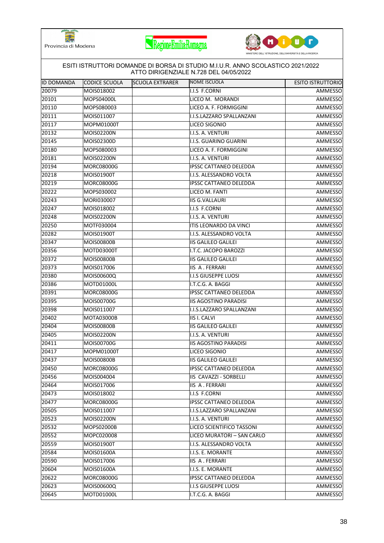





| ESITI ISTRUTTORI DOMANDE DI BORSA DI STUDIO M.I.U.R. ANNO SCOLASTICO 2021/2022<br>ATTO DIRIGENZIALE N.728 DEL 04/05/2022 |                   |                        |                               |                          |  |  |  |
|--------------------------------------------------------------------------------------------------------------------------|-------------------|------------------------|-------------------------------|--------------------------|--|--|--|
| IID DOMANDA                                                                                                              | CODICE SCUOLA     | <b>SCUOLA EXTRARER</b> | NOME ISCUOLA                  | <b>ESITO ISTRUTTORIO</b> |  |  |  |
| 20079                                                                                                                    | MOIS018002        |                        | I.I.S F.CORNI                 | AMMESSO                  |  |  |  |
| 20101                                                                                                                    | MOPS04000L        |                        | LICEO M. MORANDI              | AMMESSO                  |  |  |  |
| 20110                                                                                                                    | MOPS080003        |                        | LICEO A. F. FORMIGGINI        | AMMESSO                  |  |  |  |
| 20111                                                                                                                    | MOIS011007        |                        | I.I.S.LAZZARO SPALLANZANI     | AMMESSO                  |  |  |  |
| 20117                                                                                                                    | MOPM01000T        |                        | LICEO SIGONIO                 | AMMESSO                  |  |  |  |
| 20132                                                                                                                    | MOIS02200N        |                        | I.I.S. A. VENTURI             | AMMESSO                  |  |  |  |
| 20145                                                                                                                    | MOIS02300D        |                        | I.I.S. GUARINO GUARINI        | AMMESSO                  |  |  |  |
| 20180                                                                                                                    | MOPS080003        |                        | LICEO A. F. FORMIGGINI        | AMMESSO                  |  |  |  |
| 20181                                                                                                                    | MOIS02200N        |                        | I.I.S. A. VENTURI             | AMMESSO                  |  |  |  |
| 20194                                                                                                                    | MORC08000G        |                        | <b>IPSSC CATTANEO DELEDDA</b> | AMMESSO                  |  |  |  |
| 20218                                                                                                                    | MOIS01900T        |                        | I.I.S. ALESSANDRO VOLTA       | AMMESSO                  |  |  |  |
| 20219                                                                                                                    | MORC08000G        |                        | <b>IPSSC CATTANEO DELEDDA</b> | AMMESSO                  |  |  |  |
| 20222                                                                                                                    | MOPS030002        |                        | LICEO M. FANTI                | AMMESSO                  |  |  |  |
| 20243                                                                                                                    | MORI030007        |                        | <b>IIS G.VALLAURI</b>         | AMMESSO                  |  |  |  |
| 20247                                                                                                                    | MOIS018002        |                        | I.I.S F.CORNI                 | AMMESSO                  |  |  |  |
| 20248                                                                                                                    | MOIS02200N        |                        | I.I.S. A. VENTURI             | AMMESSO                  |  |  |  |
| 20250                                                                                                                    | MOTF030004        |                        | ITIS LEONARDO DA VINCI        | AMMESSO                  |  |  |  |
| 20282                                                                                                                    | MOIS01900T        |                        | I.I.S. ALESSANDRO VOLTA       | AMMESSO                  |  |  |  |
| 20347                                                                                                                    | MOIS00800B        |                        | <b>IIS GALILEO GALILEI</b>    | AMMESSO                  |  |  |  |
| 20356                                                                                                                    | MOTD03000T        |                        | I.T.C. JACOPO BAROZZI         | AMMESSO                  |  |  |  |
| 20372                                                                                                                    | MOIS00800B        |                        | <b>IIS GALILEO GALILEI</b>    | AMMESSO                  |  |  |  |
| 20373                                                                                                                    | MOIS017006        |                        | <b>IIS A. FERRARI</b>         | AMMESSO                  |  |  |  |
| 20380                                                                                                                    | MOIS00600Q        |                        | <b>I.I.S GIUSEPPE LUOSI</b>   | AMMESSO                  |  |  |  |
| 20386                                                                                                                    | MOTD01000L        |                        | I.T.C.G. A. BAGGI             | AMMESSO                  |  |  |  |
| 20391                                                                                                                    | MORC08000G        |                        | <b>IPSSC CATTANEO DELEDDA</b> | AMMESSO                  |  |  |  |
| 20395                                                                                                                    | MOIS00700G        |                        | <b>IIS AGOSTINO PARADISI</b>  | AMMESSO                  |  |  |  |
| 20398                                                                                                                    | MOIS011007        |                        | I.I.S.LAZZARO SPALLANZANI     | AMMESSO                  |  |  |  |
| 20402                                                                                                                    | MOTA03000B        |                        | <b>IIS I. CALVI</b>           | AMMESSO                  |  |  |  |
| 20404                                                                                                                    | <b>MOIS00800B</b> |                        | <b>IIS GALILEO GALILEI</b>    | AMMESSO                  |  |  |  |
| 20405                                                                                                                    | MOIS02200N        |                        | I.I.S. A. VENTURI             | AMMESSO                  |  |  |  |
| 20411                                                                                                                    | MOIS00700G        |                        | <b>IIS AGOSTINO PARADISI</b>  | AMMESSO                  |  |  |  |
| 20417                                                                                                                    | MOPM01000T        |                        | LICEO SIGONIO                 | AMMESSO                  |  |  |  |
| 20437                                                                                                                    | MOIS00800B        |                        | <b>IIS GALILEO GALILEI</b>    | AMMESSO                  |  |  |  |
| 20450                                                                                                                    | <b>MORC08000G</b> |                        | <b>IPSSC CATTANEO DELEDDA</b> | AMMESSO                  |  |  |  |
| 20456                                                                                                                    | MOIS004004        |                        | IIS CAVAZZI - SORBELLI        | AMMESSO                  |  |  |  |
| 20464                                                                                                                    | MOIS017006        |                        | <b>IIS A. FERRARI</b>         | AMMESSO                  |  |  |  |
| 20473                                                                                                                    | MOIS018002        |                        | I.I.S F.CORNI                 | AMMESSO                  |  |  |  |
| 20477                                                                                                                    | MORC08000G        |                        | <b>IPSSC CATTANEO DELEDDA</b> | AMMESSO                  |  |  |  |
| 20505                                                                                                                    | MOIS011007        |                        | I.I.S.LAZZARO SPALLANZANI     | AMMESSO                  |  |  |  |
| 20523                                                                                                                    | MOIS02200N        |                        | I.I.S. A. VENTURI             | AMMESSO                  |  |  |  |
| 20532                                                                                                                    | MOPS02000B        |                        | LICEO SCIENTIFICO TASSONI     | AMMESSO                  |  |  |  |
| 20552                                                                                                                    | MOPC020008        |                        | LICEO MURATORI - SAN CARLO    | AMMESSO                  |  |  |  |
| 20559                                                                                                                    | MOIS01900T        |                        | I.I.S. ALESSANDRO VOLTA       | AMMESSO                  |  |  |  |
| 20584                                                                                                                    | MOIS01600A        |                        | I.I.S. E. MORANTE             | AMMESSO                  |  |  |  |
| 20590                                                                                                                    | MOIS017006        |                        | IIS A. FERRARI                | AMMESSO                  |  |  |  |
| 20604                                                                                                                    | MOIS01600A        |                        | I.I.S. E. MORANTE             | AMMESSO                  |  |  |  |
| 20622                                                                                                                    | MORC08000G        |                        | <b>IPSSC CATTANEO DELEDDA</b> | AMMESSO                  |  |  |  |
| 20623                                                                                                                    | MOIS00600Q        |                        | <b>I.I.S GIUSEPPE LUOSI</b>   | AMMESSO                  |  |  |  |
| 20645                                                                                                                    | MOTD01000L        |                        | I.T.C.G. A. BAGGI             | AMMESSO                  |  |  |  |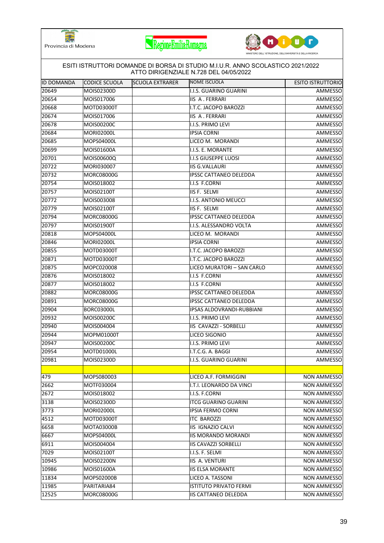





| ESITI ISTRUTTORI DOMANDE DI BORSA DI STUDIO M.I.U.R. ANNO SCOLASTICO 2021/2022<br>ATTO DIRIGENZIALE N.728 DEL 04/05/2022 |                   |                        |                               |                          |  |  |  |
|--------------------------------------------------------------------------------------------------------------------------|-------------------|------------------------|-------------------------------|--------------------------|--|--|--|
| IID DOMANDA                                                                                                              | CODICE SCUOLA     | <b>SCUOLA EXTRARER</b> | NOME ISCUOLA                  | <b>ESITO ISTRUTTORIO</b> |  |  |  |
| 20649                                                                                                                    | MOIS02300D        |                        | I.I.S. GUARINO GUARINI        | AMMESSO                  |  |  |  |
| 20654                                                                                                                    | MOIS017006        |                        | <b>IIS A. FERRARI</b>         | AMMESSO                  |  |  |  |
| 20668                                                                                                                    | MOTD03000T        |                        | I.T.C. JACOPO BAROZZI         | AMMESSO                  |  |  |  |
| 20674                                                                                                                    | MOIS017006        |                        | IIS A. FERRARI                | AMMESSO                  |  |  |  |
| 20678                                                                                                                    | MOIS00200C        |                        | I.I.S. PRIMO LEVI             | AMMESSO                  |  |  |  |
| 20684                                                                                                                    | MORI02000L        |                        | <b>IPSIA CORNI</b>            | AMMESSO                  |  |  |  |
| 20685                                                                                                                    | MOPS04000L        |                        | LICEO M. MORANDI              | AMMESSO                  |  |  |  |
| 20699                                                                                                                    | MOIS01600A        |                        | I.I.S. E. MORANTE             | AMMESSO                  |  |  |  |
| 20701                                                                                                                    | MOIS00600Q        |                        | I.I.S GIUSEPPE LUOSI          | AMMESSO                  |  |  |  |
| 20722                                                                                                                    | MORI030007        |                        | <b>IIS G.VALLAURI</b>         | AMMESSO                  |  |  |  |
| 20732                                                                                                                    | <b>MORC08000G</b> |                        | <b>IPSSC CATTANEO DELEDDA</b> | AMMESSO                  |  |  |  |
| 20754                                                                                                                    | MOIS018002        |                        | I.I.S F.CORNI                 | AMMESSO                  |  |  |  |
| 20757                                                                                                                    | MOIS02100T        |                        | <b>IIS F. SELMI</b>           | AMMESSO                  |  |  |  |
| 20772                                                                                                                    | MOIS003008        |                        | I.I.S. ANTONIO MEUCCI         | AMMESSO                  |  |  |  |
| 20779                                                                                                                    | MOIS02100T        |                        | IIS F. SELMI                  | AMMESSO                  |  |  |  |
| 20794                                                                                                                    | <b>MORC08000G</b> |                        | <b>IPSSC CATTANEO DELEDDA</b> | AMMESSO                  |  |  |  |
| 20797                                                                                                                    | MOIS01900T        |                        | I.I.S. ALESSANDRO VOLTA       | AMMESSO                  |  |  |  |
| 20818                                                                                                                    | MOPS04000L        |                        | LICEO M. MORANDI              | AMMESSO                  |  |  |  |
| 20846                                                                                                                    | MORI02000L        |                        | <b>IPSIA CORNI</b>            | AMMESSO                  |  |  |  |
| 20855                                                                                                                    | MOTD03000T        |                        | I.T.C. JACOPO BAROZZI         | AMMESSO                  |  |  |  |
| 20871                                                                                                                    | MOTD03000T        |                        | I.T.C. JACOPO BAROZZI         | AMMESSO                  |  |  |  |
| 20875                                                                                                                    | MOPC020008        |                        | LICEO MURATORI - SAN CARLO    | AMMESSO                  |  |  |  |
| 20876                                                                                                                    | MOIS018002        |                        | I.I.S F.CORNI                 | AMMESSO                  |  |  |  |
| 20877                                                                                                                    | MOIS018002        |                        | I.I.S F.CORNI                 | AMMESSO                  |  |  |  |
| 20882                                                                                                                    | MORC08000G        |                        | <b>IPSSC CATTANEO DELEDDA</b> | AMMESSO                  |  |  |  |
| 20891                                                                                                                    | <b>MORC08000G</b> |                        | <b>IPSSC CATTANEO DELEDDA</b> | AMMESSO                  |  |  |  |
| 20904                                                                                                                    | <b>BORC03000L</b> |                        | IPSAS ALDOVRANDI-RUBBIANI     | AMMESSO                  |  |  |  |
| 20932                                                                                                                    | MOIS00200C        |                        | I.I.S. PRIMO LEVI             | AMMESSO                  |  |  |  |
| 20940                                                                                                                    | MOIS004004        |                        | IIS CAVAZZI - SORBELLI        | AMMESSO                  |  |  |  |
| 20944                                                                                                                    | MOPM01000T        |                        | LICEO SIGONIO                 | AMMESSO                  |  |  |  |
| 20947                                                                                                                    | MOIS00200C        |                        | I.I.S. PRIMO LEVI             | AMMESSO                  |  |  |  |
| 20954                                                                                                                    | MOTD01000L        |                        | I.T.C.G. A. BAGGI             | AMMESSO                  |  |  |  |
| 20981                                                                                                                    | MOIS02300D        |                        | I.I.S. GUARINO GUARINI        | AMMESSO                  |  |  |  |
|                                                                                                                          |                   |                        |                               |                          |  |  |  |
| 479                                                                                                                      | MOPS080003        |                        | LICEO A.F. FORMIGGINI         | <b>NON AMMESSO</b>       |  |  |  |
| 2662                                                                                                                     | MOTF030004        |                        | I.T.I. LEONARDO DA VINCI      | NON AMMESSO              |  |  |  |
| 2672                                                                                                                     | MOIS018002        |                        | I.I.S. F.CORNI                | NON AMMESSO              |  |  |  |
| 3138                                                                                                                     | MOIS02300D        |                        | <b>ITCG GUARINO GUARINI</b>   | NON AMMESSO              |  |  |  |
| 3773                                                                                                                     | <b>MORI02000L</b> |                        | <b>IPSIA FERMO CORNI</b>      | NON AMMESSO              |  |  |  |
| 4512                                                                                                                     | MOTD03000T        |                        | <b>ITC BAROZZI</b>            | NON AMMESSO              |  |  |  |
| 6658                                                                                                                     | MOTA03000B        |                        | IIS IGNAZIO CALVI             | NON AMMESSO              |  |  |  |
| 6667                                                                                                                     | MOPS04000L        |                        | <b>IIS MORANDO MORANDI</b>    | NON AMMESSO              |  |  |  |
| 6911                                                                                                                     | MOIS004004        |                        | <b>IIS CAVAZZI SORBELLI</b>   | <b>NON AMMESSO</b>       |  |  |  |
| 7029                                                                                                                     | MOIS02100T        |                        | I.I.S. F. SELMI               | <b>NON AMMESSO</b>       |  |  |  |
| 10945                                                                                                                    | <b>MOIS02200N</b> |                        | IIS A. VENTURI                | <b>NON AMMESSO</b>       |  |  |  |
| 10986                                                                                                                    | MOIS01600A        |                        | <b>IIS ELSA MORANTE</b>       | <b>NON AMMESSO</b>       |  |  |  |
| 11834                                                                                                                    | MOPS02000B        |                        | LICEO A. TASSONI              | NON AMMESSO              |  |  |  |
| 11985                                                                                                                    | PARITARIA84       |                        | <b>ISTITUTO PRIVATO FERMI</b> | NON AMMESSO              |  |  |  |
| 12525                                                                                                                    | MORC08000G        |                        | <b>IIS CATTANEO DELEDDA</b>   | NON AMMESSO              |  |  |  |